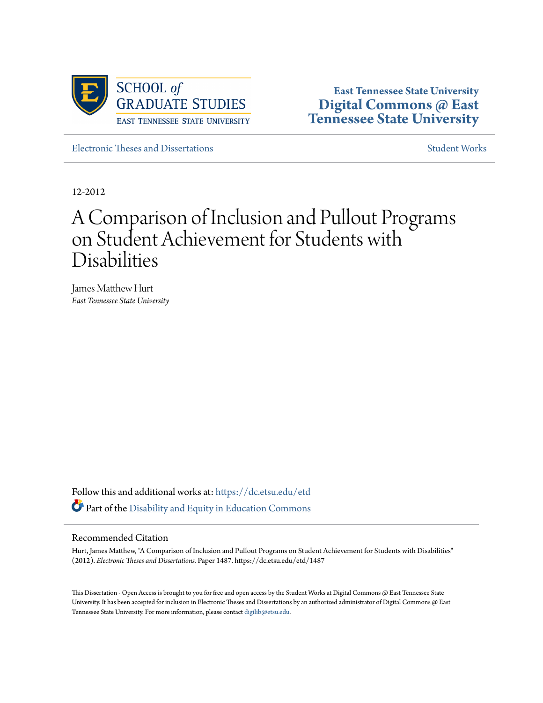

**East Tennessee State University [Digital Commons @ East](https://dc.etsu.edu?utm_source=dc.etsu.edu%2Fetd%2F1487&utm_medium=PDF&utm_campaign=PDFCoverPages) [Tennessee State University](https://dc.etsu.edu?utm_source=dc.etsu.edu%2Fetd%2F1487&utm_medium=PDF&utm_campaign=PDFCoverPages)**

[Electronic Theses and Dissertations](https://dc.etsu.edu/etd?utm_source=dc.etsu.edu%2Fetd%2F1487&utm_medium=PDF&utm_campaign=PDFCoverPages) [Student Works](https://dc.etsu.edu/student-works?utm_source=dc.etsu.edu%2Fetd%2F1487&utm_medium=PDF&utm_campaign=PDFCoverPages) Student Works

12-2012

# A Comparison of Inclusion and Pullout Programs on Student Achievement for Students with Disabilities

James Matthew Hurt *East Tennessee State University*

Follow this and additional works at: [https://dc.etsu.edu/etd](https://dc.etsu.edu/etd?utm_source=dc.etsu.edu%2Fetd%2F1487&utm_medium=PDF&utm_campaign=PDFCoverPages) Part of the [Disability and Equity in Education Commons](http://network.bepress.com/hgg/discipline/1040?utm_source=dc.etsu.edu%2Fetd%2F1487&utm_medium=PDF&utm_campaign=PDFCoverPages)

#### Recommended Citation

Hurt, James Matthew, "A Comparison of Inclusion and Pullout Programs on Student Achievement for Students with Disabilities" (2012). *Electronic Theses and Dissertations.* Paper 1487. https://dc.etsu.edu/etd/1487

This Dissertation - Open Access is brought to you for free and open access by the Student Works at Digital Commons @ East Tennessee State University. It has been accepted for inclusion in Electronic Theses and Dissertations by an authorized administrator of Digital Commons @ East Tennessee State University. For more information, please contact [digilib@etsu.edu.](mailto:digilib@etsu.edu)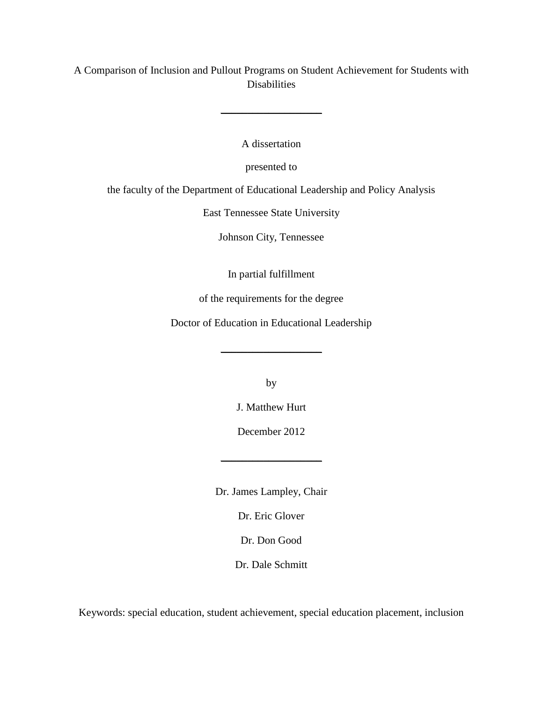A Comparison of Inclusion and Pullout Programs on Student Achievement for Students with Disabilities

 $\_$ 

A dissertation

presented to

the faculty of the Department of Educational Leadership and Policy Analysis

East Tennessee State University

Johnson City, Tennessee

In partial fulfillment

of the requirements for the degree

Doctor of Education in Educational Leadership

 $\_$ 

by

J. Matthew Hurt

December 2012

 $\_$ 

Dr. James Lampley, Chair

Dr. Eric Glover

Dr. Don Good

Dr. Dale Schmitt

Keywords: special education, student achievement, special education placement, inclusion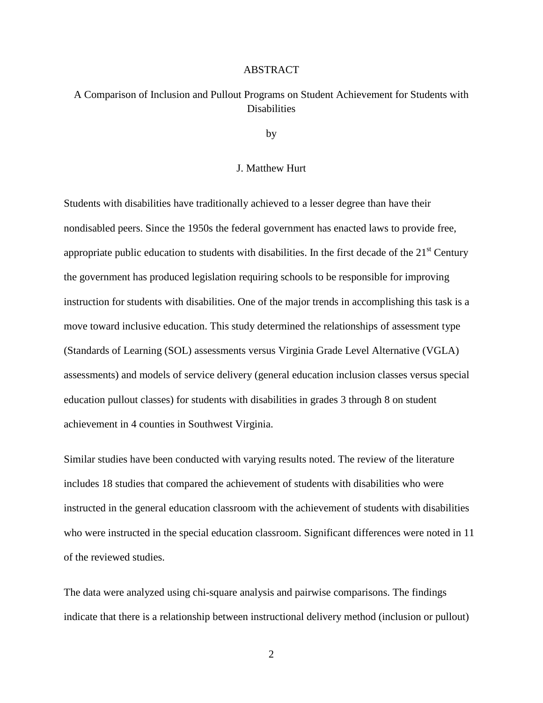#### ABSTRACT

# A Comparison of Inclusion and Pullout Programs on Student Achievement for Students with Disabilities

by

#### J. Matthew Hurt

Students with disabilities have traditionally achieved to a lesser degree than have their nondisabled peers. Since the 1950s the federal government has enacted laws to provide free, appropriate public education to students with disabilities. In the first decade of the  $21<sup>st</sup>$  Century the government has produced legislation requiring schools to be responsible for improving instruction for students with disabilities. One of the major trends in accomplishing this task is a move toward inclusive education. This study determined the relationships of assessment type (Standards of Learning (SOL) assessments versus Virginia Grade Level Alternative (VGLA) assessments) and models of service delivery (general education inclusion classes versus special education pullout classes) for students with disabilities in grades 3 through 8 on student achievement in 4 counties in Southwest Virginia.

Similar studies have been conducted with varying results noted. The review of the literature includes 18 studies that compared the achievement of students with disabilities who were instructed in the general education classroom with the achievement of students with disabilities who were instructed in the special education classroom. Significant differences were noted in 11 of the reviewed studies.

The data were analyzed using chi-square analysis and pairwise comparisons. The findings indicate that there is a relationship between instructional delivery method (inclusion or pullout)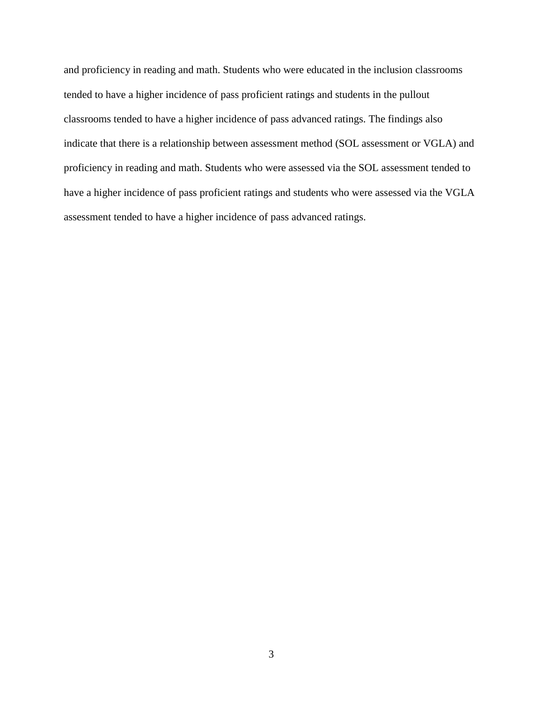and proficiency in reading and math. Students who were educated in the inclusion classrooms tended to have a higher incidence of pass proficient ratings and students in the pullout classrooms tended to have a higher incidence of pass advanced ratings. The findings also indicate that there is a relationship between assessment method (SOL assessment or VGLA) and proficiency in reading and math. Students who were assessed via the SOL assessment tended to have a higher incidence of pass proficient ratings and students who were assessed via the VGLA assessment tended to have a higher incidence of pass advanced ratings.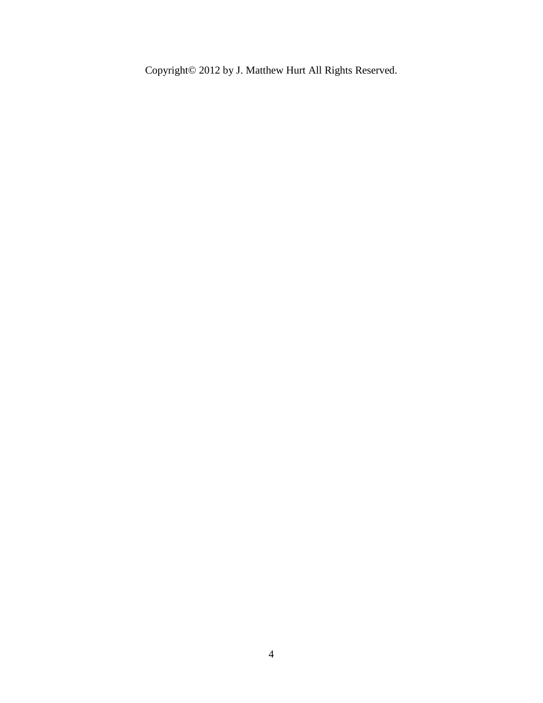Copyright© 2012 by J. Matthew Hurt All Rights Reserved.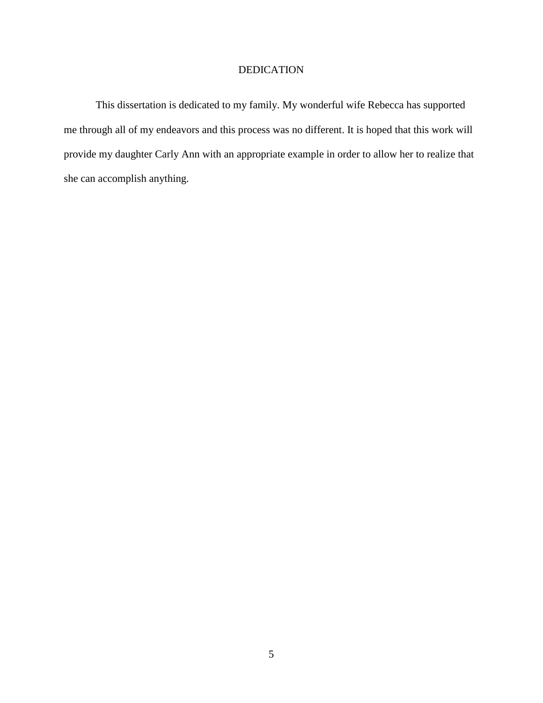## DEDICATION

This dissertation is dedicated to my family. My wonderful wife Rebecca has supported me through all of my endeavors and this process was no different. It is hoped that this work will provide my daughter Carly Ann with an appropriate example in order to allow her to realize that she can accomplish anything.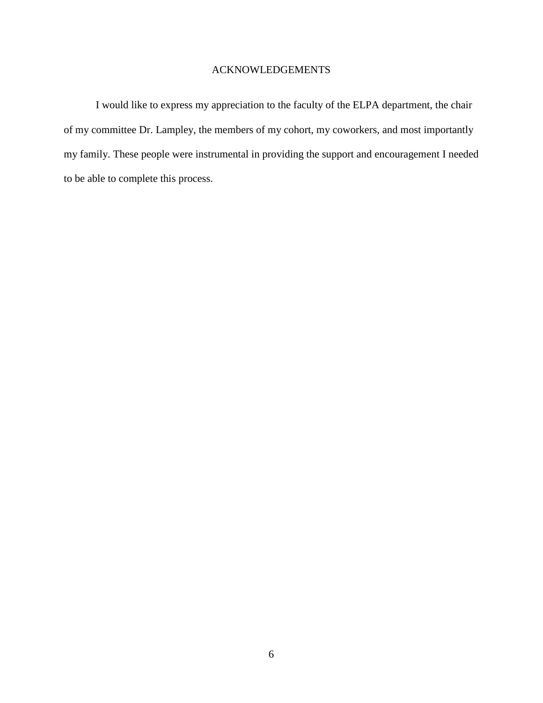## ACKNOWLEDGEMENTS

I would like to express my appreciation to the faculty of the ELPA department, the chair of my committee Dr. Lampley, the members of my cohort, my coworkers, and most importantly my family. These people were instrumental in providing the support and encouragement I needed to be able to complete this process.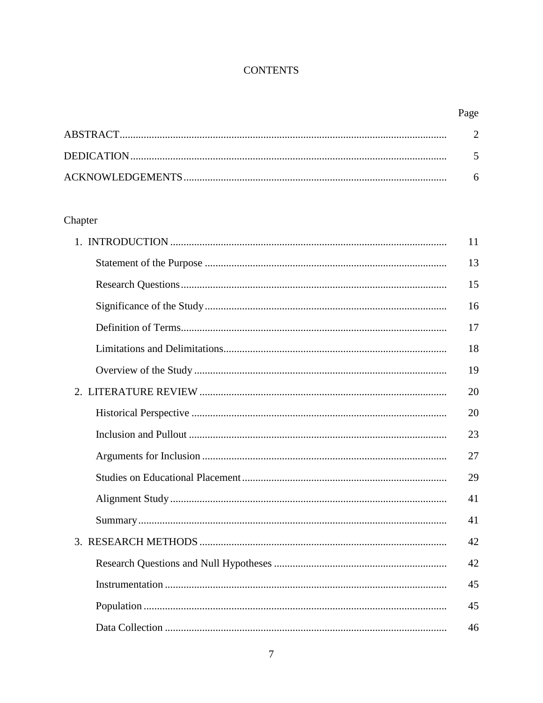# **CONTENTS**

# Chapter

| 11 |
|----|
| 13 |
| 15 |
| 16 |
| 17 |
| 18 |
| 19 |
| 20 |
| 20 |
| 23 |
| 27 |
| 29 |
| 41 |
| 41 |
| 42 |
| 42 |
| 45 |
| 45 |
| 46 |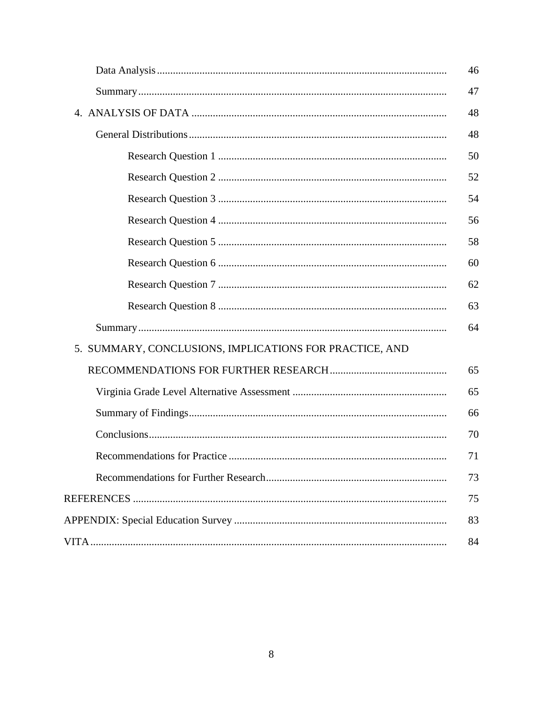|                                                         | 46 |
|---------------------------------------------------------|----|
|                                                         | 47 |
|                                                         | 48 |
|                                                         | 48 |
|                                                         | 50 |
|                                                         | 52 |
|                                                         | 54 |
|                                                         | 56 |
|                                                         | 58 |
|                                                         | 60 |
|                                                         | 62 |
|                                                         | 63 |
|                                                         | 64 |
| 5. SUMMARY, CONCLUSIONS, IMPLICATIONS FOR PRACTICE, AND |    |
|                                                         | 65 |
|                                                         | 65 |
|                                                         | 66 |
|                                                         | 70 |
|                                                         | 71 |
|                                                         | 73 |
|                                                         | 75 |
|                                                         | 83 |
|                                                         | 84 |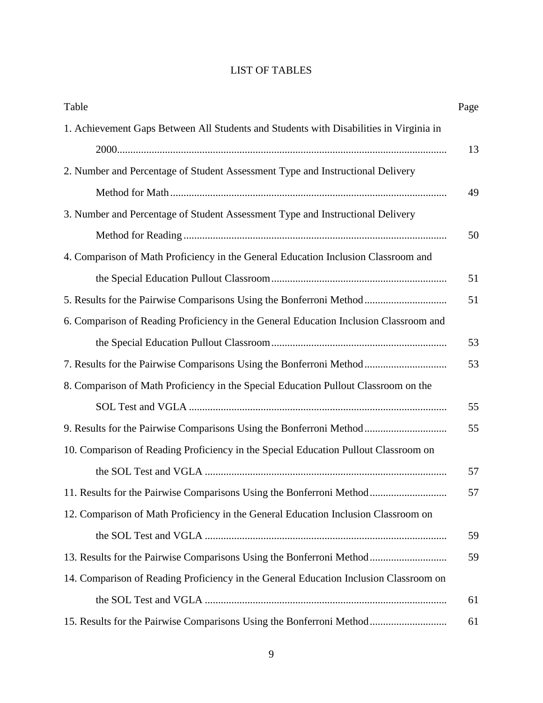# LIST OF TABLES

| Table                                                                                  | Page |
|----------------------------------------------------------------------------------------|------|
| 1. Achievement Gaps Between All Students and Students with Disabilities in Virginia in |      |
|                                                                                        | 13   |
| 2. Number and Percentage of Student Assessment Type and Instructional Delivery         |      |
|                                                                                        | 49   |
| 3. Number and Percentage of Student Assessment Type and Instructional Delivery         |      |
|                                                                                        | 50   |
| 4. Comparison of Math Proficiency in the General Education Inclusion Classroom and     |      |
|                                                                                        | 51   |
| 5. Results for the Pairwise Comparisons Using the Bonferroni Method                    | 51   |
| 6. Comparison of Reading Proficiency in the General Education Inclusion Classroom and  |      |
|                                                                                        | 53   |
| 7. Results for the Pairwise Comparisons Using the Bonferroni Method                    | 53   |
| 8. Comparison of Math Proficiency in the Special Education Pullout Classroom on the    |      |
|                                                                                        | 55   |
| 9. Results for the Pairwise Comparisons Using the Bonferroni Method                    | 55   |
| 10. Comparison of Reading Proficiency in the Special Education Pullout Classroom on    |      |
|                                                                                        | 57   |
| 11. Results for the Pairwise Comparisons Using the Bonferroni Method                   | 57   |
| 12. Comparison of Math Proficiency in the General Education Inclusion Classroom on     |      |
|                                                                                        | 59   |
| 13. Results for the Pairwise Comparisons Using the Bonferroni Method                   | 59   |
| 14. Comparison of Reading Proficiency in the General Education Inclusion Classroom on  |      |
|                                                                                        | 61   |
| 15. Results for the Pairwise Comparisons Using the Bonferroni Method                   | 61   |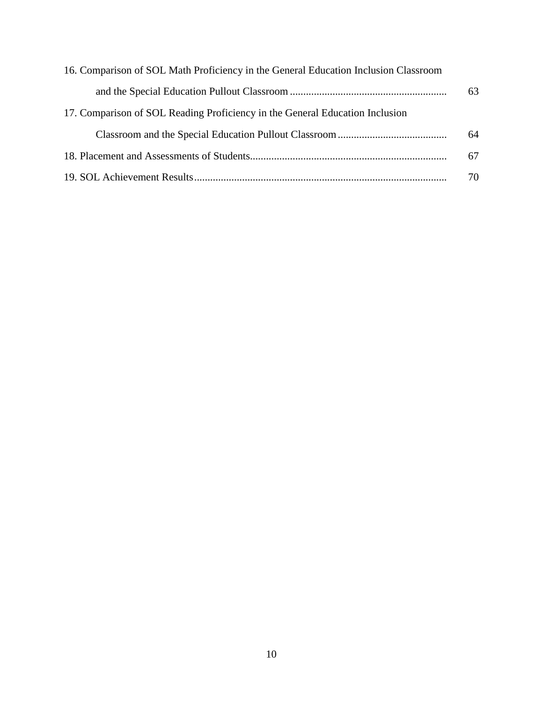| 16. Comparison of SOL Math Proficiency in the General Education Inclusion Classroom |    |
|-------------------------------------------------------------------------------------|----|
|                                                                                     | 63 |
| 17. Comparison of SOL Reading Proficiency in the General Education Inclusion        |    |
|                                                                                     | 64 |
|                                                                                     | 67 |
|                                                                                     | 70 |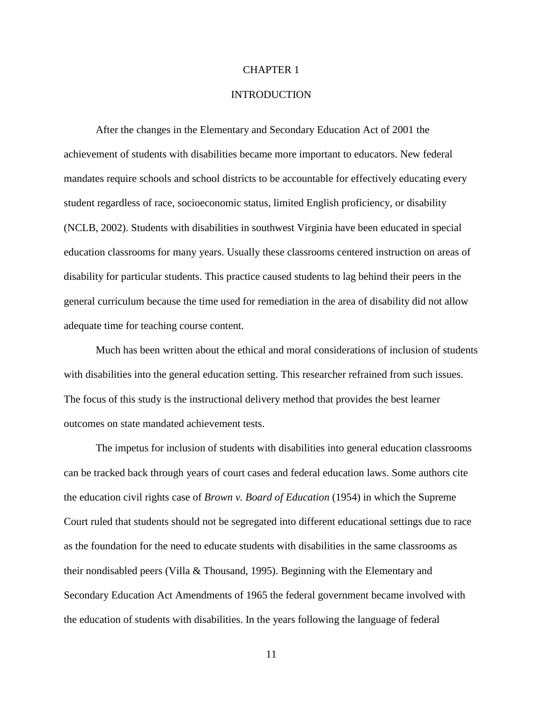#### CHAPTER 1

#### **INTRODUCTION**

After the changes in the Elementary and Secondary Education Act of 2001 the achievement of students with disabilities became more important to educators. New federal mandates require schools and school districts to be accountable for effectively educating every student regardless of race, socioeconomic status, limited English proficiency, or disability (NCLB, 2002). Students with disabilities in southwest Virginia have been educated in special education classrooms for many years. Usually these classrooms centered instruction on areas of disability for particular students. This practice caused students to lag behind their peers in the general curriculum because the time used for remediation in the area of disability did not allow adequate time for teaching course content.

Much has been written about the ethical and moral considerations of inclusion of students with disabilities into the general education setting. This researcher refrained from such issues. The focus of this study is the instructional delivery method that provides the best learner outcomes on state mandated achievement tests.

The impetus for inclusion of students with disabilities into general education classrooms can be tracked back through years of court cases and federal education laws. Some authors cite the education civil rights case of *Brown v. Board of Education* (1954) in which the Supreme Court ruled that students should not be segregated into different educational settings due to race as the foundation for the need to educate students with disabilities in the same classrooms as their nondisabled peers (Villa & Thousand, 1995). Beginning with the Elementary and Secondary Education Act Amendments of 1965 the federal government became involved with the education of students with disabilities. In the years following the language of federal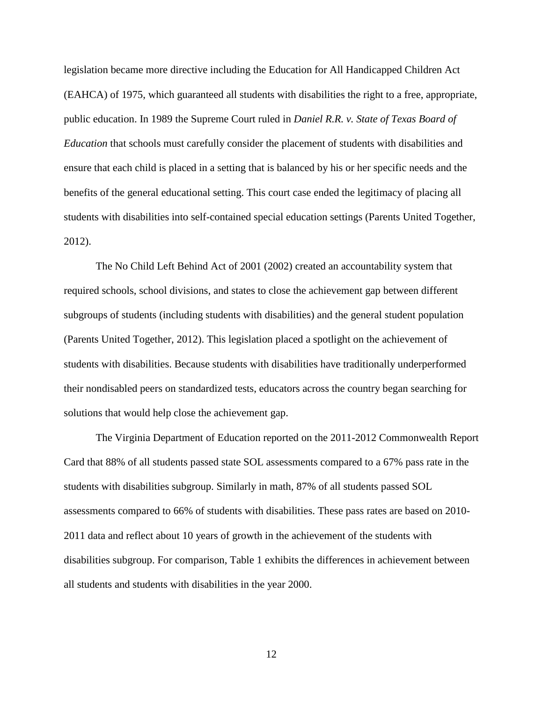legislation became more directive including the Education for All Handicapped Children Act (EAHCA) of 1975, which guaranteed all students with disabilities the right to a free, appropriate, public education. In 1989 the Supreme Court ruled in *Daniel R.R. v. State of Texas Board of Education* that schools must carefully consider the placement of students with disabilities and ensure that each child is placed in a setting that is balanced by his or her specific needs and the benefits of the general educational setting. This court case ended the legitimacy of placing all students with disabilities into self-contained special education settings (Parents United Together, 2012).

The No Child Left Behind Act of 2001 (2002) created an accountability system that required schools, school divisions, and states to close the achievement gap between different subgroups of students (including students with disabilities) and the general student population (Parents United Together, 2012). This legislation placed a spotlight on the achievement of students with disabilities. Because students with disabilities have traditionally underperformed their nondisabled peers on standardized tests, educators across the country began searching for solutions that would help close the achievement gap.

The Virginia Department of Education reported on the 2011-2012 Commonwealth Report Card that 88% of all students passed state SOL assessments compared to a 67% pass rate in the students with disabilities subgroup. Similarly in math, 87% of all students passed SOL assessments compared to 66% of students with disabilities. These pass rates are based on 2010- 2011 data and reflect about 10 years of growth in the achievement of the students with disabilities subgroup. For comparison, Table 1 exhibits the differences in achievement between all students and students with disabilities in the year 2000.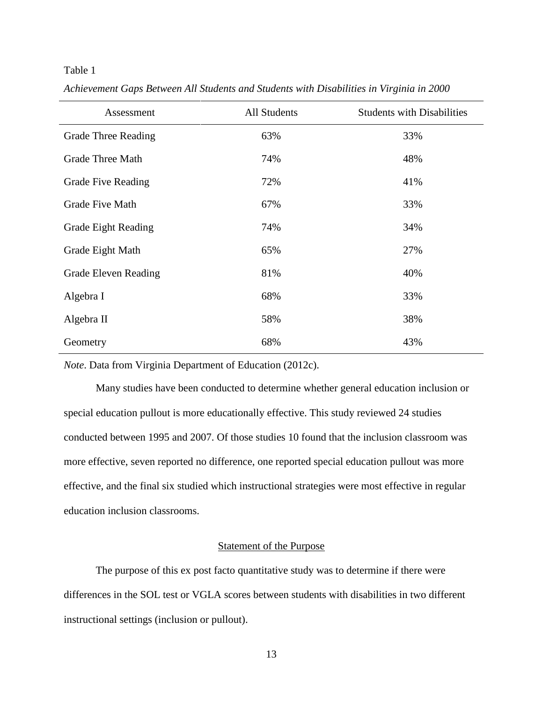#### Table 1

| Assessment                  | All Students | <b>Students with Disabilities</b> |
|-----------------------------|--------------|-----------------------------------|
| <b>Grade Three Reading</b>  | 63%          | 33%                               |
| <b>Grade Three Math</b>     | 74%          | 48%                               |
| <b>Grade Five Reading</b>   | 72%          | 41%                               |
| <b>Grade Five Math</b>      | 67%          | 33%                               |
| <b>Grade Eight Reading</b>  | 74%          | 34%                               |
| Grade Eight Math            | 65%          | 27%                               |
| <b>Grade Eleven Reading</b> | 81%          | 40%                               |
| Algebra I                   | 68%          | 33%                               |
| Algebra II                  | 58%          | 38%                               |
| Geometry                    | 68%          | 43%                               |

*Achievement Gaps Between All Students and Students with Disabilities in Virginia in 2000*

*Note*. Data from Virginia Department of Education (2012c).

Many studies have been conducted to determine whether general education inclusion or special education pullout is more educationally effective. This study reviewed 24 studies conducted between 1995 and 2007. Of those studies 10 found that the inclusion classroom was more effective, seven reported no difference, one reported special education pullout was more effective, and the final six studied which instructional strategies were most effective in regular education inclusion classrooms.

#### Statement of the Purpose

The purpose of this ex post facto quantitative study was to determine if there were differences in the SOL test or VGLA scores between students with disabilities in two different instructional settings (inclusion or pullout).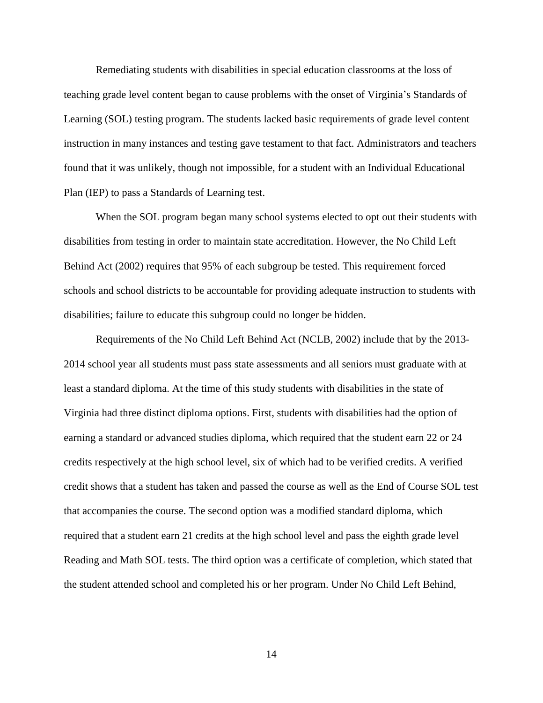Remediating students with disabilities in special education classrooms at the loss of teaching grade level content began to cause problems with the onset of Virginia's Standards of Learning (SOL) testing program. The students lacked basic requirements of grade level content instruction in many instances and testing gave testament to that fact. Administrators and teachers found that it was unlikely, though not impossible, for a student with an Individual Educational Plan (IEP) to pass a Standards of Learning test.

When the SOL program began many school systems elected to opt out their students with disabilities from testing in order to maintain state accreditation. However, the No Child Left Behind Act (2002) requires that 95% of each subgroup be tested. This requirement forced schools and school districts to be accountable for providing adequate instruction to students with disabilities; failure to educate this subgroup could no longer be hidden.

Requirements of the No Child Left Behind Act (NCLB, 2002) include that by the 2013- 2014 school year all students must pass state assessments and all seniors must graduate with at least a standard diploma. At the time of this study students with disabilities in the state of Virginia had three distinct diploma options. First, students with disabilities had the option of earning a standard or advanced studies diploma, which required that the student earn 22 or 24 credits respectively at the high school level, six of which had to be verified credits. A verified credit shows that a student has taken and passed the course as well as the End of Course SOL test that accompanies the course. The second option was a modified standard diploma, which required that a student earn 21 credits at the high school level and pass the eighth grade level Reading and Math SOL tests. The third option was a certificate of completion, which stated that the student attended school and completed his or her program. Under No Child Left Behind,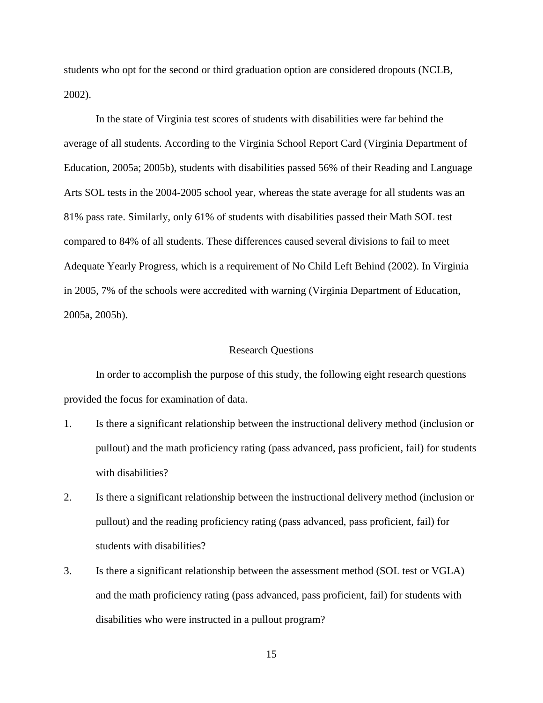students who opt for the second or third graduation option are considered dropouts (NCLB, 2002).

In the state of Virginia test scores of students with disabilities were far behind the average of all students. According to the Virginia School Report Card (Virginia Department of Education, 2005a; 2005b), students with disabilities passed 56% of their Reading and Language Arts SOL tests in the 2004-2005 school year, whereas the state average for all students was an 81% pass rate. Similarly, only 61% of students with disabilities passed their Math SOL test compared to 84% of all students. These differences caused several divisions to fail to meet Adequate Yearly Progress, which is a requirement of No Child Left Behind (2002). In Virginia in 2005, 7% of the schools were accredited with warning (Virginia Department of Education, 2005a, 2005b).

#### Research Questions

In order to accomplish the purpose of this study, the following eight research questions provided the focus for examination of data.

- 1. Is there a significant relationship between the instructional delivery method (inclusion or pullout) and the math proficiency rating (pass advanced, pass proficient, fail) for students with disabilities?
- 2. Is there a significant relationship between the instructional delivery method (inclusion or pullout) and the reading proficiency rating (pass advanced, pass proficient, fail) for students with disabilities?
- 3. Is there a significant relationship between the assessment method (SOL test or VGLA) and the math proficiency rating (pass advanced, pass proficient, fail) for students with disabilities who were instructed in a pullout program?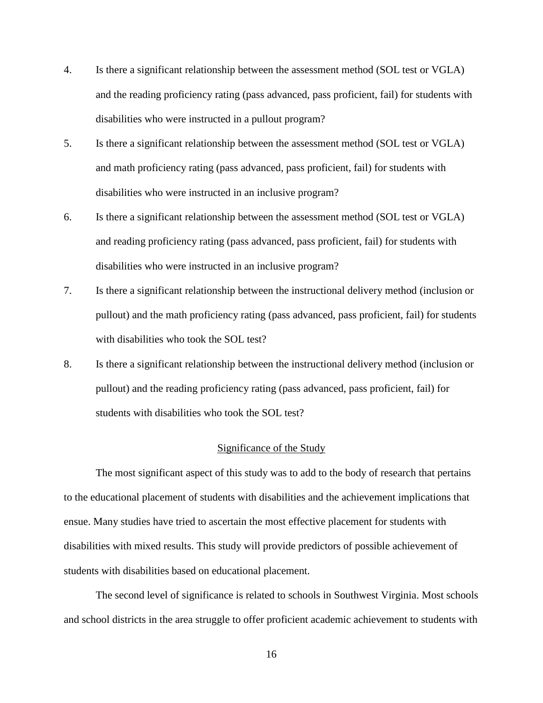- 4. Is there a significant relationship between the assessment method (SOL test or VGLA) and the reading proficiency rating (pass advanced, pass proficient, fail) for students with disabilities who were instructed in a pullout program?
- 5. Is there a significant relationship between the assessment method (SOL test or VGLA) and math proficiency rating (pass advanced, pass proficient, fail) for students with disabilities who were instructed in an inclusive program?
- 6. Is there a significant relationship between the assessment method (SOL test or VGLA) and reading proficiency rating (pass advanced, pass proficient, fail) for students with disabilities who were instructed in an inclusive program?
- 7. Is there a significant relationship between the instructional delivery method (inclusion or pullout) and the math proficiency rating (pass advanced, pass proficient, fail) for students with disabilities who took the SOL test?
- 8. Is there a significant relationship between the instructional delivery method (inclusion or pullout) and the reading proficiency rating (pass advanced, pass proficient, fail) for students with disabilities who took the SOL test?

#### Significance of the Study

The most significant aspect of this study was to add to the body of research that pertains to the educational placement of students with disabilities and the achievement implications that ensue. Many studies have tried to ascertain the most effective placement for students with disabilities with mixed results. This study will provide predictors of possible achievement of students with disabilities based on educational placement.

The second level of significance is related to schools in Southwest Virginia. Most schools and school districts in the area struggle to offer proficient academic achievement to students with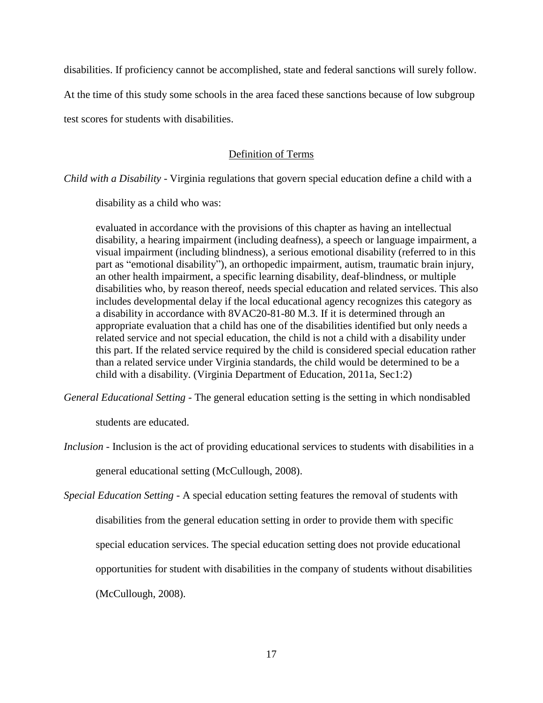disabilities. If proficiency cannot be accomplished, state and federal sanctions will surely follow.

At the time of this study some schools in the area faced these sanctions because of low subgroup

test scores for students with disabilities.

## Definition of Terms

*Child with a Disability* - Virginia regulations that govern special education define a child with a

disability as a child who was:

evaluated in accordance with the provisions of this chapter as having an intellectual disability, a hearing impairment (including deafness), a speech or language impairment, a visual impairment (including blindness), a serious emotional disability (referred to in this part as "emotional disability"), an orthopedic impairment, autism, traumatic brain injury, an other health impairment, a specific learning disability, deaf-blindness, or multiple disabilities who, by reason thereof, needs special education and related services. This also includes developmental delay if the local educational agency recognizes this category as a disability in accordance with 8VAC20-81-80 M.3. If it is determined through an appropriate evaluation that a child has one of the disabilities identified but only needs a related service and not special education, the child is not a child with a disability under this part. If the related service required by the child is considered special education rather than a related service under Virginia standards, the child would be determined to be a child with a disability. (Virginia Department of Education, 2011a, Sec1:2)

*General Educational Setting* - The general education setting is the setting in which nondisabled

students are educated.

*Inclusion* - Inclusion is the act of providing educational services to students with disabilities in a

general educational setting (McCullough, 2008).

*Special Education Setting* - A special education setting features the removal of students with disabilities from the general education setting in order to provide them with specific special education services. The special education setting does not provide educational opportunities for student with disabilities in the company of students without disabilities (McCullough, 2008).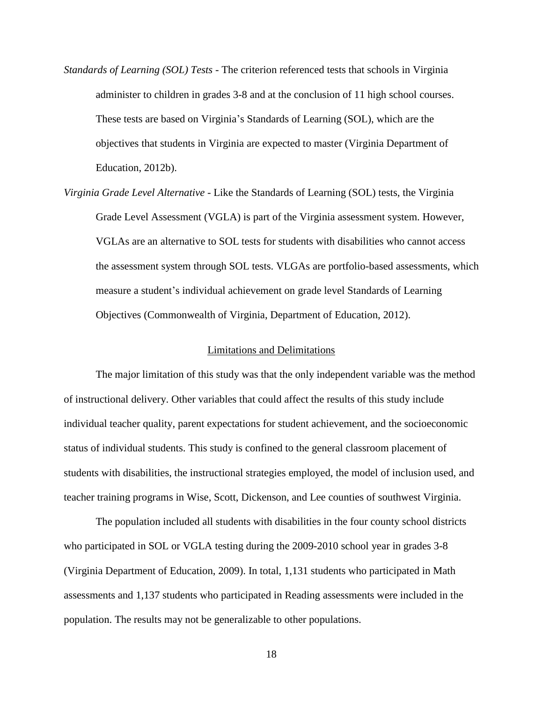- *Standards of Learning (SOL) Tests* The criterion referenced tests that schools in Virginia administer to children in grades 3-8 and at the conclusion of 11 high school courses. These tests are based on Virginia's Standards of Learning (SOL), which are the objectives that students in Virginia are expected to master (Virginia Department of Education, 2012b).
- *Virginia Grade Level Alternative* Like the Standards of Learning (SOL) tests, the Virginia Grade Level Assessment (VGLA) is part of the Virginia assessment system. However, VGLAs are an alternative to SOL tests for students with disabilities who cannot access the assessment system through SOL tests. VLGAs are portfolio-based assessments, which measure a student's individual achievement on grade level Standards of Learning Objectives (Commonwealth of Virginia, Department of Education, 2012).

#### Limitations and Delimitations

The major limitation of this study was that the only independent variable was the method of instructional delivery. Other variables that could affect the results of this study include individual teacher quality, parent expectations for student achievement, and the socioeconomic status of individual students. This study is confined to the general classroom placement of students with disabilities, the instructional strategies employed, the model of inclusion used, and teacher training programs in Wise, Scott, Dickenson, and Lee counties of southwest Virginia.

The population included all students with disabilities in the four county school districts who participated in SOL or VGLA testing during the 2009-2010 school year in grades 3-8 (Virginia Department of Education, 2009). In total, 1,131 students who participated in Math assessments and 1,137 students who participated in Reading assessments were included in the population. The results may not be generalizable to other populations.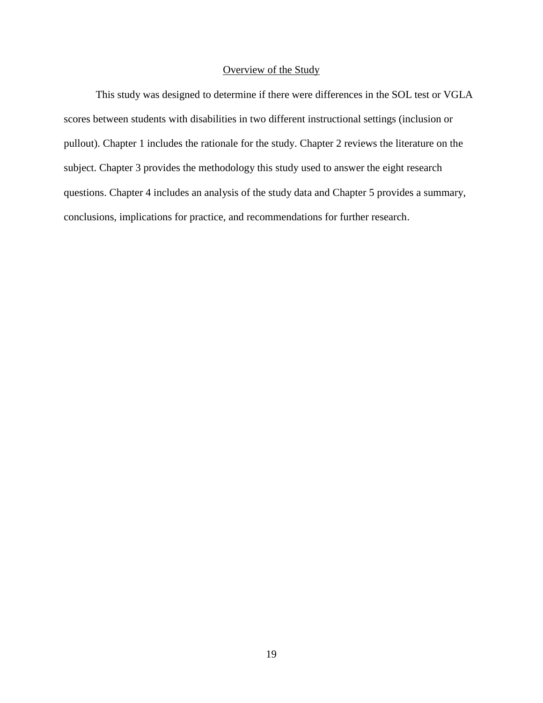## Overview of the Study

This study was designed to determine if there were differences in the SOL test or VGLA scores between students with disabilities in two different instructional settings (inclusion or pullout). Chapter 1 includes the rationale for the study. Chapter 2 reviews the literature on the subject. Chapter 3 provides the methodology this study used to answer the eight research questions. Chapter 4 includes an analysis of the study data and Chapter 5 provides a summary, conclusions, implications for practice, and recommendations for further research.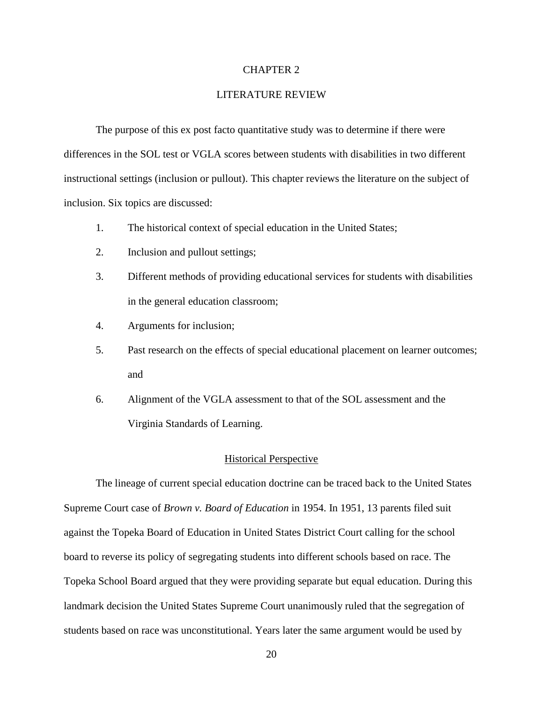#### CHAPTER 2

#### LITERATURE REVIEW

The purpose of this ex post facto quantitative study was to determine if there were differences in the SOL test or VGLA scores between students with disabilities in two different instructional settings (inclusion or pullout). This chapter reviews the literature on the subject of inclusion. Six topics are discussed:

- 1. The historical context of special education in the United States;
- 2. Inclusion and pullout settings;
- 3. Different methods of providing educational services for students with disabilities in the general education classroom;
- 4. Arguments for inclusion;
- 5. Past research on the effects of special educational placement on learner outcomes; and
- 6. Alignment of the VGLA assessment to that of the SOL assessment and the Virginia Standards of Learning.

#### Historical Perspective

The lineage of current special education doctrine can be traced back to the United States Supreme Court case of *Brown v. Board of Education* in 1954. In 1951, 13 parents filed suit against the Topeka Board of Education in United States District Court calling for the school board to reverse its policy of segregating students into different schools based on race. The Topeka School Board argued that they were providing separate but equal education. During this landmark decision the United States Supreme Court unanimously ruled that the segregation of students based on race was unconstitutional. Years later the same argument would be used by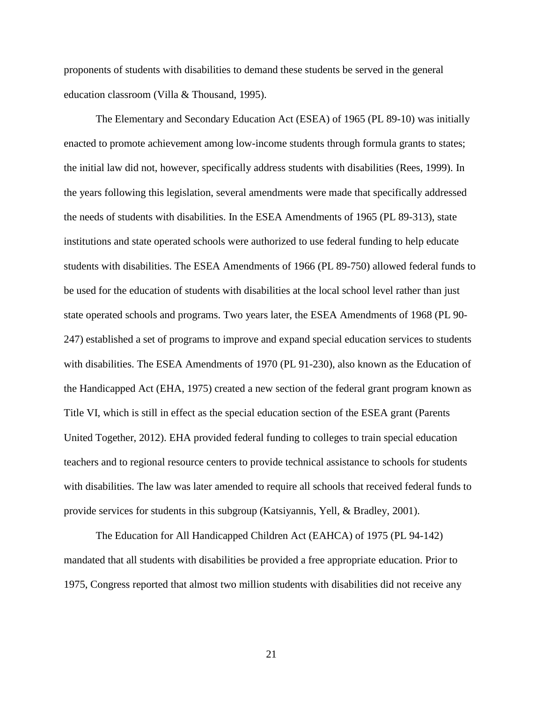proponents of students with disabilities to demand these students be served in the general education classroom (Villa & Thousand, 1995).

The Elementary and Secondary Education Act (ESEA) of 1965 (PL 89-10) was initially enacted to promote achievement among low-income students through formula grants to states; the initial law did not, however, specifically address students with disabilities (Rees, 1999). In the years following this legislation, several amendments were made that specifically addressed the needs of students with disabilities. In the ESEA Amendments of 1965 (PL 89-313), state institutions and state operated schools were authorized to use federal funding to help educate students with disabilities. The ESEA Amendments of 1966 (PL 89-750) allowed federal funds to be used for the education of students with disabilities at the local school level rather than just state operated schools and programs. Two years later, the ESEA Amendments of 1968 (PL 90- 247) established a set of programs to improve and expand special education services to students with disabilities. The ESEA Amendments of 1970 (PL 91-230), also known as the Education of the Handicapped Act (EHA, 1975) created a new section of the federal grant program known as Title VI, which is still in effect as the special education section of the ESEA grant (Parents United Together, 2012). EHA provided federal funding to colleges to train special education teachers and to regional resource centers to provide technical assistance to schools for students with disabilities. The law was later amended to require all schools that received federal funds to provide services for students in this subgroup (Katsiyannis, Yell, & Bradley, 2001).

The Education for All Handicapped Children Act (EAHCA) of 1975 (PL 94-142) mandated that all students with disabilities be provided a free appropriate education. Prior to 1975, Congress reported that almost two million students with disabilities did not receive any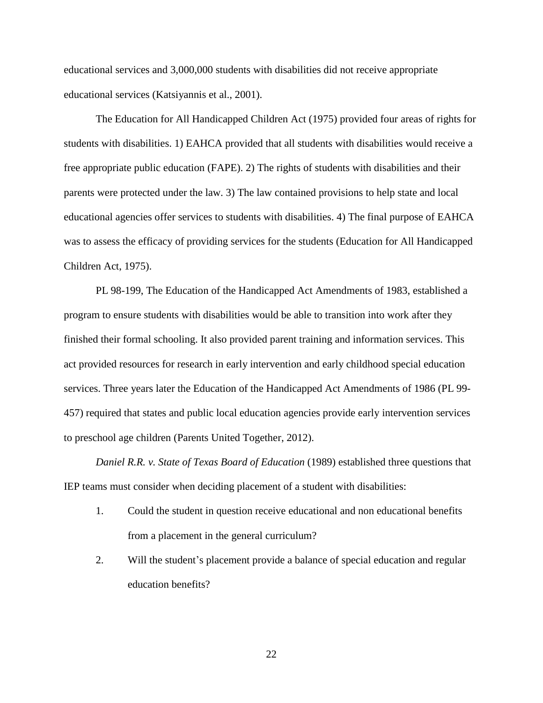educational services and 3,000,000 students with disabilities did not receive appropriate educational services (Katsiyannis et al., 2001).

The Education for All Handicapped Children Act (1975) provided four areas of rights for students with disabilities. 1) EAHCA provided that all students with disabilities would receive a free appropriate public education (FAPE). 2) The rights of students with disabilities and their parents were protected under the law. 3) The law contained provisions to help state and local educational agencies offer services to students with disabilities. 4) The final purpose of EAHCA was to assess the efficacy of providing services for the students (Education for All Handicapped Children Act, 1975).

PL 98-199, The Education of the Handicapped Act Amendments of 1983, established a program to ensure students with disabilities would be able to transition into work after they finished their formal schooling. It also provided parent training and information services. This act provided resources for research in early intervention and early childhood special education services. Three years later the Education of the Handicapped Act Amendments of 1986 (PL 99- 457) required that states and public local education agencies provide early intervention services to preschool age children (Parents United Together, 2012).

*Daniel R.R. v. State of Texas Board of Education* (1989) established three questions that IEP teams must consider when deciding placement of a student with disabilities:

- 1. Could the student in question receive educational and non educational benefits from a placement in the general curriculum?
- 2. Will the student's placement provide a balance of special education and regular education benefits?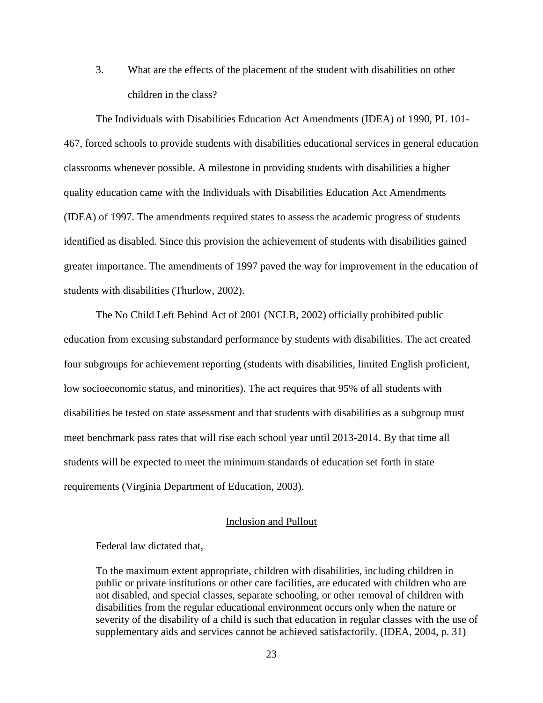3. What are the effects of the placement of the student with disabilities on other children in the class?

The Individuals with Disabilities Education Act Amendments (IDEA) of 1990, PL 101- 467, forced schools to provide students with disabilities educational services in general education classrooms whenever possible. A milestone in providing students with disabilities a higher quality education came with the Individuals with Disabilities Education Act Amendments (IDEA) of 1997. The amendments required states to assess the academic progress of students identified as disabled. Since this provision the achievement of students with disabilities gained greater importance. The amendments of 1997 paved the way for improvement in the education of students with disabilities (Thurlow, 2002).

The No Child Left Behind Act of 2001 (NCLB, 2002) officially prohibited public education from excusing substandard performance by students with disabilities. The act created four subgroups for achievement reporting (students with disabilities, limited English proficient, low socioeconomic status, and minorities). The act requires that 95% of all students with disabilities be tested on state assessment and that students with disabilities as a subgroup must meet benchmark pass rates that will rise each school year until 2013-2014. By that time all students will be expected to meet the minimum standards of education set forth in state requirements (Virginia Department of Education, 2003).

#### Inclusion and Pullout

Federal law dictated that,

To the maximum extent appropriate, children with disabilities, including children in public or private institutions or other care facilities, are educated with children who are not disabled, and special classes, separate schooling, or other removal of children with disabilities from the regular educational environment occurs only when the nature or severity of the disability of a child is such that education in regular classes with the use of supplementary aids and services cannot be achieved satisfactorily. (IDEA, 2004, p. 31)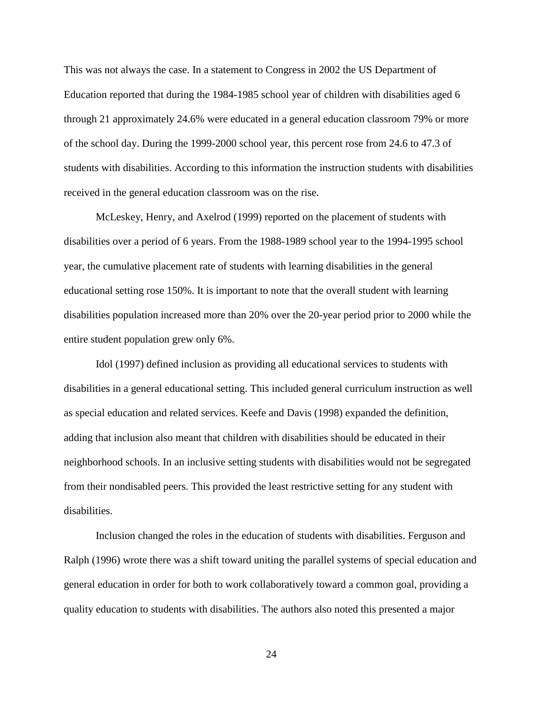This was not always the case. In a statement to Congress in 2002 the US Department of Education reported that during the 1984-1985 school year of children with disabilities aged 6 through 21 approximately 24.6% were educated in a general education classroom 79% or more of the school day. During the 1999-2000 school year, this percent rose from 24.6 to 47.3 of students with disabilities. According to this information the instruction students with disabilities received in the general education classroom was on the rise.

McLeskey, Henry, and Axelrod (1999) reported on the placement of students with disabilities over a period of 6 years. From the 1988-1989 school year to the 1994-1995 school year, the cumulative placement rate of students with learning disabilities in the general educational setting rose 150%. It is important to note that the overall student with learning disabilities population increased more than 20% over the 20-year period prior to 2000 while the entire student population grew only 6%.

Idol (1997) defined inclusion as providing all educational services to students with disabilities in a general educational setting. This included general curriculum instruction as well as special education and related services. Keefe and Davis (1998) expanded the definition, adding that inclusion also meant that children with disabilities should be educated in their neighborhood schools. In an inclusive setting students with disabilities would not be segregated from their nondisabled peers. This provided the least restrictive setting for any student with disabilities.

Inclusion changed the roles in the education of students with disabilities. Ferguson and Ralph (1996) wrote there was a shift toward uniting the parallel systems of special education and general education in order for both to work collaboratively toward a common goal, providing a quality education to students with disabilities. The authors also noted this presented a major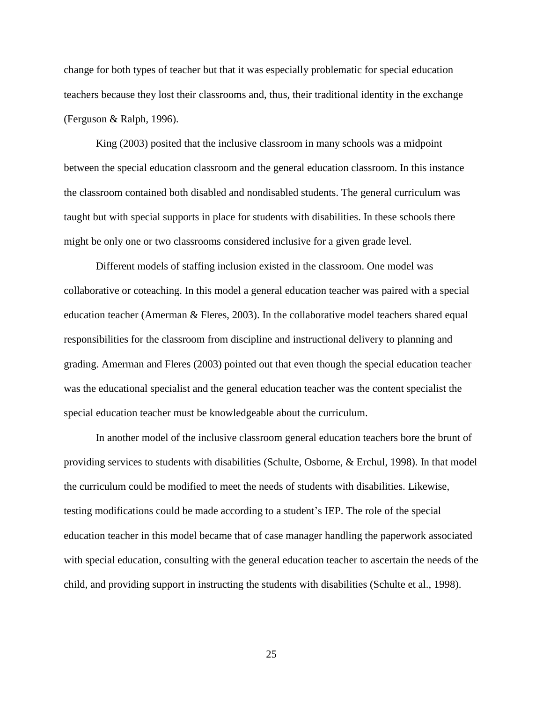change for both types of teacher but that it was especially problematic for special education teachers because they lost their classrooms and, thus, their traditional identity in the exchange (Ferguson & Ralph, 1996).

King (2003) posited that the inclusive classroom in many schools was a midpoint between the special education classroom and the general education classroom. In this instance the classroom contained both disabled and nondisabled students. The general curriculum was taught but with special supports in place for students with disabilities. In these schools there might be only one or two classrooms considered inclusive for a given grade level.

Different models of staffing inclusion existed in the classroom. One model was collaborative or coteaching. In this model a general education teacher was paired with a special education teacher (Amerman & Fleres, 2003). In the collaborative model teachers shared equal responsibilities for the classroom from discipline and instructional delivery to planning and grading. Amerman and Fleres (2003) pointed out that even though the special education teacher was the educational specialist and the general education teacher was the content specialist the special education teacher must be knowledgeable about the curriculum.

In another model of the inclusive classroom general education teachers bore the brunt of providing services to students with disabilities (Schulte, Osborne, & Erchul, 1998). In that model the curriculum could be modified to meet the needs of students with disabilities. Likewise, testing modifications could be made according to a student's IEP. The role of the special education teacher in this model became that of case manager handling the paperwork associated with special education, consulting with the general education teacher to ascertain the needs of the child, and providing support in instructing the students with disabilities (Schulte et al., 1998).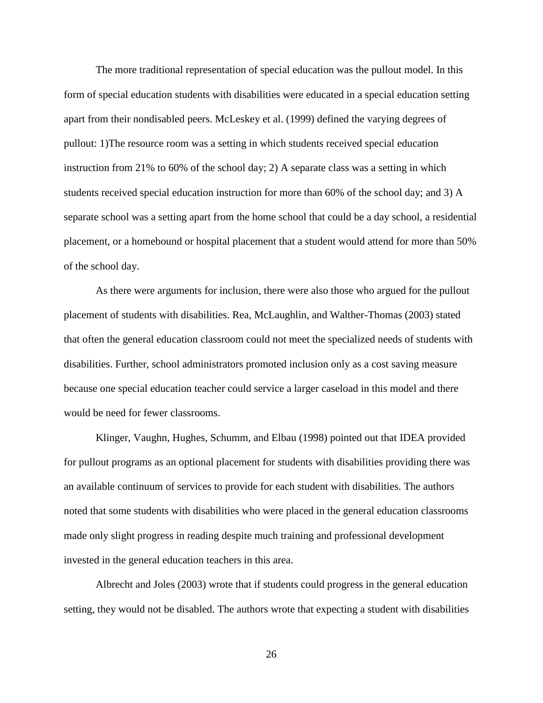The more traditional representation of special education was the pullout model. In this form of special education students with disabilities were educated in a special education setting apart from their nondisabled peers. McLeskey et al. (1999) defined the varying degrees of pullout: 1)The resource room was a setting in which students received special education instruction from 21% to 60% of the school day; 2) A separate class was a setting in which students received special education instruction for more than 60% of the school day; and 3) A separate school was a setting apart from the home school that could be a day school, a residential placement, or a homebound or hospital placement that a student would attend for more than 50% of the school day.

As there were arguments for inclusion, there were also those who argued for the pullout placement of students with disabilities. Rea, McLaughlin, and Walther-Thomas (2003) stated that often the general education classroom could not meet the specialized needs of students with disabilities. Further, school administrators promoted inclusion only as a cost saving measure because one special education teacher could service a larger caseload in this model and there would be need for fewer classrooms.

Klinger, Vaughn, Hughes, Schumm, and Elbau (1998) pointed out that IDEA provided for pullout programs as an optional placement for students with disabilities providing there was an available continuum of services to provide for each student with disabilities. The authors noted that some students with disabilities who were placed in the general education classrooms made only slight progress in reading despite much training and professional development invested in the general education teachers in this area.

Albrecht and Joles (2003) wrote that if students could progress in the general education setting, they would not be disabled. The authors wrote that expecting a student with disabilities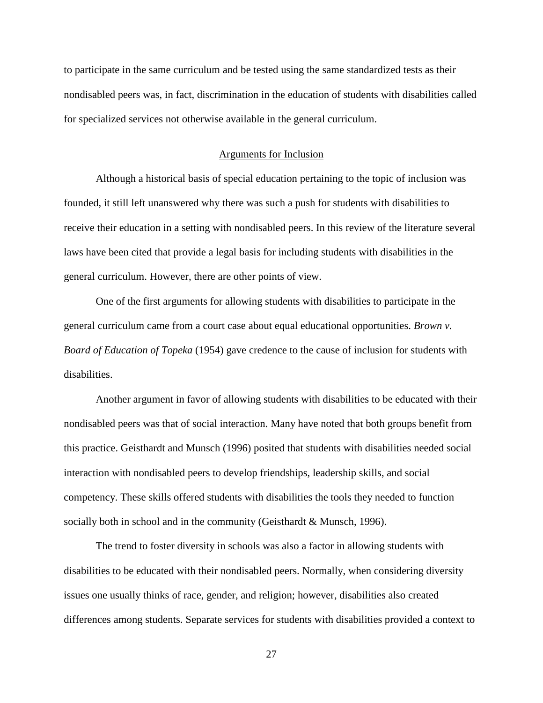to participate in the same curriculum and be tested using the same standardized tests as their nondisabled peers was, in fact, discrimination in the education of students with disabilities called for specialized services not otherwise available in the general curriculum.

#### Arguments for Inclusion

Although a historical basis of special education pertaining to the topic of inclusion was founded, it still left unanswered why there was such a push for students with disabilities to receive their education in a setting with nondisabled peers. In this review of the literature several laws have been cited that provide a legal basis for including students with disabilities in the general curriculum. However, there are other points of view.

One of the first arguments for allowing students with disabilities to participate in the general curriculum came from a court case about equal educational opportunities. *Brown v. Board of Education of Topeka* (1954) gave credence to the cause of inclusion for students with disabilities.

Another argument in favor of allowing students with disabilities to be educated with their nondisabled peers was that of social interaction. Many have noted that both groups benefit from this practice. Geisthardt and Munsch (1996) posited that students with disabilities needed social interaction with nondisabled peers to develop friendships, leadership skills, and social competency. These skills offered students with disabilities the tools they needed to function socially both in school and in the community (Geisthardt & Munsch, 1996).

The trend to foster diversity in schools was also a factor in allowing students with disabilities to be educated with their nondisabled peers. Normally, when considering diversity issues one usually thinks of race, gender, and religion; however, disabilities also created differences among students. Separate services for students with disabilities provided a context to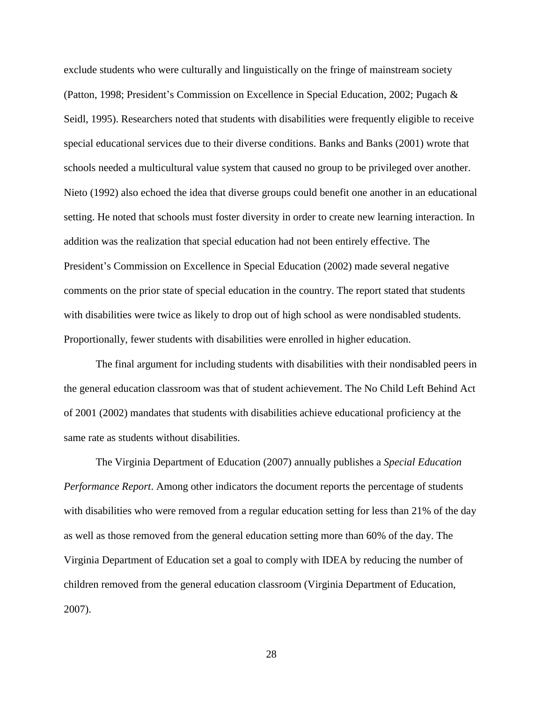exclude students who were culturally and linguistically on the fringe of mainstream society (Patton, 1998; President's Commission on Excellence in Special Education, 2002; Pugach & Seidl, 1995). Researchers noted that students with disabilities were frequently eligible to receive special educational services due to their diverse conditions. Banks and Banks (2001) wrote that schools needed a multicultural value system that caused no group to be privileged over another. Nieto (1992) also echoed the idea that diverse groups could benefit one another in an educational setting. He noted that schools must foster diversity in order to create new learning interaction. In addition was the realization that special education had not been entirely effective. The President's Commission on Excellence in Special Education (2002) made several negative comments on the prior state of special education in the country. The report stated that students with disabilities were twice as likely to drop out of high school as were nondisabled students. Proportionally, fewer students with disabilities were enrolled in higher education.

The final argument for including students with disabilities with their nondisabled peers in the general education classroom was that of student achievement. The No Child Left Behind Act of 2001 (2002) mandates that students with disabilities achieve educational proficiency at the same rate as students without disabilities.

The Virginia Department of Education (2007) annually publishes a *Special Education Performance Report*. Among other indicators the document reports the percentage of students with disabilities who were removed from a regular education setting for less than 21% of the day as well as those removed from the general education setting more than 60% of the day. The Virginia Department of Education set a goal to comply with IDEA by reducing the number of children removed from the general education classroom (Virginia Department of Education, 2007).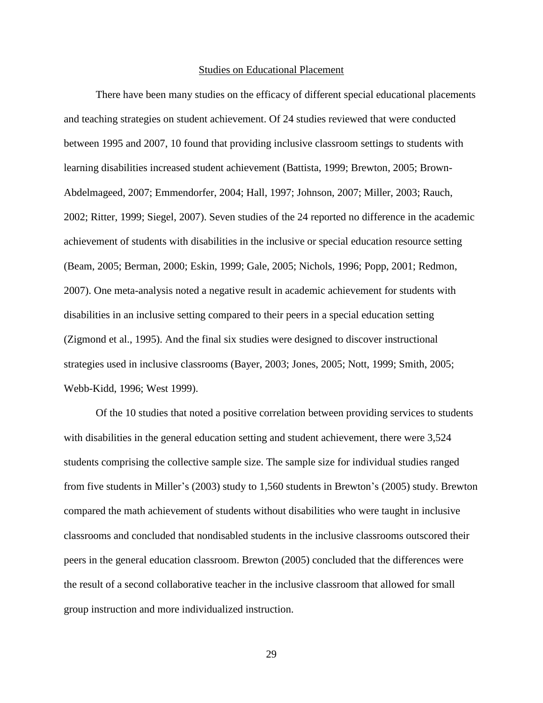#### Studies on Educational Placement

There have been many studies on the efficacy of different special educational placements and teaching strategies on student achievement. Of 24 studies reviewed that were conducted between 1995 and 2007, 10 found that providing inclusive classroom settings to students with learning disabilities increased student achievement (Battista, 1999; Brewton, 2005; Brown-Abdelmageed, 2007; Emmendorfer, 2004; Hall, 1997; Johnson, 2007; Miller, 2003; Rauch, 2002; Ritter, 1999; Siegel, 2007). Seven studies of the 24 reported no difference in the academic achievement of students with disabilities in the inclusive or special education resource setting (Beam, 2005; Berman, 2000; Eskin, 1999; Gale, 2005; Nichols, 1996; Popp, 2001; Redmon, 2007). One meta-analysis noted a negative result in academic achievement for students with disabilities in an inclusive setting compared to their peers in a special education setting (Zigmond et al., 1995). And the final six studies were designed to discover instructional strategies used in inclusive classrooms (Bayer, 2003; Jones, 2005; Nott, 1999; Smith, 2005; Webb-Kidd, 1996; West 1999).

Of the 10 studies that noted a positive correlation between providing services to students with disabilities in the general education setting and student achievement, there were 3,524 students comprising the collective sample size. The sample size for individual studies ranged from five students in Miller's (2003) study to 1,560 students in Brewton's (2005) study. Brewton compared the math achievement of students without disabilities who were taught in inclusive classrooms and concluded that nondisabled students in the inclusive classrooms outscored their peers in the general education classroom. Brewton (2005) concluded that the differences were the result of a second collaborative teacher in the inclusive classroom that allowed for small group instruction and more individualized instruction.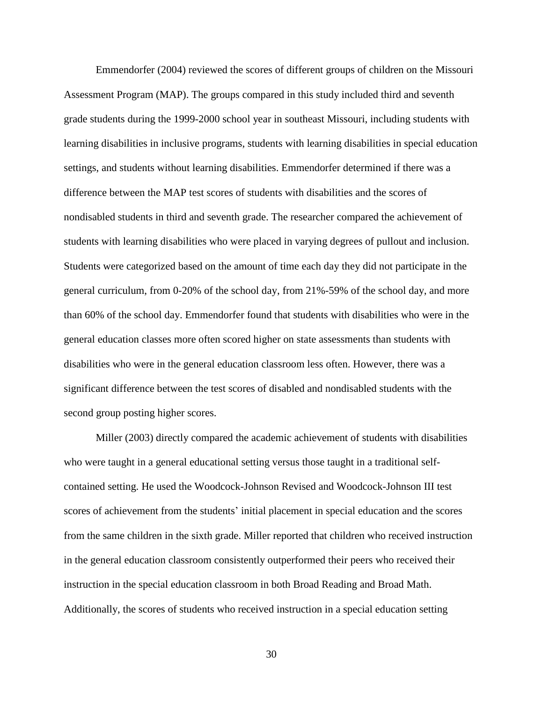Emmendorfer (2004) reviewed the scores of different groups of children on the Missouri Assessment Program (MAP). The groups compared in this study included third and seventh grade students during the 1999-2000 school year in southeast Missouri, including students with learning disabilities in inclusive programs, students with learning disabilities in special education settings, and students without learning disabilities. Emmendorfer determined if there was a difference between the MAP test scores of students with disabilities and the scores of nondisabled students in third and seventh grade. The researcher compared the achievement of students with learning disabilities who were placed in varying degrees of pullout and inclusion. Students were categorized based on the amount of time each day they did not participate in the general curriculum, from 0-20% of the school day, from 21%-59% of the school day, and more than 60% of the school day. Emmendorfer found that students with disabilities who were in the general education classes more often scored higher on state assessments than students with disabilities who were in the general education classroom less often. However, there was a significant difference between the test scores of disabled and nondisabled students with the second group posting higher scores.

Miller (2003) directly compared the academic achievement of students with disabilities who were taught in a general educational setting versus those taught in a traditional selfcontained setting. He used the Woodcock-Johnson Revised and Woodcock-Johnson III test scores of achievement from the students' initial placement in special education and the scores from the same children in the sixth grade. Miller reported that children who received instruction in the general education classroom consistently outperformed their peers who received their instruction in the special education classroom in both Broad Reading and Broad Math. Additionally, the scores of students who received instruction in a special education setting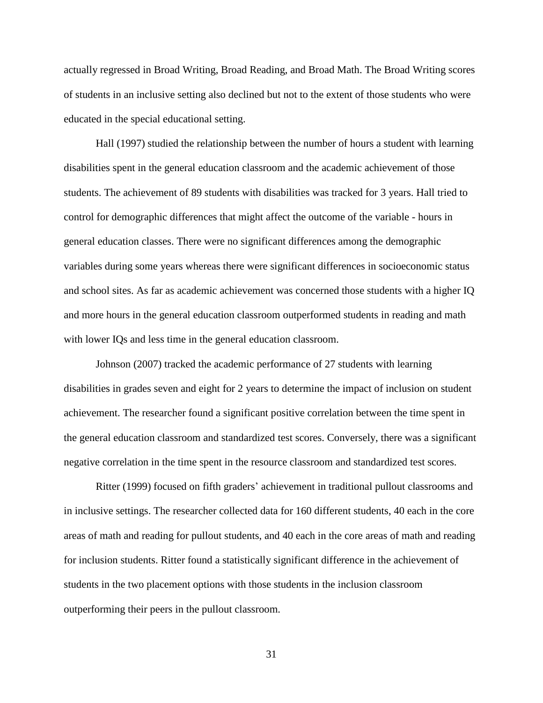actually regressed in Broad Writing, Broad Reading, and Broad Math. The Broad Writing scores of students in an inclusive setting also declined but not to the extent of those students who were educated in the special educational setting.

Hall (1997) studied the relationship between the number of hours a student with learning disabilities spent in the general education classroom and the academic achievement of those students. The achievement of 89 students with disabilities was tracked for 3 years. Hall tried to control for demographic differences that might affect the outcome of the variable - hours in general education classes. There were no significant differences among the demographic variables during some years whereas there were significant differences in socioeconomic status and school sites. As far as academic achievement was concerned those students with a higher IQ and more hours in the general education classroom outperformed students in reading and math with lower IQs and less time in the general education classroom.

Johnson (2007) tracked the academic performance of 27 students with learning disabilities in grades seven and eight for 2 years to determine the impact of inclusion on student achievement. The researcher found a significant positive correlation between the time spent in the general education classroom and standardized test scores. Conversely, there was a significant negative correlation in the time spent in the resource classroom and standardized test scores.

Ritter (1999) focused on fifth graders' achievement in traditional pullout classrooms and in inclusive settings. The researcher collected data for 160 different students, 40 each in the core areas of math and reading for pullout students, and 40 each in the core areas of math and reading for inclusion students. Ritter found a statistically significant difference in the achievement of students in the two placement options with those students in the inclusion classroom outperforming their peers in the pullout classroom.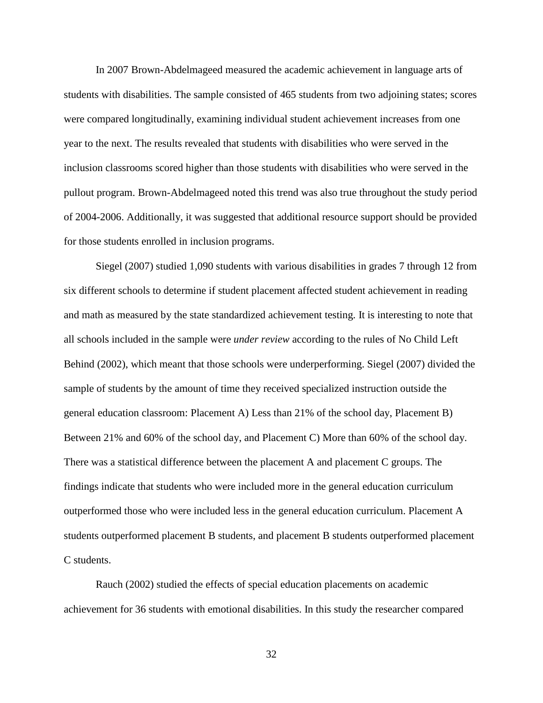In 2007 Brown-Abdelmageed measured the academic achievement in language arts of students with disabilities. The sample consisted of 465 students from two adjoining states; scores were compared longitudinally, examining individual student achievement increases from one year to the next. The results revealed that students with disabilities who were served in the inclusion classrooms scored higher than those students with disabilities who were served in the pullout program. Brown-Abdelmageed noted this trend was also true throughout the study period of 2004-2006. Additionally, it was suggested that additional resource support should be provided for those students enrolled in inclusion programs.

Siegel (2007) studied 1,090 students with various disabilities in grades 7 through 12 from six different schools to determine if student placement affected student achievement in reading and math as measured by the state standardized achievement testing. It is interesting to note that all schools included in the sample were *under review* according to the rules of No Child Left Behind (2002), which meant that those schools were underperforming. Siegel (2007) divided the sample of students by the amount of time they received specialized instruction outside the general education classroom: Placement A) Less than 21% of the school day, Placement B) Between 21% and 60% of the school day, and Placement C) More than 60% of the school day. There was a statistical difference between the placement A and placement C groups. The findings indicate that students who were included more in the general education curriculum outperformed those who were included less in the general education curriculum. Placement A students outperformed placement B students, and placement B students outperformed placement C students.

Rauch (2002) studied the effects of special education placements on academic achievement for 36 students with emotional disabilities. In this study the researcher compared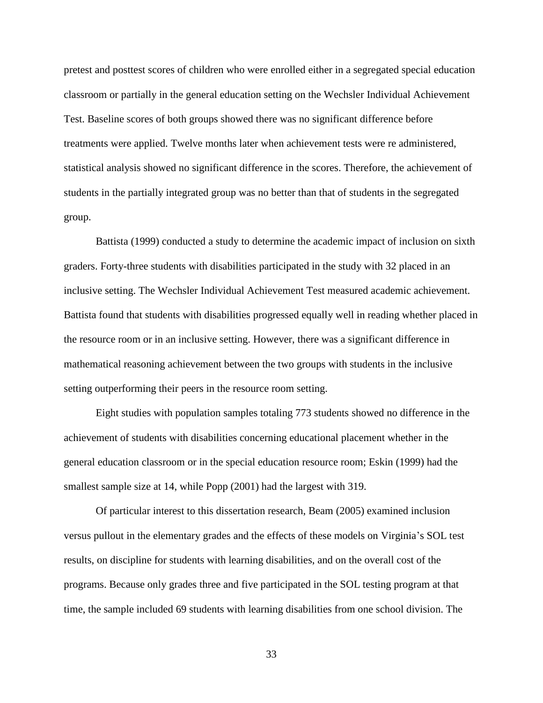pretest and posttest scores of children who were enrolled either in a segregated special education classroom or partially in the general education setting on the Wechsler Individual Achievement Test. Baseline scores of both groups showed there was no significant difference before treatments were applied. Twelve months later when achievement tests were re administered, statistical analysis showed no significant difference in the scores. Therefore, the achievement of students in the partially integrated group was no better than that of students in the segregated group.

Battista (1999) conducted a study to determine the academic impact of inclusion on sixth graders. Forty-three students with disabilities participated in the study with 32 placed in an inclusive setting. The Wechsler Individual Achievement Test measured academic achievement. Battista found that students with disabilities progressed equally well in reading whether placed in the resource room or in an inclusive setting. However, there was a significant difference in mathematical reasoning achievement between the two groups with students in the inclusive setting outperforming their peers in the resource room setting.

Eight studies with population samples totaling 773 students showed no difference in the achievement of students with disabilities concerning educational placement whether in the general education classroom or in the special education resource room; Eskin (1999) had the smallest sample size at 14, while Popp (2001) had the largest with 319.

Of particular interest to this dissertation research, Beam (2005) examined inclusion versus pullout in the elementary grades and the effects of these models on Virginia's SOL test results, on discipline for students with learning disabilities, and on the overall cost of the programs. Because only grades three and five participated in the SOL testing program at that time, the sample included 69 students with learning disabilities from one school division. The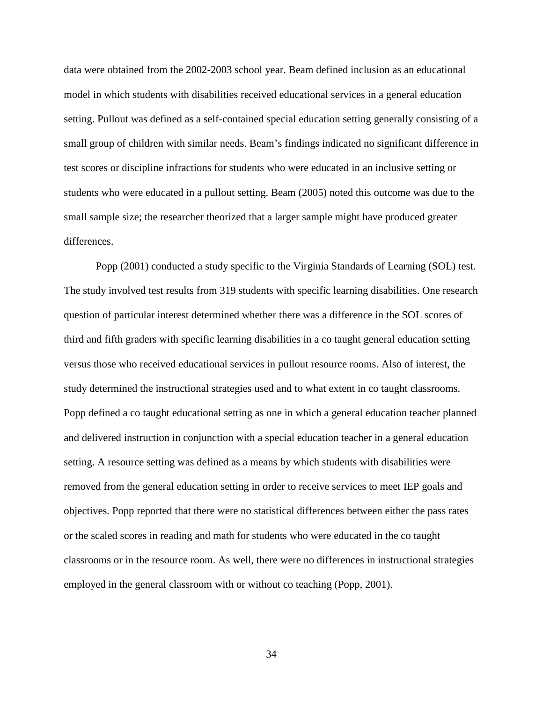data were obtained from the 2002-2003 school year. Beam defined inclusion as an educational model in which students with disabilities received educational services in a general education setting. Pullout was defined as a self-contained special education setting generally consisting of a small group of children with similar needs. Beam's findings indicated no significant difference in test scores or discipline infractions for students who were educated in an inclusive setting or students who were educated in a pullout setting. Beam (2005) noted this outcome was due to the small sample size; the researcher theorized that a larger sample might have produced greater differences.

Popp (2001) conducted a study specific to the Virginia Standards of Learning (SOL) test. The study involved test results from 319 students with specific learning disabilities. One research question of particular interest determined whether there was a difference in the SOL scores of third and fifth graders with specific learning disabilities in a co taught general education setting versus those who received educational services in pullout resource rooms. Also of interest, the study determined the instructional strategies used and to what extent in co taught classrooms. Popp defined a co taught educational setting as one in which a general education teacher planned and delivered instruction in conjunction with a special education teacher in a general education setting. A resource setting was defined as a means by which students with disabilities were removed from the general education setting in order to receive services to meet IEP goals and objectives. Popp reported that there were no statistical differences between either the pass rates or the scaled scores in reading and math for students who were educated in the co taught classrooms or in the resource room. As well, there were no differences in instructional strategies employed in the general classroom with or without co teaching (Popp, 2001).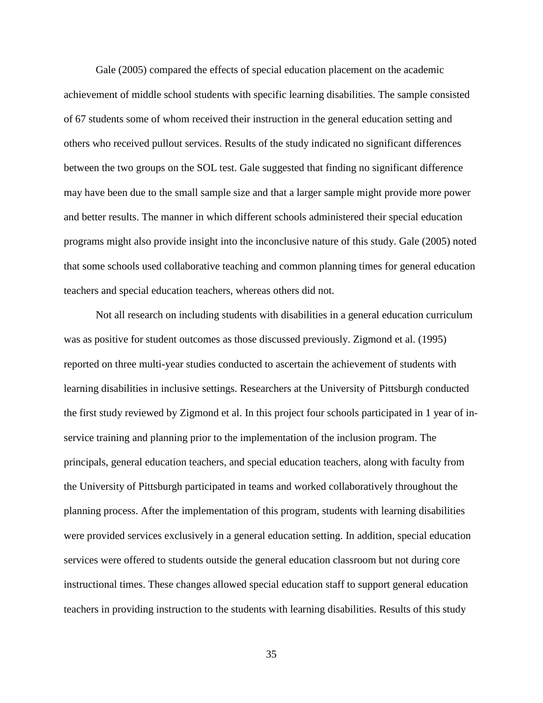Gale (2005) compared the effects of special education placement on the academic achievement of middle school students with specific learning disabilities. The sample consisted of 67 students some of whom received their instruction in the general education setting and others who received pullout services. Results of the study indicated no significant differences between the two groups on the SOL test. Gale suggested that finding no significant difference may have been due to the small sample size and that a larger sample might provide more power and better results. The manner in which different schools administered their special education programs might also provide insight into the inconclusive nature of this study. Gale (2005) noted that some schools used collaborative teaching and common planning times for general education teachers and special education teachers, whereas others did not.

Not all research on including students with disabilities in a general education curriculum was as positive for student outcomes as those discussed previously. Zigmond et al. (1995) reported on three multi-year studies conducted to ascertain the achievement of students with learning disabilities in inclusive settings. Researchers at the University of Pittsburgh conducted the first study reviewed by Zigmond et al. In this project four schools participated in 1 year of inservice training and planning prior to the implementation of the inclusion program. The principals, general education teachers, and special education teachers, along with faculty from the University of Pittsburgh participated in teams and worked collaboratively throughout the planning process. After the implementation of this program, students with learning disabilities were provided services exclusively in a general education setting. In addition, special education services were offered to students outside the general education classroom but not during core instructional times. These changes allowed special education staff to support general education teachers in providing instruction to the students with learning disabilities. Results of this study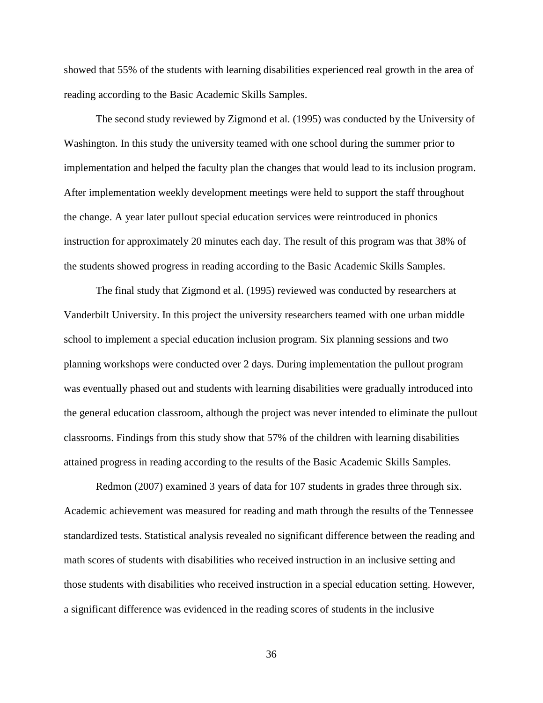showed that 55% of the students with learning disabilities experienced real growth in the area of reading according to the Basic Academic Skills Samples.

The second study reviewed by Zigmond et al. (1995) was conducted by the University of Washington. In this study the university teamed with one school during the summer prior to implementation and helped the faculty plan the changes that would lead to its inclusion program. After implementation weekly development meetings were held to support the staff throughout the change. A year later pullout special education services were reintroduced in phonics instruction for approximately 20 minutes each day. The result of this program was that 38% of the students showed progress in reading according to the Basic Academic Skills Samples.

The final study that Zigmond et al. (1995) reviewed was conducted by researchers at Vanderbilt University. In this project the university researchers teamed with one urban middle school to implement a special education inclusion program. Six planning sessions and two planning workshops were conducted over 2 days. During implementation the pullout program was eventually phased out and students with learning disabilities were gradually introduced into the general education classroom, although the project was never intended to eliminate the pullout classrooms. Findings from this study show that 57% of the children with learning disabilities attained progress in reading according to the results of the Basic Academic Skills Samples.

Redmon (2007) examined 3 years of data for 107 students in grades three through six. Academic achievement was measured for reading and math through the results of the Tennessee standardized tests. Statistical analysis revealed no significant difference between the reading and math scores of students with disabilities who received instruction in an inclusive setting and those students with disabilities who received instruction in a special education setting. However, a significant difference was evidenced in the reading scores of students in the inclusive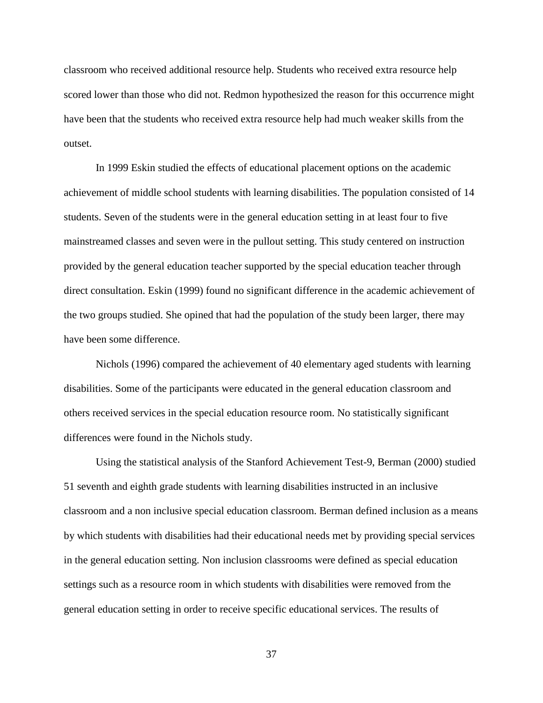classroom who received additional resource help. Students who received extra resource help scored lower than those who did not. Redmon hypothesized the reason for this occurrence might have been that the students who received extra resource help had much weaker skills from the outset.

In 1999 Eskin studied the effects of educational placement options on the academic achievement of middle school students with learning disabilities. The population consisted of 14 students. Seven of the students were in the general education setting in at least four to five mainstreamed classes and seven were in the pullout setting. This study centered on instruction provided by the general education teacher supported by the special education teacher through direct consultation. Eskin (1999) found no significant difference in the academic achievement of the two groups studied. She opined that had the population of the study been larger, there may have been some difference.

Nichols (1996) compared the achievement of 40 elementary aged students with learning disabilities. Some of the participants were educated in the general education classroom and others received services in the special education resource room. No statistically significant differences were found in the Nichols study.

Using the statistical analysis of the Stanford Achievement Test-9, Berman (2000) studied 51 seventh and eighth grade students with learning disabilities instructed in an inclusive classroom and a non inclusive special education classroom. Berman defined inclusion as a means by which students with disabilities had their educational needs met by providing special services in the general education setting. Non inclusion classrooms were defined as special education settings such as a resource room in which students with disabilities were removed from the general education setting in order to receive specific educational services. The results of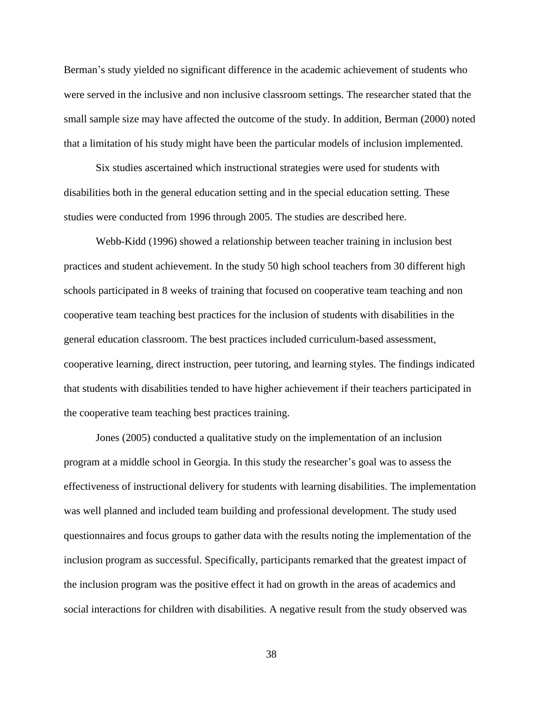Berman's study yielded no significant difference in the academic achievement of students who were served in the inclusive and non inclusive classroom settings. The researcher stated that the small sample size may have affected the outcome of the study. In addition, Berman (2000) noted that a limitation of his study might have been the particular models of inclusion implemented.

Six studies ascertained which instructional strategies were used for students with disabilities both in the general education setting and in the special education setting. These studies were conducted from 1996 through 2005. The studies are described here.

Webb-Kidd (1996) showed a relationship between teacher training in inclusion best practices and student achievement. In the study 50 high school teachers from 30 different high schools participated in 8 weeks of training that focused on cooperative team teaching and non cooperative team teaching best practices for the inclusion of students with disabilities in the general education classroom. The best practices included curriculum-based assessment, cooperative learning, direct instruction, peer tutoring, and learning styles. The findings indicated that students with disabilities tended to have higher achievement if their teachers participated in the cooperative team teaching best practices training.

Jones (2005) conducted a qualitative study on the implementation of an inclusion program at a middle school in Georgia. In this study the researcher's goal was to assess the effectiveness of instructional delivery for students with learning disabilities. The implementation was well planned and included team building and professional development. The study used questionnaires and focus groups to gather data with the results noting the implementation of the inclusion program as successful. Specifically, participants remarked that the greatest impact of the inclusion program was the positive effect it had on growth in the areas of academics and social interactions for children with disabilities. A negative result from the study observed was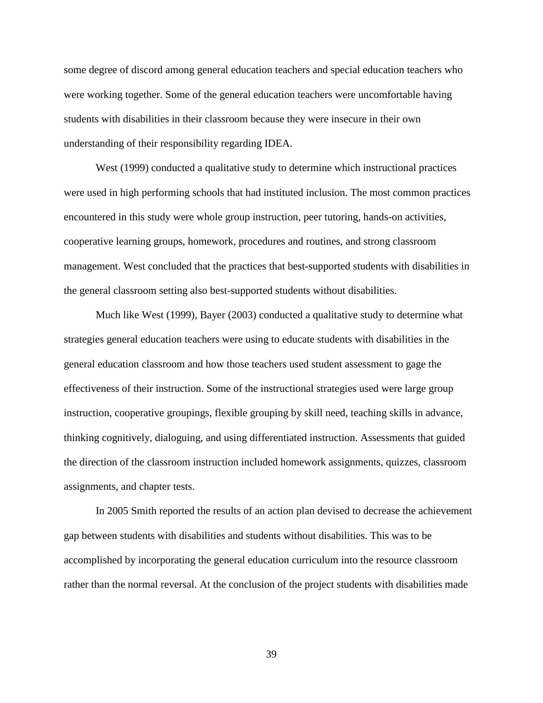some degree of discord among general education teachers and special education teachers who were working together. Some of the general education teachers were uncomfortable having students with disabilities in their classroom because they were insecure in their own understanding of their responsibility regarding IDEA.

West (1999) conducted a qualitative study to determine which instructional practices were used in high performing schools that had instituted inclusion. The most common practices encountered in this study were whole group instruction, peer tutoring, hands-on activities, cooperative learning groups, homework, procedures and routines, and strong classroom management. West concluded that the practices that best-supported students with disabilities in the general classroom setting also best-supported students without disabilities.

Much like West (1999), Bayer (2003) conducted a qualitative study to determine what strategies general education teachers were using to educate students with disabilities in the general education classroom and how those teachers used student assessment to gage the effectiveness of their instruction. Some of the instructional strategies used were large group instruction, cooperative groupings, flexible grouping by skill need, teaching skills in advance, thinking cognitively, dialoguing, and using differentiated instruction. Assessments that guided the direction of the classroom instruction included homework assignments, quizzes, classroom assignments, and chapter tests.

In 2005 Smith reported the results of an action plan devised to decrease the achievement gap between students with disabilities and students without disabilities. This was to be accomplished by incorporating the general education curriculum into the resource classroom rather than the normal reversal. At the conclusion of the project students with disabilities made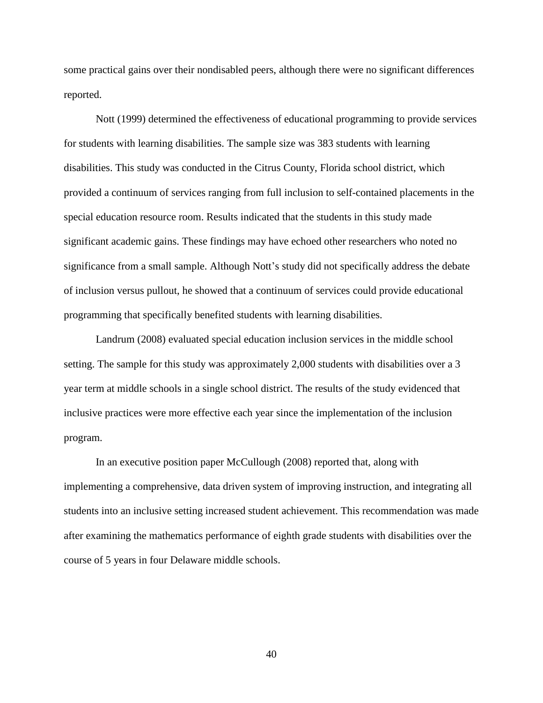some practical gains over their nondisabled peers, although there were no significant differences reported.

Nott (1999) determined the effectiveness of educational programming to provide services for students with learning disabilities. The sample size was 383 students with learning disabilities. This study was conducted in the Citrus County, Florida school district, which provided a continuum of services ranging from full inclusion to self-contained placements in the special education resource room. Results indicated that the students in this study made significant academic gains. These findings may have echoed other researchers who noted no significance from a small sample. Although Nott's study did not specifically address the debate of inclusion versus pullout, he showed that a continuum of services could provide educational programming that specifically benefited students with learning disabilities.

Landrum (2008) evaluated special education inclusion services in the middle school setting. The sample for this study was approximately 2,000 students with disabilities over a 3 year term at middle schools in a single school district. The results of the study evidenced that inclusive practices were more effective each year since the implementation of the inclusion program.

In an executive position paper McCullough (2008) reported that, along with implementing a comprehensive, data driven system of improving instruction, and integrating all students into an inclusive setting increased student achievement. This recommendation was made after examining the mathematics performance of eighth grade students with disabilities over the course of 5 years in four Delaware middle schools.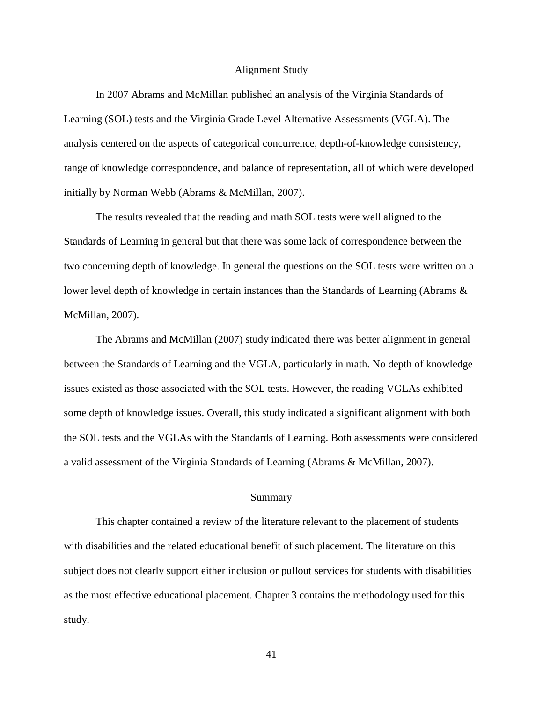### Alignment Study

In 2007 Abrams and McMillan published an analysis of the Virginia Standards of Learning (SOL) tests and the Virginia Grade Level Alternative Assessments (VGLA). The analysis centered on the aspects of categorical concurrence, depth-of-knowledge consistency, range of knowledge correspondence, and balance of representation, all of which were developed initially by Norman Webb (Abrams & McMillan, 2007).

The results revealed that the reading and math SOL tests were well aligned to the Standards of Learning in general but that there was some lack of correspondence between the two concerning depth of knowledge. In general the questions on the SOL tests were written on a lower level depth of knowledge in certain instances than the Standards of Learning (Abrams & McMillan, 2007).

The Abrams and McMillan (2007) study indicated there was better alignment in general between the Standards of Learning and the VGLA, particularly in math. No depth of knowledge issues existed as those associated with the SOL tests. However, the reading VGLAs exhibited some depth of knowledge issues. Overall, this study indicated a significant alignment with both the SOL tests and the VGLAs with the Standards of Learning. Both assessments were considered a valid assessment of the Virginia Standards of Learning (Abrams & McMillan, 2007).

### Summary

This chapter contained a review of the literature relevant to the placement of students with disabilities and the related educational benefit of such placement. The literature on this subject does not clearly support either inclusion or pullout services for students with disabilities as the most effective educational placement. Chapter 3 contains the methodology used for this study.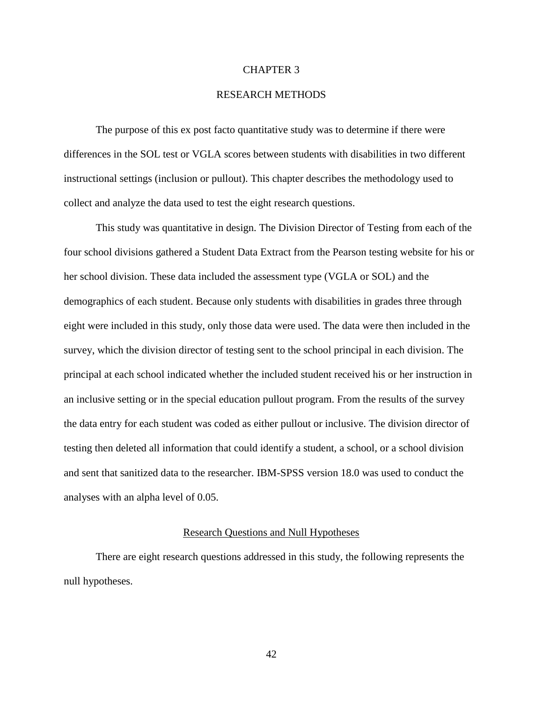### CHAPTER 3

# RESEARCH METHODS

The purpose of this ex post facto quantitative study was to determine if there were differences in the SOL test or VGLA scores between students with disabilities in two different instructional settings (inclusion or pullout). This chapter describes the methodology used to collect and analyze the data used to test the eight research questions.

This study was quantitative in design. The Division Director of Testing from each of the four school divisions gathered a Student Data Extract from the Pearson testing website for his or her school division. These data included the assessment type (VGLA or SOL) and the demographics of each student. Because only students with disabilities in grades three through eight were included in this study, only those data were used. The data were then included in the survey, which the division director of testing sent to the school principal in each division. The principal at each school indicated whether the included student received his or her instruction in an inclusive setting or in the special education pullout program. From the results of the survey the data entry for each student was coded as either pullout or inclusive. The division director of testing then deleted all information that could identify a student, a school, or a school division and sent that sanitized data to the researcher. IBM-SPSS version 18.0 was used to conduct the analyses with an alpha level of 0.05.

# Research Questions and Null Hypotheses

There are eight research questions addressed in this study, the following represents the null hypotheses.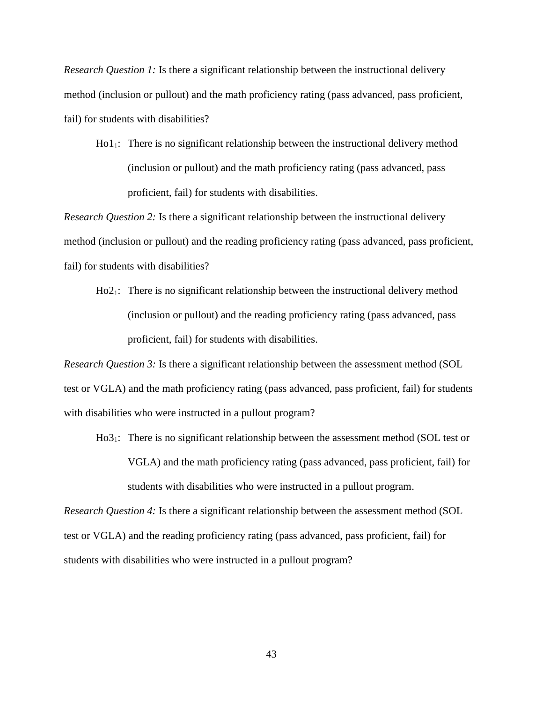*Research Question 1:* Is there a significant relationship between the instructional delivery method (inclusion or pullout) and the math proficiency rating (pass advanced, pass proficient, fail) for students with disabilities?

Ho11: There is no significant relationship between the instructional delivery method (inclusion or pullout) and the math proficiency rating (pass advanced, pass proficient, fail) for students with disabilities.

*Research Question 2:* Is there a significant relationship between the instructional delivery method (inclusion or pullout) and the reading proficiency rating (pass advanced, pass proficient, fail) for students with disabilities?

Ho21: There is no significant relationship between the instructional delivery method (inclusion or pullout) and the reading proficiency rating (pass advanced, pass proficient, fail) for students with disabilities.

*Research Question 3:* Is there a significant relationship between the assessment method (SOL test or VGLA) and the math proficiency rating (pass advanced, pass proficient, fail) for students with disabilities who were instructed in a pullout program?

Ho3<sub>1</sub>: There is no significant relationship between the assessment method (SOL test or VGLA) and the math proficiency rating (pass advanced, pass proficient, fail) for students with disabilities who were instructed in a pullout program.

*Research Question 4:* Is there a significant relationship between the assessment method (SOL test or VGLA) and the reading proficiency rating (pass advanced, pass proficient, fail) for students with disabilities who were instructed in a pullout program?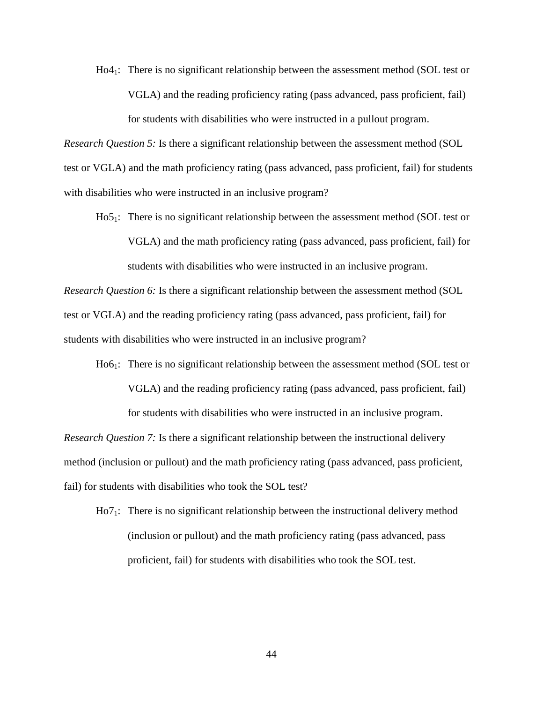Ho41: There is no significant relationship between the assessment method (SOL test or VGLA) and the reading proficiency rating (pass advanced, pass proficient, fail) for students with disabilities who were instructed in a pullout program.

*Research Question 5:* Is there a significant relationship between the assessment method (SOL test or VGLA) and the math proficiency rating (pass advanced, pass proficient, fail) for students with disabilities who were instructed in an inclusive program?

Ho5<sub>1</sub>: There is no significant relationship between the assessment method (SOL test or VGLA) and the math proficiency rating (pass advanced, pass proficient, fail) for students with disabilities who were instructed in an inclusive program.

*Research Question 6:* Is there a significant relationship between the assessment method (SOL test or VGLA) and the reading proficiency rating (pass advanced, pass proficient, fail) for students with disabilities who were instructed in an inclusive program?

Ho6<sub>1</sub>: There is no significant relationship between the assessment method (SOL test or VGLA) and the reading proficiency rating (pass advanced, pass proficient, fail) for students with disabilities who were instructed in an inclusive program.

*Research Question 7:* Is there a significant relationship between the instructional delivery method (inclusion or pullout) and the math proficiency rating (pass advanced, pass proficient, fail) for students with disabilities who took the SOL test?

Ho71: There is no significant relationship between the instructional delivery method (inclusion or pullout) and the math proficiency rating (pass advanced, pass proficient, fail) for students with disabilities who took the SOL test.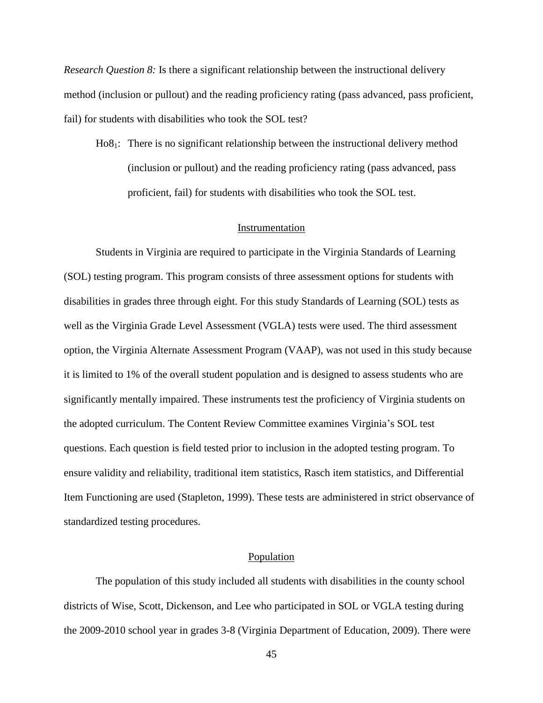*Research Question 8:* Is there a significant relationship between the instructional delivery method (inclusion or pullout) and the reading proficiency rating (pass advanced, pass proficient, fail) for students with disabilities who took the SOL test?

Ho81: There is no significant relationship between the instructional delivery method (inclusion or pullout) and the reading proficiency rating (pass advanced, pass proficient, fail) for students with disabilities who took the SOL test.

### Instrumentation

Students in Virginia are required to participate in the Virginia Standards of Learning (SOL) testing program. This program consists of three assessment options for students with disabilities in grades three through eight. For this study Standards of Learning (SOL) tests as well as the Virginia Grade Level Assessment (VGLA) tests were used. The third assessment option, the Virginia Alternate Assessment Program (VAAP), was not used in this study because it is limited to 1% of the overall student population and is designed to assess students who are significantly mentally impaired. These instruments test the proficiency of Virginia students on the adopted curriculum. The Content Review Committee examines Virginia's SOL test questions. Each question is field tested prior to inclusion in the adopted testing program. To ensure validity and reliability, traditional item statistics, Rasch item statistics, and Differential Item Functioning are used (Stapleton, 1999). These tests are administered in strict observance of standardized testing procedures.

### Population

The population of this study included all students with disabilities in the county school districts of Wise, Scott, Dickenson, and Lee who participated in SOL or VGLA testing during the 2009-2010 school year in grades 3-8 (Virginia Department of Education, 2009). There were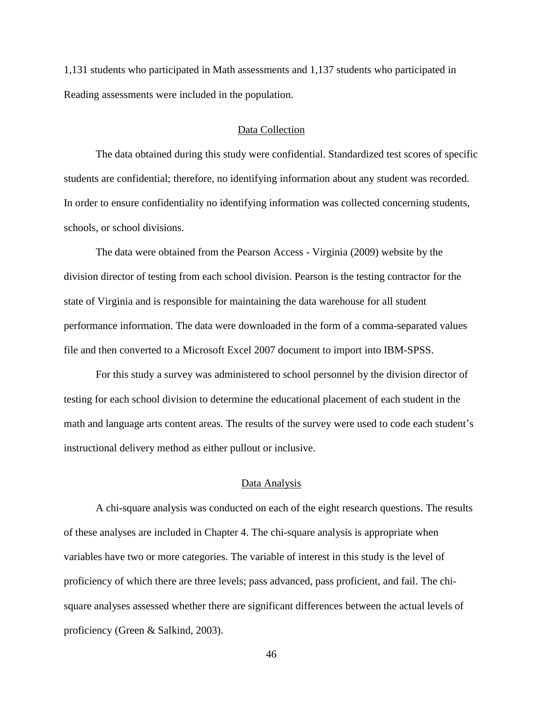1,131 students who participated in Math assessments and 1,137 students who participated in Reading assessments were included in the population.

### Data Collection

The data obtained during this study were confidential. Standardized test scores of specific students are confidential; therefore, no identifying information about any student was recorded. In order to ensure confidentiality no identifying information was collected concerning students, schools, or school divisions.

The data were obtained from the Pearson Access - Virginia (2009) website by the division director of testing from each school division. Pearson is the testing contractor for the state of Virginia and is responsible for maintaining the data warehouse for all student performance information. The data were downloaded in the form of a comma-separated values file and then converted to a Microsoft Excel 2007 document to import into IBM-SPSS.

For this study a survey was administered to school personnel by the division director of testing for each school division to determine the educational placement of each student in the math and language arts content areas. The results of the survey were used to code each student's instructional delivery method as either pullout or inclusive.

### Data Analysis

A chi-square analysis was conducted on each of the eight research questions. The results of these analyses are included in Chapter 4. The chi-square analysis is appropriate when variables have two or more categories. The variable of interest in this study is the level of proficiency of which there are three levels; pass advanced, pass proficient, and fail. The chisquare analyses assessed whether there are significant differences between the actual levels of proficiency (Green & Salkind, 2003).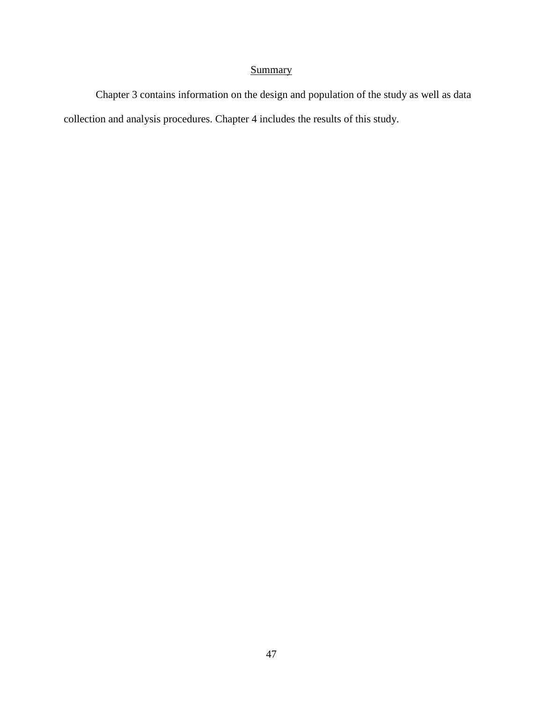# **Summary**

Chapter 3 contains information on the design and population of the study as well as data collection and analysis procedures. Chapter 4 includes the results of this study.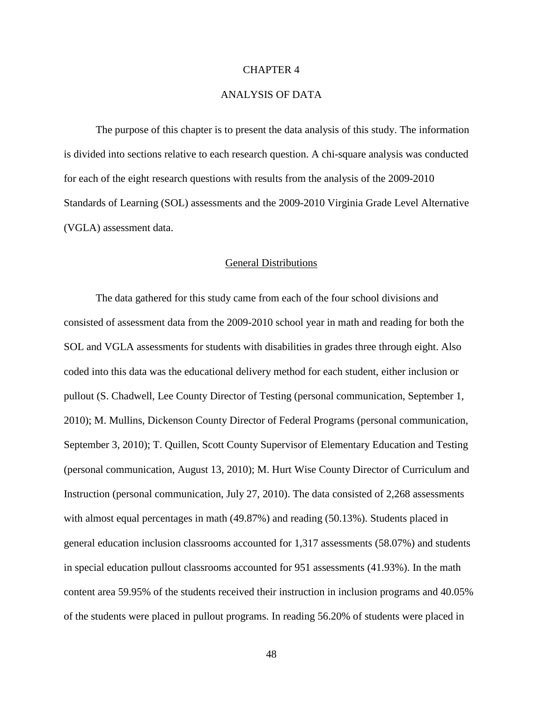### CHAPTER 4

# ANALYSIS OF DATA

The purpose of this chapter is to present the data analysis of this study. The information is divided into sections relative to each research question. A chi-square analysis was conducted for each of the eight research questions with results from the analysis of the 2009-2010 Standards of Learning (SOL) assessments and the 2009-2010 Virginia Grade Level Alternative (VGLA) assessment data.

### General Distributions

The data gathered for this study came from each of the four school divisions and consisted of assessment data from the 2009-2010 school year in math and reading for both the SOL and VGLA assessments for students with disabilities in grades three through eight. Also coded into this data was the educational delivery method for each student, either inclusion or pullout (S. Chadwell, Lee County Director of Testing (personal communication, September 1, 2010); M. Mullins, Dickenson County Director of Federal Programs (personal communication, September 3, 2010); T. Quillen, Scott County Supervisor of Elementary Education and Testing (personal communication, August 13, 2010); M. Hurt Wise County Director of Curriculum and Instruction (personal communication, July 27, 2010). The data consisted of 2,268 assessments with almost equal percentages in math (49.87%) and reading (50.13%). Students placed in general education inclusion classrooms accounted for 1,317 assessments (58.07%) and students in special education pullout classrooms accounted for 951 assessments (41.93%). In the math content area 59.95% of the students received their instruction in inclusion programs and 40.05% of the students were placed in pullout programs. In reading 56.20% of students were placed in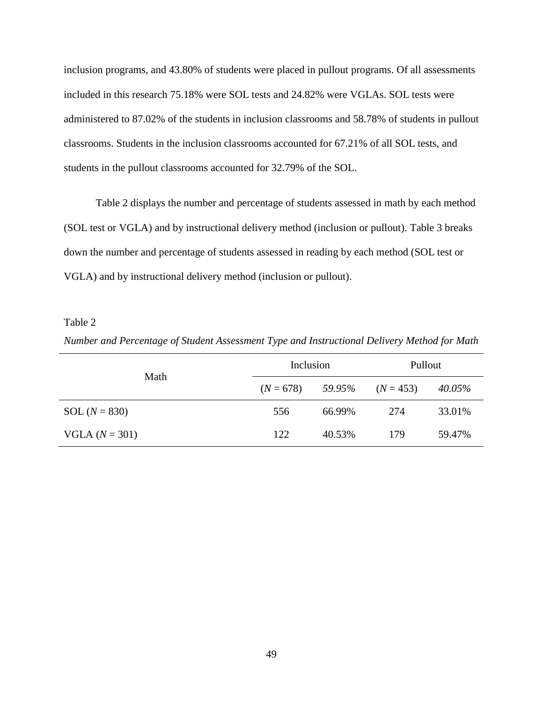inclusion programs, and 43.80% of students were placed in pullout programs. Of all assessments included in this research 75.18% were SOL tests and 24.82% were VGLAs. SOL tests were administered to 87.02% of the students in inclusion classrooms and 58.78% of students in pullout classrooms. Students in the inclusion classrooms accounted for 67.21% of all SOL tests, and students in the pullout classrooms accounted for 32.79% of the SOL.

Table 2 displays the number and percentage of students assessed in math by each method (SOL test or VGLA) and by instructional delivery method (inclusion or pullout). Table 3 breaks down the number and percentage of students assessed in reading by each method (SOL test or VGLA) and by instructional delivery method (inclusion or pullout).

### Table 2

*Number and Percentage of Student Assessment Type and Instructional Delivery Method for Math*

| Math             | Inclusion   |        | Pullout     |        |
|------------------|-------------|--------|-------------|--------|
|                  | $(N = 678)$ | 59.95% | $(N = 453)$ | 40.05% |
| SOL $(N = 830)$  | 556         | 66.99% | 274         | 33.01% |
| $VGLA (N = 301)$ | 122         | 40.53% | 179         | 59.47% |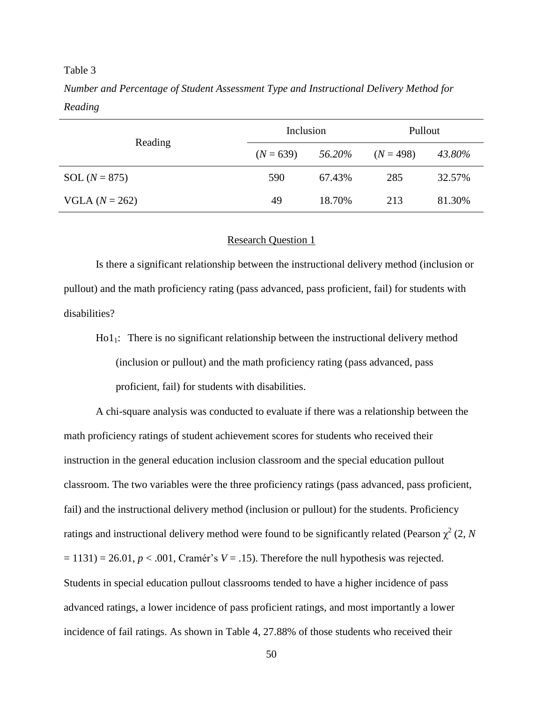### Table 3

*Number and Percentage of Student Assessment Type and Instructional Delivery Method for Reading*

|                  | Inclusion   |        | Pullout     |        |
|------------------|-------------|--------|-------------|--------|
| Reading          | $(N = 639)$ | 56.20% | $(N = 498)$ | 43.80% |
| SOL $(N = 875)$  | 590         | 67.43% | 285         | 32.57% |
| $VGLA (N = 262)$ | 49          | 18.70% | 213         | 81.30% |

# Research Question 1

Is there a significant relationship between the instructional delivery method (inclusion or pullout) and the math proficiency rating (pass advanced, pass proficient, fail) for students with disabilities?

 $Hol_1$ : There is no significant relationship between the instructional delivery method (inclusion or pullout) and the math proficiency rating (pass advanced, pass proficient, fail) for students with disabilities.

A chi-square analysis was conducted to evaluate if there was a relationship between the math proficiency ratings of student achievement scores for students who received their instruction in the general education inclusion classroom and the special education pullout classroom. The two variables were the three proficiency ratings (pass advanced, pass proficient, fail) and the instructional delivery method (inclusion or pullout) for the students. Proficiency ratings and instructional delivery method were found to be significantly related (Pearson  $\chi^2$  (2, *N*  $= 1131$ ) = 26.01, *p* < .001, Cramér's *V* = .15). Therefore the null hypothesis was rejected. Students in special education pullout classrooms tended to have a higher incidence of pass advanced ratings, a lower incidence of pass proficient ratings, and most importantly a lower incidence of fail ratings. As shown in Table 4, 27.88% of those students who received their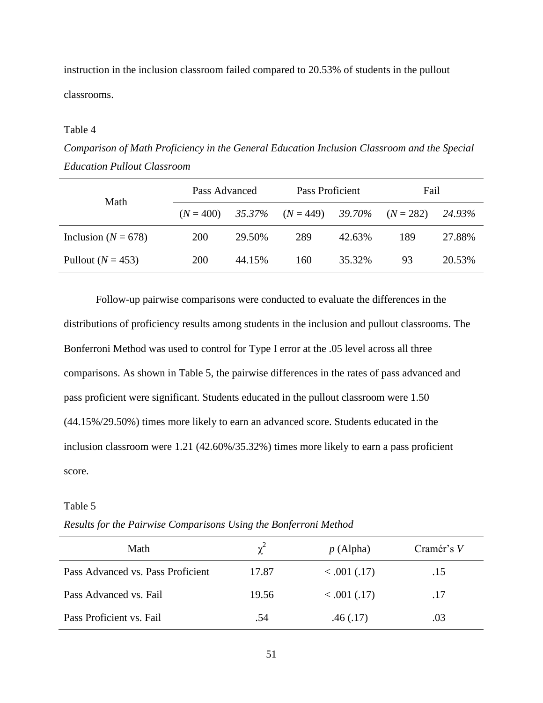instruction in the inclusion classroom failed compared to 20.53% of students in the pullout classrooms.

### Table 4

*Comparison of Math Proficiency in the General Education Inclusion Classroom and the Special Education Pullout Classroom*

| Math                    | Pass Advanced |        | Pass Proficient       |        | Fail        |        |
|-------------------------|---------------|--------|-----------------------|--------|-------------|--------|
|                         | $(N = 400)$   |        | $35.37\%$ $(N = 449)$ | 39.70% | $(N = 282)$ | 24.93% |
| Inclusion ( $N = 678$ ) | <b>200</b>    | 29.50% | 289                   | 42.63% | 189         | 27.88% |
| Pullout $(N = 453)$     | <b>200</b>    | 44.15% | 160                   | 35.32% | 93          | 20.53% |

Follow-up pairwise comparisons were conducted to evaluate the differences in the distributions of proficiency results among students in the inclusion and pullout classrooms. The Bonferroni Method was used to control for Type I error at the .05 level across all three comparisons. As shown in Table 5, the pairwise differences in the rates of pass advanced and pass proficient were significant. Students educated in the pullout classroom were 1.50 (44.15%/29.50%) times more likely to earn an advanced score. Students educated in the inclusion classroom were 1.21 (42.60%/35.32%) times more likely to earn a pass proficient score.

### Table 5

*Results for the Pairwise Comparisons Using the Bonferroni Method*

| Math                              | $\chi^2$ | p(Alpha)     | Cramér's V |
|-----------------------------------|----------|--------------|------------|
| Pass Advanced vs. Pass Proficient | 17.87    | < .001 (.17) | .15        |
| Pass Advanced vs. Fail            | 19.56    | < .001 (.17) | .17        |
| Pass Proficient vs. Fail          | .54      | .46(.17)     | .03        |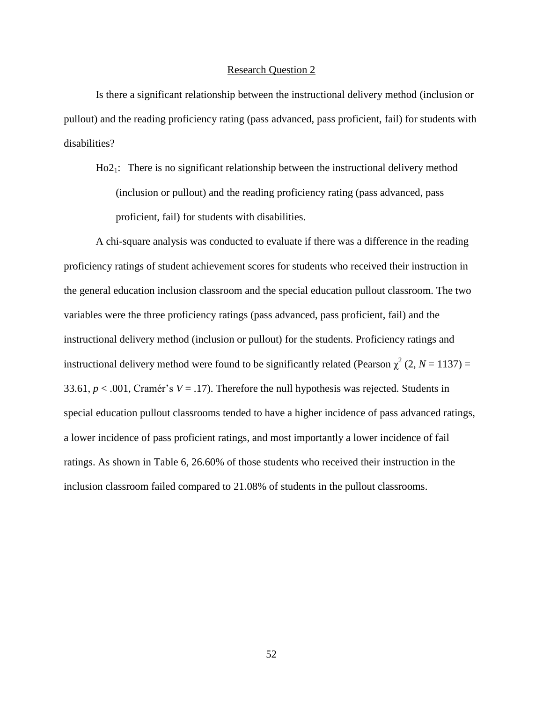### Research Question 2

Is there a significant relationship between the instructional delivery method (inclusion or pullout) and the reading proficiency rating (pass advanced, pass proficient, fail) for students with disabilities?

Ho21: There is no significant relationship between the instructional delivery method (inclusion or pullout) and the reading proficiency rating (pass advanced, pass proficient, fail) for students with disabilities.

A chi-square analysis was conducted to evaluate if there was a difference in the reading proficiency ratings of student achievement scores for students who received their instruction in the general education inclusion classroom and the special education pullout classroom. The two variables were the three proficiency ratings (pass advanced, pass proficient, fail) and the instructional delivery method (inclusion or pullout) for the students. Proficiency ratings and instructional delivery method were found to be significantly related (Pearson  $\chi^2$  (2, *N* = 1137) = 33.61,  $p < .001$ , Cramér's  $V = .17$ ). Therefore the null hypothesis was rejected. Students in special education pullout classrooms tended to have a higher incidence of pass advanced ratings, a lower incidence of pass proficient ratings, and most importantly a lower incidence of fail ratings. As shown in Table 6, 26.60% of those students who received their instruction in the inclusion classroom failed compared to 21.08% of students in the pullout classrooms.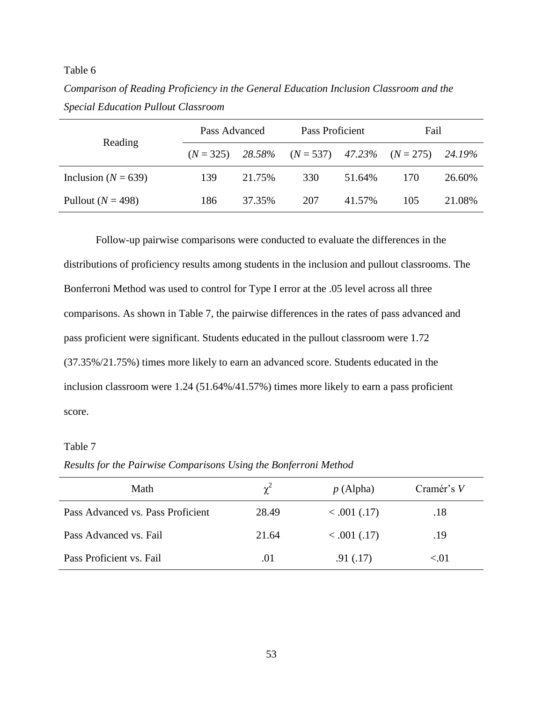Table 6

*Comparison of Reading Proficiency in the General Education Inclusion Classroom and the Special Education Pullout Classroom*

|                         | Pass Advanced |        | Pass Proficient                       |        | Fail |        |
|-------------------------|---------------|--------|---------------------------------------|--------|------|--------|
| Reading                 | $(N = 325)$   |        | 28.58% $(N = 537)$ 47.23% $(N = 275)$ |        |      | 24.19% |
| Inclusion ( $N = 639$ ) | 139           | 21.75% | 330                                   | 51.64% | 170  | 26.60% |
| Pullout $(N = 498)$     | 186           | 37.35% | 207                                   | 41.57% | 105  | 21.08% |

Follow-up pairwise comparisons were conducted to evaluate the differences in the distributions of proficiency results among students in the inclusion and pullout classrooms. The Bonferroni Method was used to control for Type I error at the .05 level across all three comparisons. As shown in Table 7, the pairwise differences in the rates of pass advanced and pass proficient were significant. Students educated in the pullout classroom were 1.72 (37.35%/21.75%) times more likely to earn an advanced score. Students educated in the inclusion classroom were 1.24 (51.64%/41.57%) times more likely to earn a pass proficient score.

# Table 7

*Results for the Pairwise Comparisons Using the Bonferroni Method*

| Math                              | $\chi^2$ | p(Alpha)     | Cramér's V |
|-----------------------------------|----------|--------------|------------|
| Pass Advanced vs. Pass Proficient | 28.49    | < .001 (.17) | .18        |
| Pass Advanced vs. Fail            | 21.64    | < .001 (.17) | .19        |
| Pass Proficient vs. Fail          | .01      | .91(0.17)    | < 0.01     |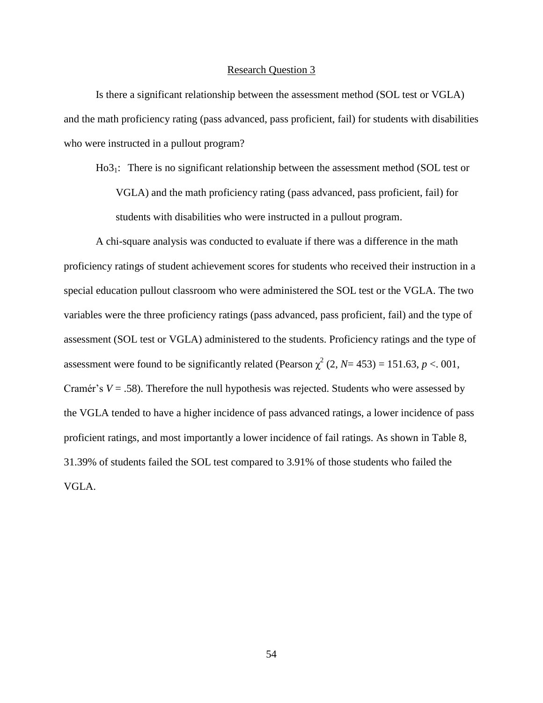### Research Question 3

Is there a significant relationship between the assessment method (SOL test or VGLA) and the math proficiency rating (pass advanced, pass proficient, fail) for students with disabilities who were instructed in a pullout program?

Ho31: There is no significant relationship between the assessment method (SOL test or VGLA) and the math proficiency rating (pass advanced, pass proficient, fail) for students with disabilities who were instructed in a pullout program.

A chi-square analysis was conducted to evaluate if there was a difference in the math proficiency ratings of student achievement scores for students who received their instruction in a special education pullout classroom who were administered the SOL test or the VGLA. The two variables were the three proficiency ratings (pass advanced, pass proficient, fail) and the type of assessment (SOL test or VGLA) administered to the students. Proficiency ratings and the type of assessment were found to be significantly related (Pearson  $\chi^2$  (2, *N*= 453) = 151.63, *p* < 001, Cramér's  $V = .58$ ). Therefore the null hypothesis was rejected. Students who were assessed by the VGLA tended to have a higher incidence of pass advanced ratings, a lower incidence of pass proficient ratings, and most importantly a lower incidence of fail ratings. As shown in Table 8, 31.39% of students failed the SOL test compared to 3.91% of those students who failed the VGLA.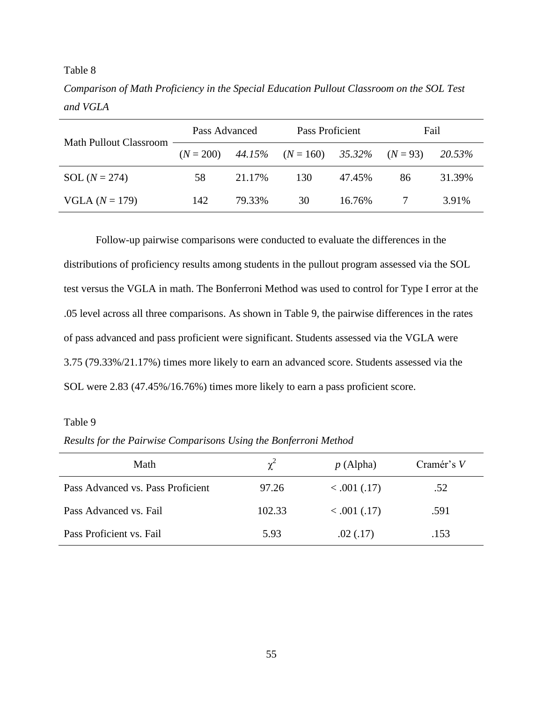Table 8

*Comparison of Math Proficiency in the Special Education Pullout Classroom on the SOL Test and VGLA*

| Math Pullout Classroom | Pass Advanced |        | Pass Proficient                      |        | Fail |        |
|------------------------|---------------|--------|--------------------------------------|--------|------|--------|
|                        | $(N = 200)$   |        | 44.15% $(N = 160)$ 35.32% $(N = 93)$ |        |      | 20.53% |
| $SOL (N = 274)$        | 58            | 21.17% | 130                                  | 47.45% | 86   | 31.39% |
| VGLA $(N = 179)$       | 142           | 79.33% | 30                                   | 16.76% |      | 3.91%  |

Follow-up pairwise comparisons were conducted to evaluate the differences in the distributions of proficiency results among students in the pullout program assessed via the SOL test versus the VGLA in math. The Bonferroni Method was used to control for Type I error at the .05 level across all three comparisons. As shown in Table 9, the pairwise differences in the rates of pass advanced and pass proficient were significant. Students assessed via the VGLA were 3.75 (79.33%/21.17%) times more likely to earn an advanced score. Students assessed via the SOL were 2.83 (47.45%/16.76%) times more likely to earn a pass proficient score.

# Table 9

*Results for the Pairwise Comparisons Using the Bonferroni Method*

| Math                              | $\chi^2$ | p(Alpha)     | Cramér's V |
|-----------------------------------|----------|--------------|------------|
| Pass Advanced vs. Pass Proficient | 97.26    | < .001 (.17) | .52        |
| Pass Advanced vs. Fail            | 102.33   | < .001 (.17) | .591       |
| Pass Proficient vs. Fail          | 5.93     | .02(.17)     | .153       |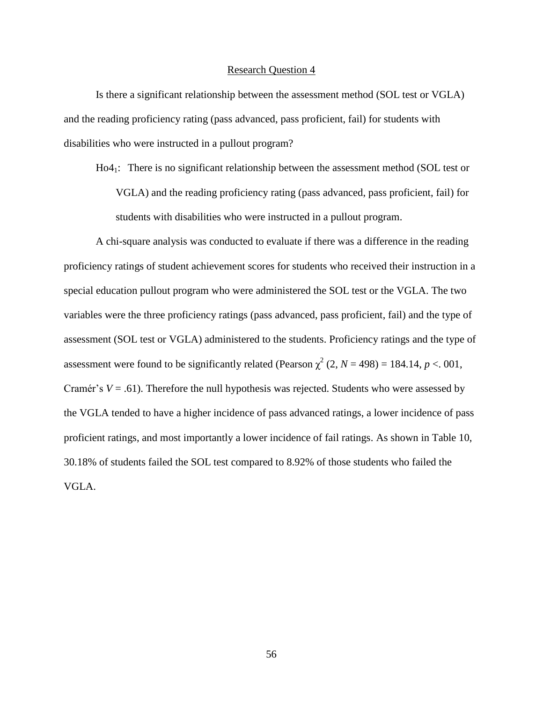### Research Question 4

Is there a significant relationship between the assessment method (SOL test or VGLA) and the reading proficiency rating (pass advanced, pass proficient, fail) for students with disabilities who were instructed in a pullout program?

Ho41: There is no significant relationship between the assessment method (SOL test or VGLA) and the reading proficiency rating (pass advanced, pass proficient, fail) for students with disabilities who were instructed in a pullout program.

A chi-square analysis was conducted to evaluate if there was a difference in the reading proficiency ratings of student achievement scores for students who received their instruction in a special education pullout program who were administered the SOL test or the VGLA. The two variables were the three proficiency ratings (pass advanced, pass proficient, fail) and the type of assessment (SOL test or VGLA) administered to the students. Proficiency ratings and the type of assessment were found to be significantly related (Pearson  $\chi^2$  (2, *N* = 498) = 184.14, *p* < 001, Cramér's  $V = .61$ ). Therefore the null hypothesis was rejected. Students who were assessed by the VGLA tended to have a higher incidence of pass advanced ratings, a lower incidence of pass proficient ratings, and most importantly a lower incidence of fail ratings. As shown in Table 10, 30.18% of students failed the SOL test compared to 8.92% of those students who failed the VGLA.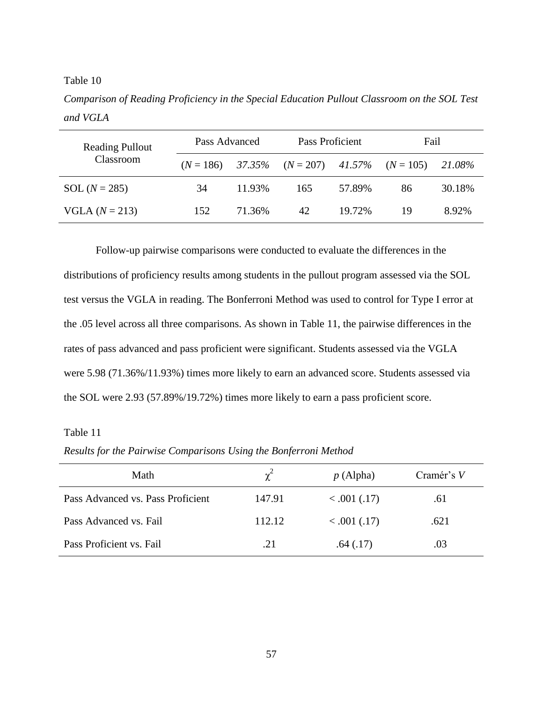Table 10

*Comparison of Reading Proficiency in the Special Education Pullout Classroom on the SOL Test and VGLA*

| <b>Reading Pullout</b> | Pass Advanced |        | Pass Proficient                             |        | Fail |        |
|------------------------|---------------|--------|---------------------------------------------|--------|------|--------|
| Classroom              | $(N = 186)$   |        | $37.35\%$ $(N = 207)$ $41.57\%$ $(N = 105)$ |        |      | 21.08% |
| SOL $(N = 285)$        | 34            | 11.93% | 165                                         | 57.89% | 86   | 30.18% |
| $VGLA (N = 213)$       | 152           | 71.36% | 42                                          | 19.72% | 19   | 8.92%  |

Follow-up pairwise comparisons were conducted to evaluate the differences in the distributions of proficiency results among students in the pullout program assessed via the SOL test versus the VGLA in reading. The Bonferroni Method was used to control for Type I error at the .05 level across all three comparisons. As shown in Table 11, the pairwise differences in the rates of pass advanced and pass proficient were significant. Students assessed via the VGLA were 5.98 (71.36%/11.93%) times more likely to earn an advanced score. Students assessed via the SOL were 2.93 (57.89%/19.72%) times more likely to earn a pass proficient score.

# Table 11

*Results for the Pairwise Comparisons Using the Bonferroni Method*

| Math                              | $\chi^2$ | p(Alpha)     | Cramér's V |
|-----------------------------------|----------|--------------|------------|
| Pass Advanced vs. Pass Proficient | 147.91   | < .001 (.17) | .61        |
| Pass Advanced vs. Fail            | 112.12   | < .001 (.17) | .621       |
| Pass Proficient vs. Fail          | .21      | .64(.17)     | .03        |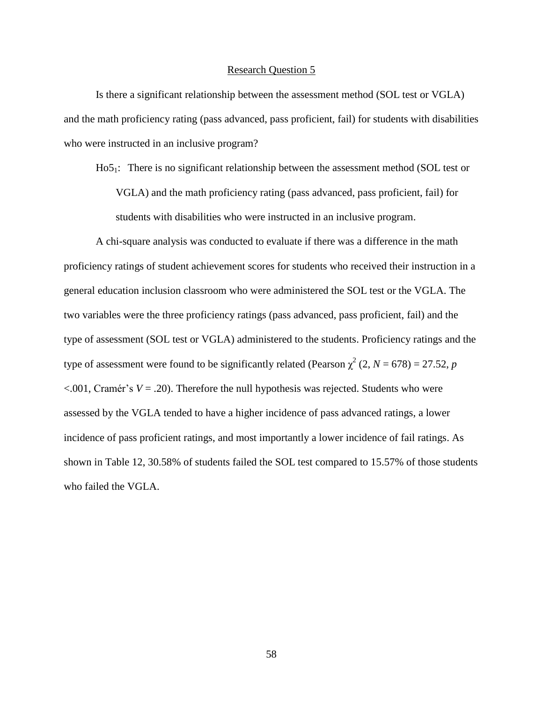### Research Question 5

Is there a significant relationship between the assessment method (SOL test or VGLA) and the math proficiency rating (pass advanced, pass proficient, fail) for students with disabilities who were instructed in an inclusive program?

Ho51: There is no significant relationship between the assessment method (SOL test or VGLA) and the math proficiency rating (pass advanced, pass proficient, fail) for

students with disabilities who were instructed in an inclusive program.

A chi-square analysis was conducted to evaluate if there was a difference in the math proficiency ratings of student achievement scores for students who received their instruction in a general education inclusion classroom who were administered the SOL test or the VGLA. The two variables were the three proficiency ratings (pass advanced, pass proficient, fail) and the type of assessment (SOL test or VGLA) administered to the students. Proficiency ratings and the type of assessment were found to be significantly related (Pearson  $\chi^2$  (2, *N* = 678) = 27.52, *p*  $\leq$ .001, Cramér's *V* = .20). Therefore the null hypothesis was rejected. Students who were assessed by the VGLA tended to have a higher incidence of pass advanced ratings, a lower incidence of pass proficient ratings, and most importantly a lower incidence of fail ratings. As shown in Table 12, 30.58% of students failed the SOL test compared to 15.57% of those students who failed the VGLA.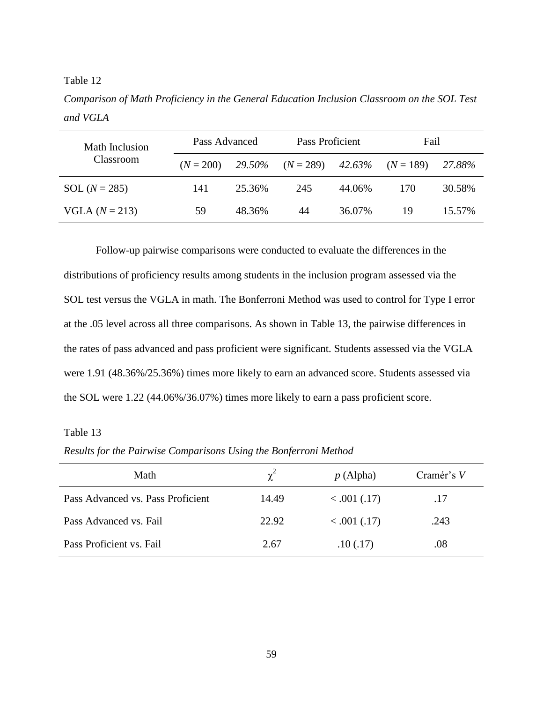Table 12

*Comparison of Math Proficiency in the General Education Inclusion Classroom on the SOL Test and VGLA*

| Math Inclusion   | Pass Advanced |        | Pass Proficient    |        | Fail        |        |
|------------------|---------------|--------|--------------------|--------|-------------|--------|
| Classroom        | $(N = 200)$   | 29.50% | $(N = 289)$ 42.63% |        | $(N = 189)$ | 27.88% |
| SOL $(N = 285)$  | 141           | 25.36% | 245                | 44.06% | 170         | 30.58% |
| $VGLA (N = 213)$ | 59            | 48.36% | 44                 | 36.07% | 19          | 15.57% |

Follow-up pairwise comparisons were conducted to evaluate the differences in the distributions of proficiency results among students in the inclusion program assessed via the SOL test versus the VGLA in math. The Bonferroni Method was used to control for Type I error at the .05 level across all three comparisons. As shown in Table 13, the pairwise differences in the rates of pass advanced and pass proficient were significant. Students assessed via the VGLA were 1.91 (48.36%/25.36%) times more likely to earn an advanced score. Students assessed via the SOL were 1.22 (44.06%/36.07%) times more likely to earn a pass proficient score.

# Table 13

*Results for the Pairwise Comparisons Using the Bonferroni Method*

| Math                              | $\chi^2$ | p(Alpha)     | Cramér's V |
|-----------------------------------|----------|--------------|------------|
| Pass Advanced vs. Pass Proficient | 14.49    | < .001 (.17) | .17        |
| Pass Advanced vs. Fail            | 22.92    | < .001 (.17) | .243       |
| Pass Proficient vs. Fail          | 2.67     | .10(.17)     | $.08\,$    |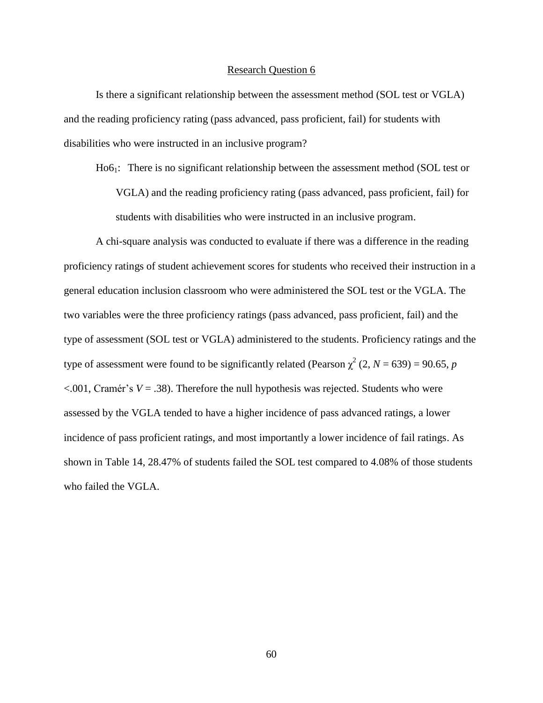#### Research Question 6

Is there a significant relationship between the assessment method (SOL test or VGLA) and the reading proficiency rating (pass advanced, pass proficient, fail) for students with disabilities who were instructed in an inclusive program?

Ho61: There is no significant relationship between the assessment method (SOL test or VGLA) and the reading proficiency rating (pass advanced, pass proficient, fail) for students with disabilities who were instructed in an inclusive program.

A chi-square analysis was conducted to evaluate if there was a difference in the reading proficiency ratings of student achievement scores for students who received their instruction in a general education inclusion classroom who were administered the SOL test or the VGLA. The two variables were the three proficiency ratings (pass advanced, pass proficient, fail) and the type of assessment (SOL test or VGLA) administered to the students. Proficiency ratings and the type of assessment were found to be significantly related (Pearson  $\chi^2$  (2, *N* = 639) = 90.65, *p*  $\leq$ .001, Cramér's *V* = .38). Therefore the null hypothesis was rejected. Students who were assessed by the VGLA tended to have a higher incidence of pass advanced ratings, a lower incidence of pass proficient ratings, and most importantly a lower incidence of fail ratings. As shown in Table 14, 28.47% of students failed the SOL test compared to 4.08% of those students who failed the VGLA.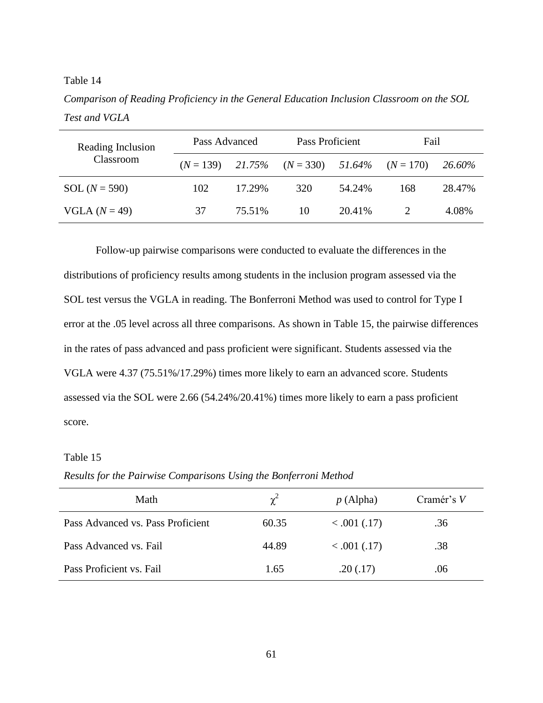# Table 14

*Comparison of Reading Proficiency in the General Education Inclusion Classroom on the SOL Test and VGLA*

| Reading Inclusion | Pass Advanced |        | Pass Proficient       |        | Fail        |               |
|-------------------|---------------|--------|-----------------------|--------|-------------|---------------|
| Classroom         | $(N = 139)$   | 21.75% | $(N = 330)$ $51.64\%$ |        | $(N = 170)$ | <b>26.60%</b> |
| $SOL (N = 590)$   | 102           | 17.29% | 320                   | 54.24% | 168         | 28.47%        |
| VGLA $(N = 49)$   | 37            | 75.51% | 10                    | 20.41% |             | 4.08%         |

Follow-up pairwise comparisons were conducted to evaluate the differences in the distributions of proficiency results among students in the inclusion program assessed via the SOL test versus the VGLA in reading. The Bonferroni Method was used to control for Type I error at the .05 level across all three comparisons. As shown in Table 15, the pairwise differences in the rates of pass advanced and pass proficient were significant. Students assessed via the VGLA were 4.37 (75.51%/17.29%) times more likely to earn an advanced score. Students assessed via the SOL were 2.66 (54.24%/20.41%) times more likely to earn a pass proficient score.

### Table 15

*Results for the Pairwise Comparisons Using the Bonferroni Method*

| Math                              | $\chi^2$ | p(Alpha)     | Cramér's V |
|-----------------------------------|----------|--------------|------------|
| Pass Advanced vs. Pass Proficient | 60.35    | < .001 (.17) | .36        |
| Pass Advanced vs. Fail            | 44.89    | < .001 (.17) | .38        |
| Pass Proficient vs. Fail          | 1.65     | .20(.17)     | .06        |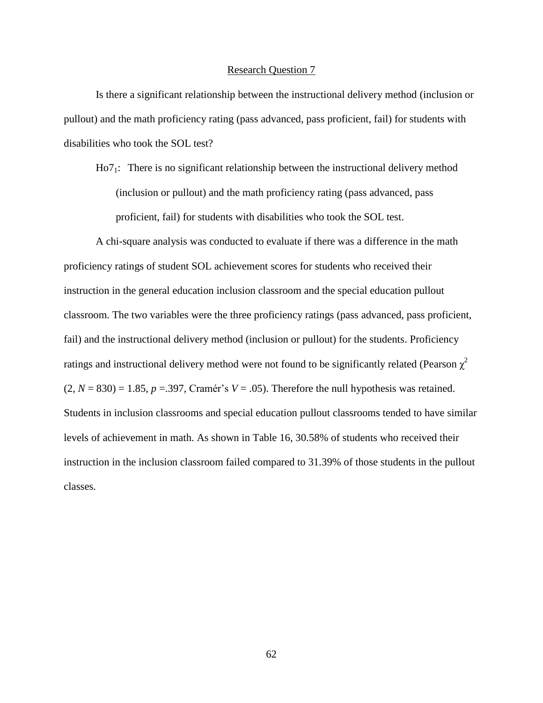### Research Question 7

Is there a significant relationship between the instructional delivery method (inclusion or pullout) and the math proficiency rating (pass advanced, pass proficient, fail) for students with disabilities who took the SOL test?

Ho71: There is no significant relationship between the instructional delivery method (inclusion or pullout) and the math proficiency rating (pass advanced, pass proficient, fail) for students with disabilities who took the SOL test.

A chi-square analysis was conducted to evaluate if there was a difference in the math proficiency ratings of student SOL achievement scores for students who received their instruction in the general education inclusion classroom and the special education pullout classroom. The two variables were the three proficiency ratings (pass advanced, pass proficient, fail) and the instructional delivery method (inclusion or pullout) for the students. Proficiency ratings and instructional delivery method were not found to be significantly related (Pearson  $\chi^2$  $(2, N = 830) = 1.85$ ,  $p = .397$ , Cramér's  $V = .05$ ). Therefore the null hypothesis was retained. Students in inclusion classrooms and special education pullout classrooms tended to have similar levels of achievement in math. As shown in Table 16, 30.58% of students who received their instruction in the inclusion classroom failed compared to 31.39% of those students in the pullout classes.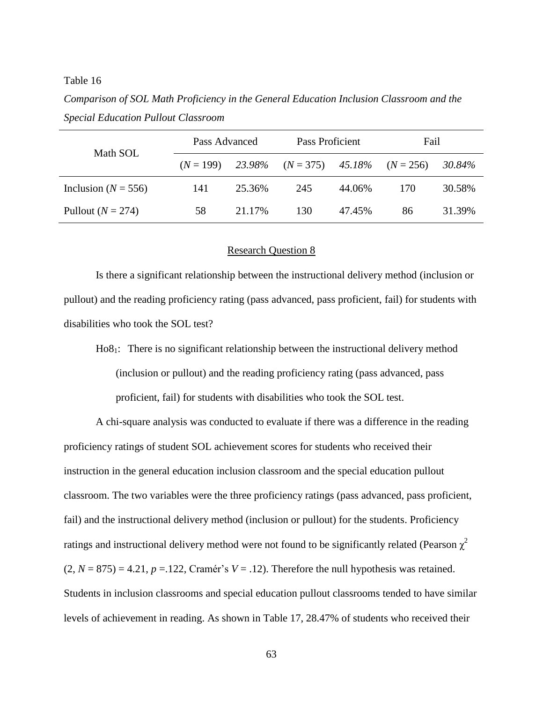### Table 16

*Comparison of SOL Math Proficiency in the General Education Inclusion Classroom and the Special Education Pullout Classroom*

| Math SOL                | Pass Advanced |        | Pass Proficient                 |        | Fail        |        |
|-------------------------|---------------|--------|---------------------------------|--------|-------------|--------|
|                         | $(N = 199)$   |        | $23.98\%$ $(N = 375)$ $45.18\%$ |        | $(N = 256)$ | 30.84% |
| Inclusion ( $N = 556$ ) | 141           | 25.36% | 245                             | 44.06% | 170         | 30.58% |
| Pullout $(N = 274)$     | 58            | 21.17% | 130                             | 47.45% | 86          | 31.39% |

### Research Question 8

Is there a significant relationship between the instructional delivery method (inclusion or pullout) and the reading proficiency rating (pass advanced, pass proficient, fail) for students with disabilities who took the SOL test?

Ho81: There is no significant relationship between the instructional delivery method (inclusion or pullout) and the reading proficiency rating (pass advanced, pass proficient, fail) for students with disabilities who took the SOL test.

A chi-square analysis was conducted to evaluate if there was a difference in the reading proficiency ratings of student SOL achievement scores for students who received their instruction in the general education inclusion classroom and the special education pullout classroom. The two variables were the three proficiency ratings (pass advanced, pass proficient, fail) and the instructional delivery method (inclusion or pullout) for the students. Proficiency ratings and instructional delivery method were not found to be significantly related (Pearson  $\chi^2$  $(2, N = 875) = 4.21$ ,  $p = 122$ , Cramér's  $V = 0.12$ . Therefore the null hypothesis was retained. Students in inclusion classrooms and special education pullout classrooms tended to have similar levels of achievement in reading. As shown in Table 17, 28.47% of students who received their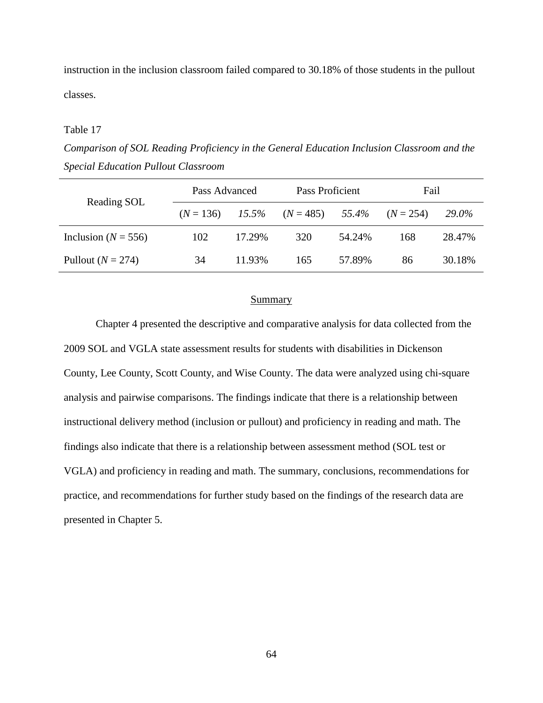instruction in the inclusion classroom failed compared to 30.18% of those students in the pullout classes.

### Table 17

*Comparison of SOL Reading Proficiency in the General Education Inclusion Classroom and the Special Education Pullout Classroom*

| Reading SOL             | Pass Advanced |        | Pass Proficient |        | Fail        |              |
|-------------------------|---------------|--------|-----------------|--------|-------------|--------------|
|                         | $(N = 136)$   | 15.5%  | $(N = 485)$     | 55.4%  | $(N = 254)$ | <b>29.0%</b> |
| Inclusion ( $N = 556$ ) | 102           | 17.29% | 320             | 54.24% | 168         | 28.47%       |
| Pullout $(N = 274)$     | 34            | 11.93% | 165             | 57.89% | 86          | 30.18%       |

### Summary

Chapter 4 presented the descriptive and comparative analysis for data collected from the 2009 SOL and VGLA state assessment results for students with disabilities in Dickenson County, Lee County, Scott County, and Wise County. The data were analyzed using chi-square analysis and pairwise comparisons. The findings indicate that there is a relationship between instructional delivery method (inclusion or pullout) and proficiency in reading and math. The findings also indicate that there is a relationship between assessment method (SOL test or VGLA) and proficiency in reading and math. The summary, conclusions, recommendations for practice, and recommendations for further study based on the findings of the research data are presented in Chapter 5.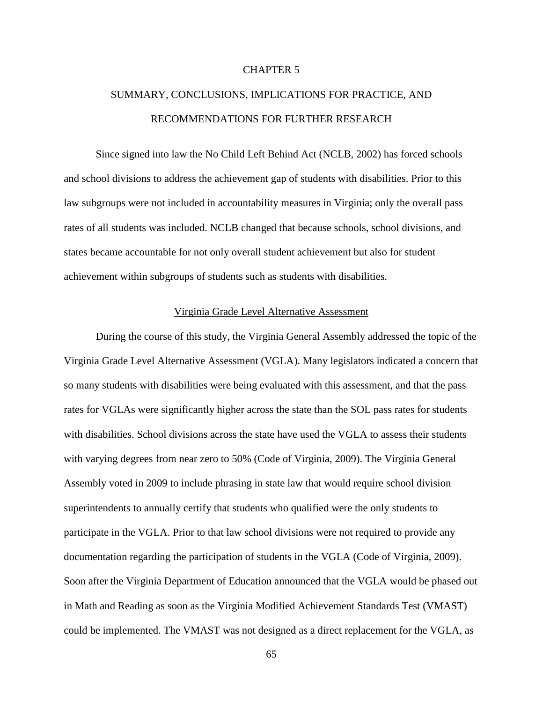# CHAPTER 5

# SUMMARY, CONCLUSIONS, IMPLICATIONS FOR PRACTICE, AND RECOMMENDATIONS FOR FURTHER RESEARCH

Since signed into law the No Child Left Behind Act (NCLB, 2002) has forced schools and school divisions to address the achievement gap of students with disabilities. Prior to this law subgroups were not included in accountability measures in Virginia; only the overall pass rates of all students was included. NCLB changed that because schools, school divisions, and states became accountable for not only overall student achievement but also for student achievement within subgroups of students such as students with disabilities.

# Virginia Grade Level Alternative Assessment

During the course of this study, the Virginia General Assembly addressed the topic of the Virginia Grade Level Alternative Assessment (VGLA). Many legislators indicated a concern that so many students with disabilities were being evaluated with this assessment, and that the pass rates for VGLAs were significantly higher across the state than the SOL pass rates for students with disabilities. School divisions across the state have used the VGLA to assess their students with varying degrees from near zero to 50% (Code of Virginia, 2009). The Virginia General Assembly voted in 2009 to include phrasing in state law that would require school division superintendents to annually certify that students who qualified were the only students to participate in the VGLA. Prior to that law school divisions were not required to provide any documentation regarding the participation of students in the VGLA (Code of Virginia, 2009). Soon after the Virginia Department of Education announced that the VGLA would be phased out in Math and Reading as soon as the Virginia Modified Achievement Standards Test (VMAST) could be implemented. The VMAST was not designed as a direct replacement for the VGLA, as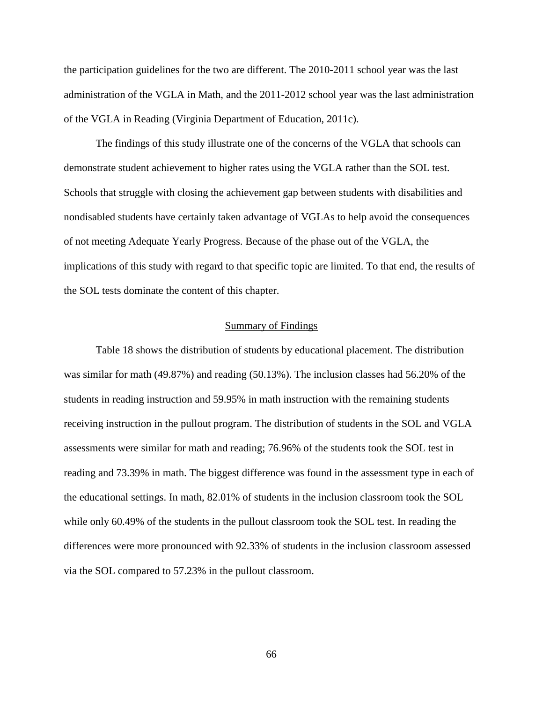the participation guidelines for the two are different. The 2010-2011 school year was the last administration of the VGLA in Math, and the 2011-2012 school year was the last administration of the VGLA in Reading (Virginia Department of Education, 2011c).

The findings of this study illustrate one of the concerns of the VGLA that schools can demonstrate student achievement to higher rates using the VGLA rather than the SOL test. Schools that struggle with closing the achievement gap between students with disabilities and nondisabled students have certainly taken advantage of VGLAs to help avoid the consequences of not meeting Adequate Yearly Progress. Because of the phase out of the VGLA, the implications of this study with regard to that specific topic are limited. To that end, the results of the SOL tests dominate the content of this chapter.

### Summary of Findings

Table 18 shows the distribution of students by educational placement. The distribution was similar for math (49.87%) and reading (50.13%). The inclusion classes had 56.20% of the students in reading instruction and 59.95% in math instruction with the remaining students receiving instruction in the pullout program. The distribution of students in the SOL and VGLA assessments were similar for math and reading; 76.96% of the students took the SOL test in reading and 73.39% in math. The biggest difference was found in the assessment type in each of the educational settings. In math, 82.01% of students in the inclusion classroom took the SOL while only 60.49% of the students in the pullout classroom took the SOL test. In reading the differences were more pronounced with 92.33% of students in the inclusion classroom assessed via the SOL compared to 57.23% in the pullout classroom.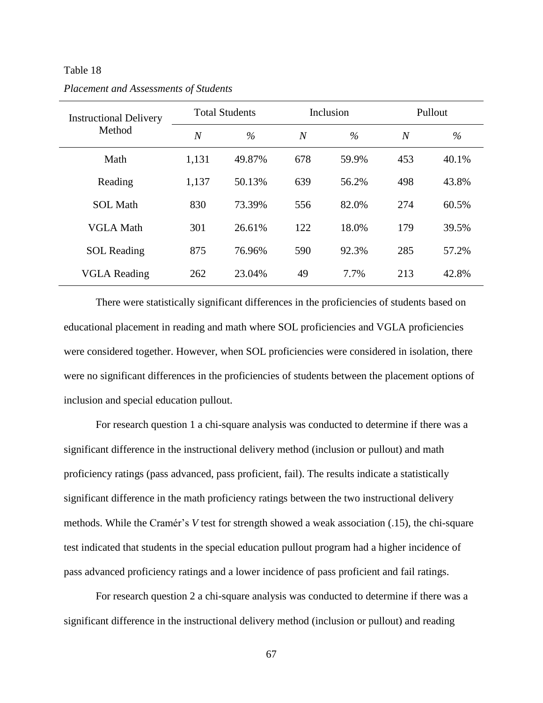### Table 18

| <b>Instructional Delivery</b><br>Method | <b>Total Students</b> |                                 |     | Inclusion | Pullout        |       |
|-----------------------------------------|-----------------------|---------------------------------|-----|-----------|----------------|-------|
|                                         | $\overline{N}$        | $\frac{0}{0}$<br>$\overline{N}$ |     | $\%$      | $\overline{N}$ | $\%$  |
| Math                                    | 1,131                 | 49.87%                          | 678 | 59.9%     | 453            | 40.1% |
| Reading                                 | 1,137                 | 50.13%                          | 639 | 56.2%     | 498            | 43.8% |
| <b>SOL</b> Math                         | 830                   | 73.39%                          | 556 | 82.0%     | 274            | 60.5% |
| <b>VGLA Math</b>                        | 301                   | 26.61%                          | 122 | 18.0%     | 179            | 39.5% |
| <b>SOL</b> Reading                      | 875                   | 76.96%                          | 590 | 92.3%     | 285            | 57.2% |
| <b>VGLA Reading</b>                     | 262                   | 23.04%                          | 49  | 7.7%      | 213            | 42.8% |

*Placement and Assessments of Students*

There were statistically significant differences in the proficiencies of students based on educational placement in reading and math where SOL proficiencies and VGLA proficiencies were considered together. However, when SOL proficiencies were considered in isolation, there were no significant differences in the proficiencies of students between the placement options of inclusion and special education pullout.

For research question 1 a chi-square analysis was conducted to determine if there was a significant difference in the instructional delivery method (inclusion or pullout) and math proficiency ratings (pass advanced, pass proficient, fail). The results indicate a statistically significant difference in the math proficiency ratings between the two instructional delivery methods. While the Cramér's *V* test for strength showed a weak association (.15), the chi-square test indicated that students in the special education pullout program had a higher incidence of pass advanced proficiency ratings and a lower incidence of pass proficient and fail ratings.

For research question 2 a chi-square analysis was conducted to determine if there was a significant difference in the instructional delivery method (inclusion or pullout) and reading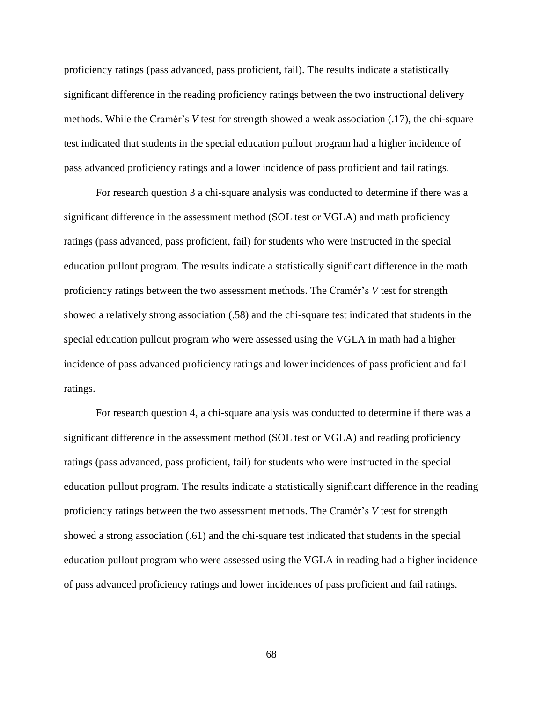proficiency ratings (pass advanced, pass proficient, fail). The results indicate a statistically significant difference in the reading proficiency ratings between the two instructional delivery methods. While the Cramér's *V* test for strength showed a weak association (.17), the chi-square test indicated that students in the special education pullout program had a higher incidence of pass advanced proficiency ratings and a lower incidence of pass proficient and fail ratings.

For research question 3 a chi-square analysis was conducted to determine if there was a significant difference in the assessment method (SOL test or VGLA) and math proficiency ratings (pass advanced, pass proficient, fail) for students who were instructed in the special education pullout program. The results indicate a statistically significant difference in the math proficiency ratings between the two assessment methods. The Cramér's *V* test for strength showed a relatively strong association (.58) and the chi-square test indicated that students in the special education pullout program who were assessed using the VGLA in math had a higher incidence of pass advanced proficiency ratings and lower incidences of pass proficient and fail ratings.

For research question 4, a chi-square analysis was conducted to determine if there was a significant difference in the assessment method (SOL test or VGLA) and reading proficiency ratings (pass advanced, pass proficient, fail) for students who were instructed in the special education pullout program. The results indicate a statistically significant difference in the reading proficiency ratings between the two assessment methods. The Cramér's *V* test for strength showed a strong association (.61) and the chi-square test indicated that students in the special education pullout program who were assessed using the VGLA in reading had a higher incidence of pass advanced proficiency ratings and lower incidences of pass proficient and fail ratings.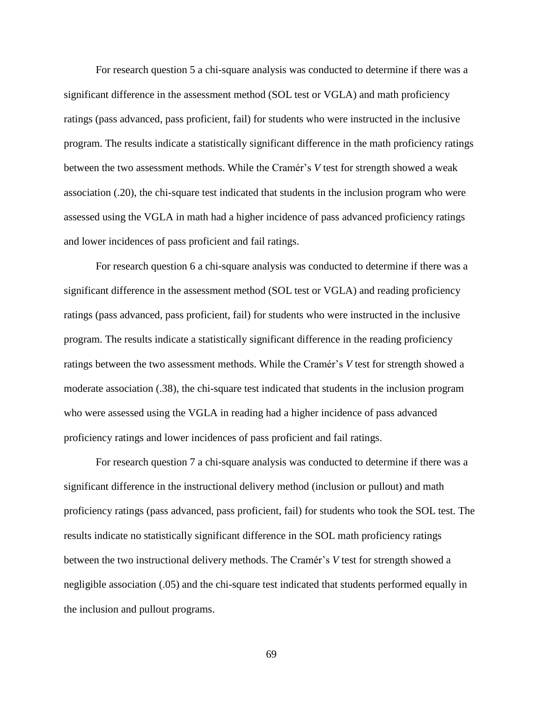For research question 5 a chi-square analysis was conducted to determine if there was a significant difference in the assessment method (SOL test or VGLA) and math proficiency ratings (pass advanced, pass proficient, fail) for students who were instructed in the inclusive program. The results indicate a statistically significant difference in the math proficiency ratings between the two assessment methods. While the Cramér's *V* test for strength showed a weak association (.20), the chi-square test indicated that students in the inclusion program who were assessed using the VGLA in math had a higher incidence of pass advanced proficiency ratings and lower incidences of pass proficient and fail ratings.

For research question 6 a chi-square analysis was conducted to determine if there was a significant difference in the assessment method (SOL test or VGLA) and reading proficiency ratings (pass advanced, pass proficient, fail) for students who were instructed in the inclusive program. The results indicate a statistically significant difference in the reading proficiency ratings between the two assessment methods. While the Cramér's *V* test for strength showed a moderate association (.38), the chi-square test indicated that students in the inclusion program who were assessed using the VGLA in reading had a higher incidence of pass advanced proficiency ratings and lower incidences of pass proficient and fail ratings.

For research question 7 a chi-square analysis was conducted to determine if there was a significant difference in the instructional delivery method (inclusion or pullout) and math proficiency ratings (pass advanced, pass proficient, fail) for students who took the SOL test. The results indicate no statistically significant difference in the SOL math proficiency ratings between the two instructional delivery methods. The Cramér's *V* test for strength showed a negligible association (.05) and the chi-square test indicated that students performed equally in the inclusion and pullout programs.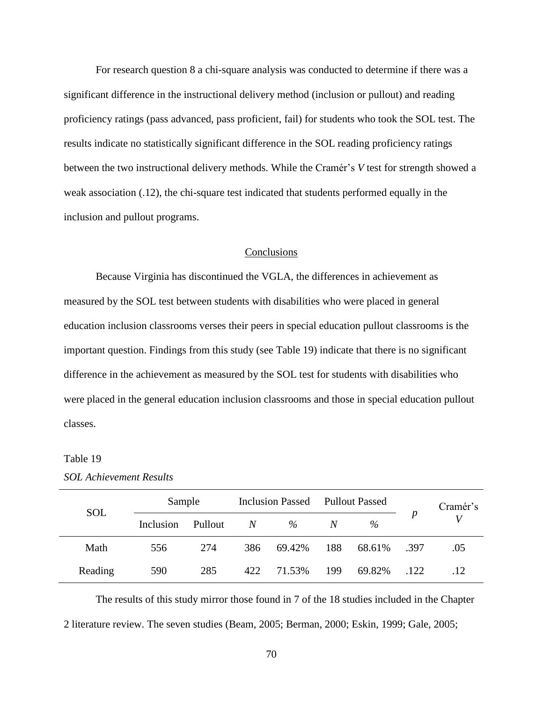For research question 8 a chi-square analysis was conducted to determine if there was a significant difference in the instructional delivery method (inclusion or pullout) and reading proficiency ratings (pass advanced, pass proficient, fail) for students who took the SOL test. The results indicate no statistically significant difference in the SOL reading proficiency ratings between the two instructional delivery methods. While the Cramér's *V* test for strength showed a weak association (.12), the chi-square test indicated that students performed equally in the inclusion and pullout programs.

# **Conclusions**

Because Virginia has discontinued the VGLA, the differences in achievement as measured by the SOL test between students with disabilities who were placed in general education inclusion classrooms verses their peers in special education pullout classrooms is the important question. Findings from this study (see Table 19) indicate that there is no significant difference in the achievement as measured by the SOL test for students with disabilities who were placed in the general education inclusion classrooms and those in special education pullout classes.

### Table 19

| <b>SOL</b> | Sample    |         | <b>Inclusion Passed</b> |        | <b>Pullout Passed</b> |               |                  | Cramér's |
|------------|-----------|---------|-------------------------|--------|-----------------------|---------------|------------------|----------|
|            | Inclusion | Pullout | N                       | $\%$   | N                     | $\frac{0}{6}$ | $\boldsymbol{p}$ |          |
| Math       | 556       | 274     | 386                     | 69.42% | 188                   | 68.61%        | - 397            | .05      |
| Reading    | 590       | 285     | 422                     | 71.53% | 199                   | 69.82%        | .122             | .12      |

The results of this study mirror those found in 7 of the 18 studies included in the Chapter 2 literature review. The seven studies (Beam, 2005; Berman, 2000; Eskin, 1999; Gale, 2005;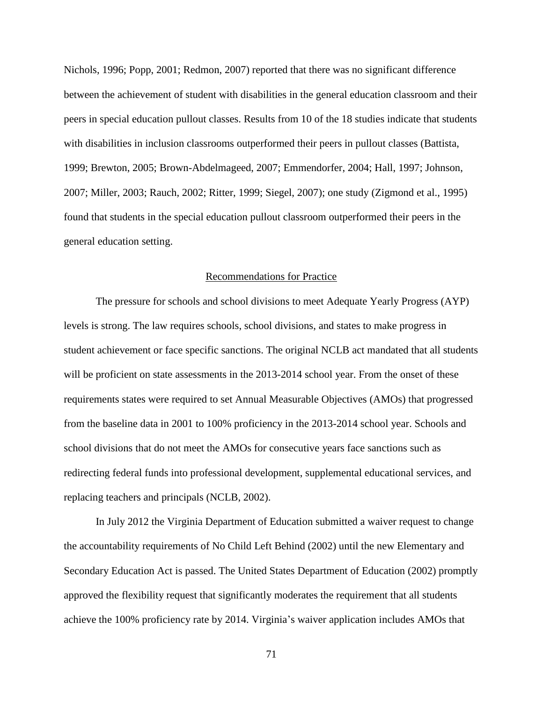Nichols, 1996; Popp, 2001; Redmon, 2007) reported that there was no significant difference between the achievement of student with disabilities in the general education classroom and their peers in special education pullout classes. Results from 10 of the 18 studies indicate that students with disabilities in inclusion classrooms outperformed their peers in pullout classes (Battista, 1999; Brewton, 2005; Brown-Abdelmageed, 2007; Emmendorfer, 2004; Hall, 1997; Johnson, 2007; Miller, 2003; Rauch, 2002; Ritter, 1999; Siegel, 2007); one study (Zigmond et al., 1995) found that students in the special education pullout classroom outperformed their peers in the general education setting.

### Recommendations for Practice

The pressure for schools and school divisions to meet Adequate Yearly Progress (AYP) levels is strong. The law requires schools, school divisions, and states to make progress in student achievement or face specific sanctions. The original NCLB act mandated that all students will be proficient on state assessments in the 2013-2014 school year. From the onset of these requirements states were required to set Annual Measurable Objectives (AMOs) that progressed from the baseline data in 2001 to 100% proficiency in the 2013-2014 school year. Schools and school divisions that do not meet the AMOs for consecutive years face sanctions such as redirecting federal funds into professional development, supplemental educational services, and replacing teachers and principals (NCLB, 2002).

In July 2012 the Virginia Department of Education submitted a waiver request to change the accountability requirements of No Child Left Behind (2002) until the new Elementary and Secondary Education Act is passed. The United States Department of Education (2002) promptly approved the flexibility request that significantly moderates the requirement that all students achieve the 100% proficiency rate by 2014. Virginia's waiver application includes AMOs that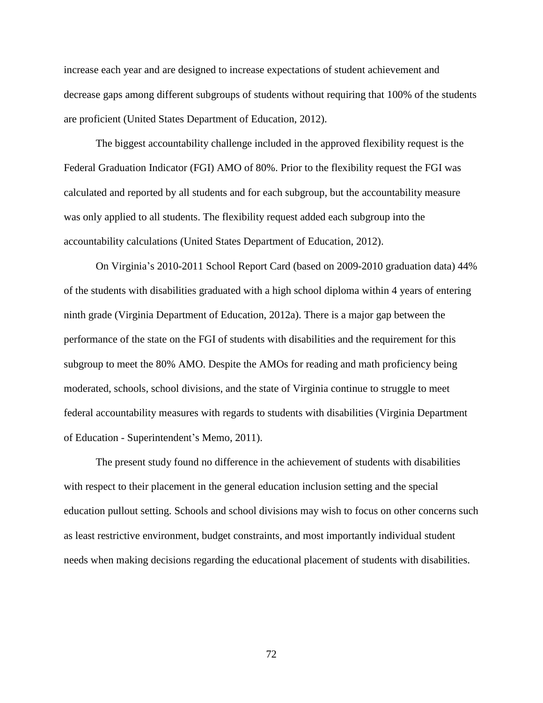increase each year and are designed to increase expectations of student achievement and decrease gaps among different subgroups of students without requiring that 100% of the students are proficient (United States Department of Education, 2012).

The biggest accountability challenge included in the approved flexibility request is the Federal Graduation Indicator (FGI) AMO of 80%. Prior to the flexibility request the FGI was calculated and reported by all students and for each subgroup, but the accountability measure was only applied to all students. The flexibility request added each subgroup into the accountability calculations (United States Department of Education, 2012).

On Virginia's 2010-2011 School Report Card (based on 2009-2010 graduation data) 44% of the students with disabilities graduated with a high school diploma within 4 years of entering ninth grade (Virginia Department of Education, 2012a). There is a major gap between the performance of the state on the FGI of students with disabilities and the requirement for this subgroup to meet the 80% AMO. Despite the AMOs for reading and math proficiency being moderated, schools, school divisions, and the state of Virginia continue to struggle to meet federal accountability measures with regards to students with disabilities (Virginia Department of Education - Superintendent's Memo, 2011).

The present study found no difference in the achievement of students with disabilities with respect to their placement in the general education inclusion setting and the special education pullout setting. Schools and school divisions may wish to focus on other concerns such as least restrictive environment, budget constraints, and most importantly individual student needs when making decisions regarding the educational placement of students with disabilities.

72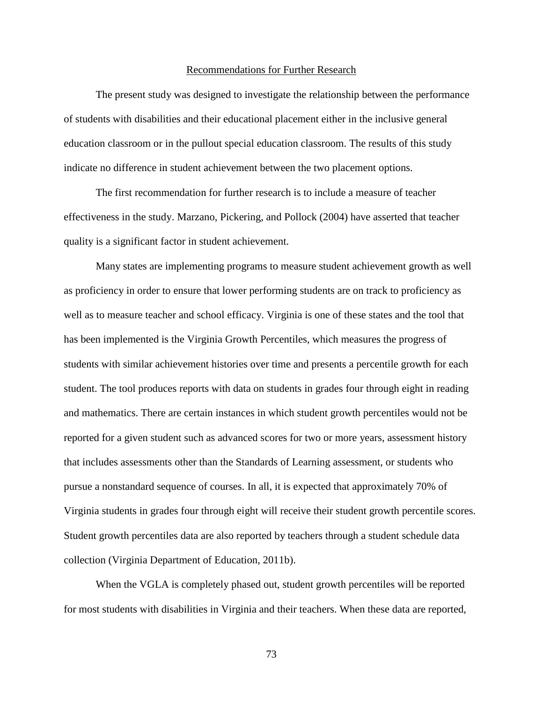#### Recommendations for Further Research

The present study was designed to investigate the relationship between the performance of students with disabilities and their educational placement either in the inclusive general education classroom or in the pullout special education classroom. The results of this study indicate no difference in student achievement between the two placement options.

The first recommendation for further research is to include a measure of teacher effectiveness in the study. Marzano, Pickering, and Pollock (2004) have asserted that teacher quality is a significant factor in student achievement.

Many states are implementing programs to measure student achievement growth as well as proficiency in order to ensure that lower performing students are on track to proficiency as well as to measure teacher and school efficacy. Virginia is one of these states and the tool that has been implemented is the Virginia Growth Percentiles, which measures the progress of students with similar achievement histories over time and presents a percentile growth for each student. The tool produces reports with data on students in grades four through eight in reading and mathematics. There are certain instances in which student growth percentiles would not be reported for a given student such as advanced scores for two or more years, assessment history that includes assessments other than the Standards of Learning assessment, or students who pursue a nonstandard sequence of courses. In all, it is expected that approximately 70% of Virginia students in grades four through eight will receive their student growth percentile scores. Student growth percentiles data are also reported by teachers through a student schedule data collection (Virginia Department of Education, 2011b).

When the VGLA is completely phased out, student growth percentiles will be reported for most students with disabilities in Virginia and their teachers. When these data are reported,

73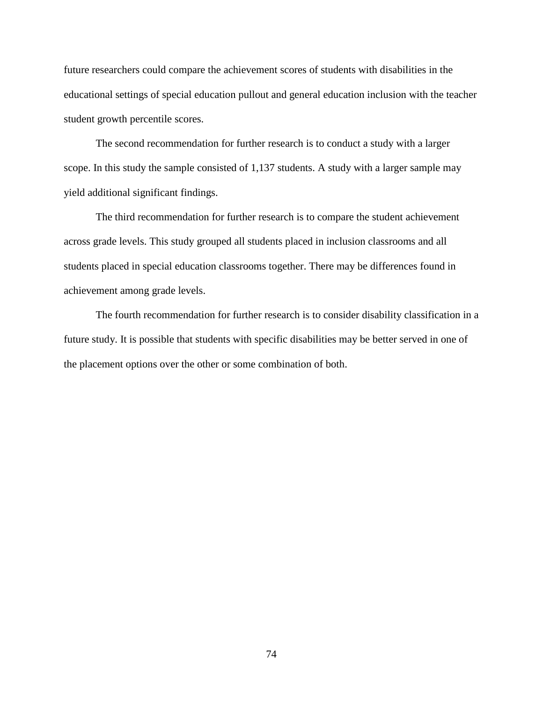future researchers could compare the achievement scores of students with disabilities in the educational settings of special education pullout and general education inclusion with the teacher student growth percentile scores.

The second recommendation for further research is to conduct a study with a larger scope. In this study the sample consisted of 1,137 students. A study with a larger sample may yield additional significant findings.

The third recommendation for further research is to compare the student achievement across grade levels. This study grouped all students placed in inclusion classrooms and all students placed in special education classrooms together. There may be differences found in achievement among grade levels.

The fourth recommendation for further research is to consider disability classification in a future study. It is possible that students with specific disabilities may be better served in one of the placement options over the other or some combination of both.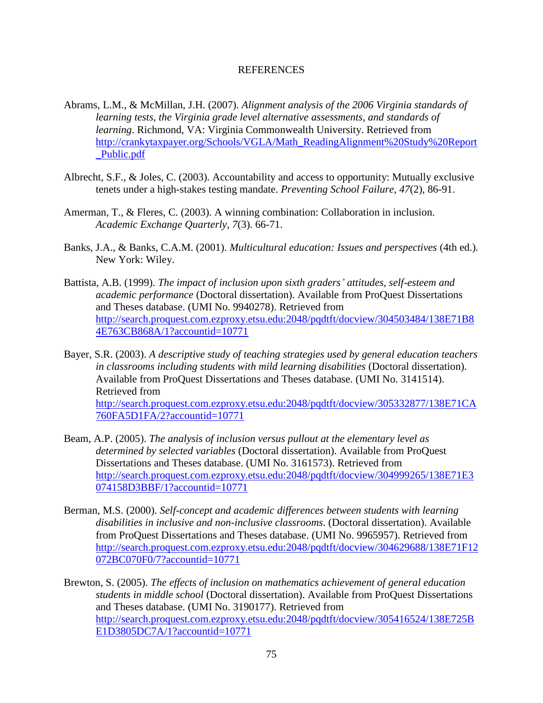#### REFERENCES

- Abrams, L.M., & McMillan, J.H. (2007). *Alignment analysis of the 2006 Virginia standards of learning tests, the Virginia grade level alternative assessments, and standards of learning*. Richmond, VA: Virginia Commonwealth University. Retrieved from [http://crankytaxpayer.org/Schools/VGLA/Math\\_ReadingAlignment%20Study%20Report](http://crankytaxpayer.org/Schools/VGLA/Math_ReadingAlignment%20Study%20Report_Public.pdf) [\\_Public.pdf](http://crankytaxpayer.org/Schools/VGLA/Math_ReadingAlignment%20Study%20Report_Public.pdf)
- Albrecht, S.F., & Joles, C. (2003). Accountability and access to opportunity: Mutually exclusive tenets under a high-stakes testing mandate. *Preventing School Failure*, *47*(2), 86-91.
- Amerman, T., & Fleres, C. (2003). A winning combination: Collaboration in inclusion. *Academic Exchange Quarterly, 7*(3). 66-71.
- Banks, J.A., & Banks, C.A.M. (2001). *Multicultural education: Issues and perspectives* (4th ed.)*.* New York: Wiley.
- Battista, A.B. (1999). *The impact of inclusion upon sixth graders' attitudes, self-esteem and academic performance* (Doctoral dissertation). Available from ProQuest Dissertations and Theses database. (UMI No. 9940278). Retrieved from [http://search.proquest.com.ezproxy.etsu.edu:2048/pqdtft/docview/304503484/138E71B8](http://search.proquest.com.ezproxy.etsu.edu:2048/pqdtft/docview/304503484/138E71B84E763CB868A/1?accountid=10771) [4E763CB868A/1?accountid=10771](http://search.proquest.com.ezproxy.etsu.edu:2048/pqdtft/docview/304503484/138E71B84E763CB868A/1?accountid=10771)
- Bayer, S.R. (2003). *A descriptive study of teaching strategies used by general education teachers in classrooms including students with mild learning disabilities* (Doctoral dissertation). Available from ProQuest Dissertations and Theses database. (UMI No. 3141514). Retrieved from [http://search.proquest.com.ezproxy.etsu.edu:2048/pqdtft/docview/305332877/138E71CA](http://search.proquest.com.ezproxy.etsu.edu:2048/pqdtft/docview/305332877/138E71CA760FA5D1FA/2?accountid=10771) [760FA5D1FA/2?accountid=10771](http://search.proquest.com.ezproxy.etsu.edu:2048/pqdtft/docview/305332877/138E71CA760FA5D1FA/2?accountid=10771)
- Beam, A.P. (2005). *The analysis of inclusion versus pullout at the elementary level as determined by selected variables* (Doctoral dissertation). Available from ProQuest Dissertations and Theses database. (UMI No. 3161573). Retrieved from [http://search.proquest.com.ezproxy.etsu.edu:2048/pqdtft/docview/304999265/138E71E3](http://search.proquest.com.ezproxy.etsu.edu:2048/pqdtft/docview/304999265/138E71E3074158D3BBF/1?accountid=10771) [074158D3BBF/1?accountid=10771](http://search.proquest.com.ezproxy.etsu.edu:2048/pqdtft/docview/304999265/138E71E3074158D3BBF/1?accountid=10771)
- Berman, M.S. (2000). *Self-concept and academic differences between students with learning disabilities in inclusive and non-inclusive classrooms*. (Doctoral dissertation). Available from ProQuest Dissertations and Theses database. (UMI No. 9965957). Retrieved from [http://search.proquest.com.ezproxy.etsu.edu:2048/pqdtft/docview/304629688/138E71F12](http://search.proquest.com.ezproxy.etsu.edu:2048/pqdtft/docview/304629688/138E71F12072BC070F0/7?accountid=10771) [072BC070F0/7?accountid=10771](http://search.proquest.com.ezproxy.etsu.edu:2048/pqdtft/docview/304629688/138E71F12072BC070F0/7?accountid=10771)
- Brewton, S. (2005). *The effects of inclusion on mathematics achievement of general education students in middle school* (Doctoral dissertation). Available from ProQuest Dissertations and Theses database. (UMI No. 3190177). Retrieved from [http://search.proquest.com.ezproxy.etsu.edu:2048/pqdtft/docview/305416524/138E725B](http://search.proquest.com.ezproxy.etsu.edu:2048/pqdtft/docview/305416524/138E725BE1D3805DC7A/1?accountid=10771) [E1D3805DC7A/1?accountid=10771](http://search.proquest.com.ezproxy.etsu.edu:2048/pqdtft/docview/305416524/138E725BE1D3805DC7A/1?accountid=10771)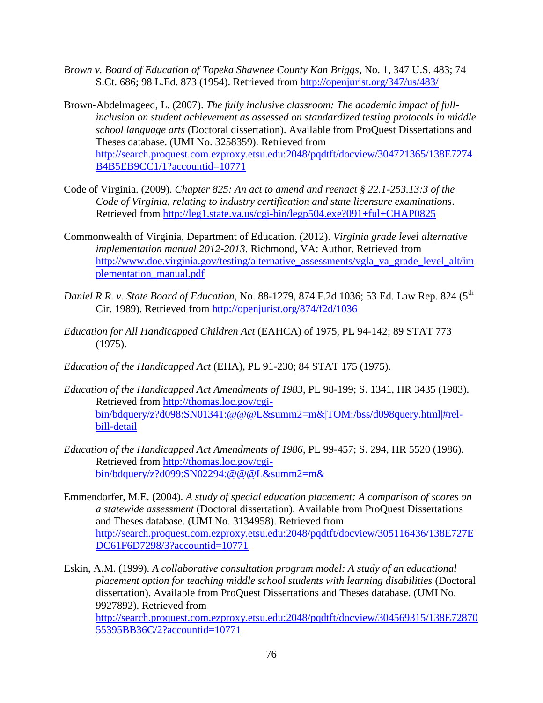- *Brown v. Board of Education of Topeka Shawnee County Kan Briggs*, No. 1, 347 U.S. 483; 74 S.Ct. 686; 98 L.Ed. 873 (1954). Retrieved from<http://openjurist.org/347/us/483/>
- Brown-Abdelmageed, L. (2007). *The fully inclusive classroom: The academic impact of fullinclusion on student achievement as assessed on standardized testing protocols in middle school language arts* (Doctoral dissertation). Available from ProQuest Dissertations and Theses database. (UMI No. 3258359). Retrieved from [http://search.proquest.com.ezproxy.etsu.edu:2048/pqdtft/docview/304721365/138E7274](http://search.proquest.com.ezproxy.etsu.edu:2048/pqdtft/docview/304721365/138E7274B4B5EB9CC1/1?accountid=10771) [B4B5EB9CC1/1?accountid=10771](http://search.proquest.com.ezproxy.etsu.edu:2048/pqdtft/docview/304721365/138E7274B4B5EB9CC1/1?accountid=10771)
- Code of Virginia. (2009). *Chapter 825: An act to amend and reenact § 22.1-253.13:3 of the Code of Virginia, relating to industry certification and state licensure examinations*. Retrieved from <http://leg1.state.va.us/cgi-bin/legp504.exe?091+ful+CHAP0825>
- Commonwealth of Virginia, Department of Education. (2012). *Virginia grade level alternative implementation manual 2012-2013*. Richmond, VA: Author. Retrieved from [http://www.doe.virginia.gov/testing/alternative\\_assessments/vgla\\_va\\_grade\\_level\\_alt/im](http://www.doe.virginia.gov/testing/alternative_assessments/vgla_va_grade_level_alt/implementation_manual.pdf) [plementation\\_manual.pdf](http://www.doe.virginia.gov/testing/alternative_assessments/vgla_va_grade_level_alt/implementation_manual.pdf)
- *Daniel R.R. v. State Board of Education*, No. 88-1279, 874 F.2d 1036; 53 Ed. Law Rep. 824 (5<sup>th</sup> Cir. 1989). Retrieved from<http://openjurist.org/874/f2d/1036>
- *Education for All Handicapped Children Act* (EAHCA) of 1975, PL 94-142; 89 STAT 773 (1975).
- *Education of the Handicapped Act* (EHA), PL 91-230; 84 STAT 175 (1975).
- *Education of the Handicapped Act Amendments of 1983*, PL 98-199; S. 1341, HR 3435 (1983). Retrieved from [http://thomas.loc.gov/cgi](http://thomas.loc.gov/cgi-bin/bdquery/z?d098:SN01341:@@@L&summ2=m&|TOM:/bss/d098query.html|%23rel-bill-detail)[bin/bdquery/z?d098:SN01341:@@@L&summ2=m&|TOM:/bss/d098query.html|#rel](http://thomas.loc.gov/cgi-bin/bdquery/z?d098:SN01341:@@@L&summ2=m&|TOM:/bss/d098query.html|%23rel-bill-detail)[bill-detail](http://thomas.loc.gov/cgi-bin/bdquery/z?d098:SN01341:@@@L&summ2=m&|TOM:/bss/d098query.html|%23rel-bill-detail)
- *Education of the Handicapped Act Amendments of 1986*, PL 99-457; S. 294, HR 5520 (1986). Retrieved from [http://thomas.loc.gov/cgi](http://thomas.loc.gov/cgi-bin/bdquery/z?d099:SN02294:@@@L&summ2=m&)[bin/bdquery/z?d099:SN02294:@@@L&summ2=m&](http://thomas.loc.gov/cgi-bin/bdquery/z?d099:SN02294:@@@L&summ2=m&)
- Emmendorfer, M.E. (2004). *A study of special education placement: A comparison of scores on a statewide assessment* (Doctoral dissertation). Available from ProQuest Dissertations and Theses database. (UMI No. 3134958). Retrieved from [http://search.proquest.com.ezproxy.etsu.edu:2048/pqdtft/docview/305116436/138E727E](http://search.proquest.com.ezproxy.etsu.edu:2048/pqdtft/docview/305116436/138E727EDC61F6D7298/3?accountid=10771) [DC61F6D7298/3?accountid=10771](http://search.proquest.com.ezproxy.etsu.edu:2048/pqdtft/docview/305116436/138E727EDC61F6D7298/3?accountid=10771)

Eskin, A.M. (1999). *A collaborative consultation program model: A study of an educational placement option for teaching middle school students with learning disabilities* (Doctoral dissertation). Available from ProQuest Dissertations and Theses database. (UMI No. 9927892). Retrieved from [http://search.proquest.com.ezproxy.etsu.edu:2048/pqdtft/docview/304569315/138E72870](http://search.proquest.com.ezproxy.etsu.edu:2048/pqdtft/docview/304569315/138E7287055395BB36C/2?accountid=10771) [55395BB36C/2?accountid=10771](http://search.proquest.com.ezproxy.etsu.edu:2048/pqdtft/docview/304569315/138E7287055395BB36C/2?accountid=10771)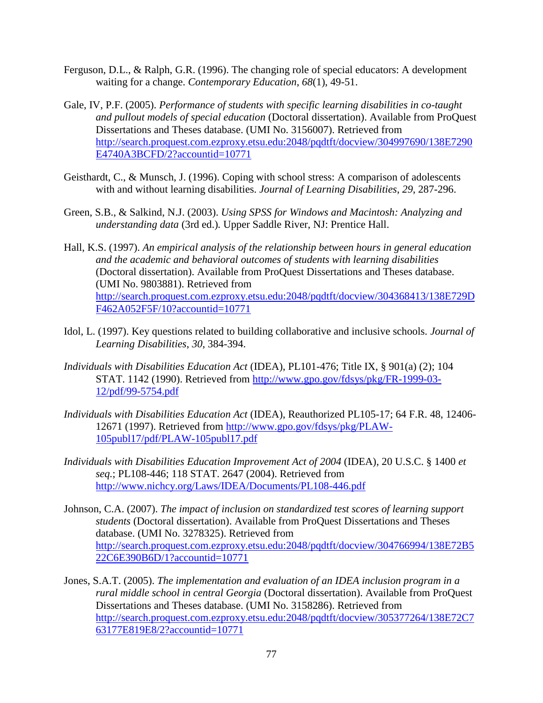- Ferguson, D.L., & Ralph, G.R. (1996). The changing role of special educators: A development waiting for a change. *Contemporary Education*, *68*(1), 49-51.
- Gale, IV, P.F. (2005). *Performance of students with specific learning disabilities in co-taught and pullout models of special education* (Doctoral dissertation). Available from ProQuest Dissertations and Theses database. (UMI No. 3156007). Retrieved from [http://search.proquest.com.ezproxy.etsu.edu:2048/pqdtft/docview/304997690/138E7290](http://search.proquest.com.ezproxy.etsu.edu:2048/pqdtft/docview/304997690/138E7290E4740A3BCFD/2?accountid=10771) [E4740A3BCFD/2?accountid=10771](http://search.proquest.com.ezproxy.etsu.edu:2048/pqdtft/docview/304997690/138E7290E4740A3BCFD/2?accountid=10771)
- Geisthardt, C., & Munsch, J. (1996). Coping with school stress: A comparison of adolescents with and without learning disabilities. *Journal of Learning Disabilities*, *29*, 287-296.
- Green, S.B., & Salkind, N.J. (2003). *Using SPSS for Windows and Macintosh: Analyzing and understanding data* (3rd ed.)*.* Upper Saddle River, NJ: Prentice Hall.
- Hall, K.S. (1997). *An empirical analysis of the relationship between hours in general education and the academic and behavioral outcomes of students with learning disabilities* (Doctoral dissertation). Available from ProQuest Dissertations and Theses database. (UMI No. 9803881). Retrieved from [http://search.proquest.com.ezproxy.etsu.edu:2048/pqdtft/docview/304368413/138E729D](http://search.proquest.com.ezproxy.etsu.edu:2048/pqdtft/docview/304368413/138E729DF462A052F5F/10?accountid=10771) [F462A052F5F/10?accountid=10771](http://search.proquest.com.ezproxy.etsu.edu:2048/pqdtft/docview/304368413/138E729DF462A052F5F/10?accountid=10771)
- Idol, L. (1997). Key questions related to building collaborative and inclusive schools. *Journal of Learning Disabilities*, *30*, 384-394.
- *Individuals with Disabilities Education Act* (IDEA), PL101-476; Title IX, § 901(a) (2); 104 STAT. 1142 (1990). Retrieved from [http://www.gpo.gov/fdsys/pkg/FR-1999-03-](http://www.gpo.gov/fdsys/pkg/FR-1999-03-12/pdf/99-5754.pdf) [12/pdf/99-5754.pdf](http://www.gpo.gov/fdsys/pkg/FR-1999-03-12/pdf/99-5754.pdf)
- *Individuals with Disabilities Education Act* (IDEA), Reauthorized PL105-17; 64 F.R. 48, 12406- 12671 (1997). Retrieved from [http://www.gpo.gov/fdsys/pkg/PLAW-](http://www.gpo.gov/fdsys/pkg/PLAW-105publ17/pdf/PLAW-105publ17.pdf)[105publ17/pdf/PLAW-105publ17.pdf](http://www.gpo.gov/fdsys/pkg/PLAW-105publ17/pdf/PLAW-105publ17.pdf)
- *Individuals with Disabilities Education Improvement Act of 2004* (IDEA), 20 U.S.C. § 1400 *et seq.*; PL108-446; 118 STAT. 2647 (2004). Retrieved from <http://www.nichcy.org/Laws/IDEA/Documents/PL108-446.pdf>
- Johnson, C.A. (2007). *The impact of inclusion on standardized test scores of learning support students* (Doctoral dissertation). Available from ProQuest Dissertations and Theses database. (UMI No. 3278325). Retrieved from [http://search.proquest.com.ezproxy.etsu.edu:2048/pqdtft/docview/304766994/138E72B5](http://search.proquest.com.ezproxy.etsu.edu:2048/pqdtft/docview/304766994/138E72B522C6E390B6D/1?accountid=10771) [22C6E390B6D/1?accountid=10771](http://search.proquest.com.ezproxy.etsu.edu:2048/pqdtft/docview/304766994/138E72B522C6E390B6D/1?accountid=10771)
- Jones, S.A.T. (2005). *The implementation and evaluation of an IDEA inclusion program in a rural middle school in central Georgia* (Doctoral dissertation). Available from ProQuest Dissertations and Theses database. (UMI No. 3158286). Retrieved from [http://search.proquest.com.ezproxy.etsu.edu:2048/pqdtft/docview/305377264/138E72C7](http://search.proquest.com.ezproxy.etsu.edu:2048/pqdtft/docview/305377264/138E72C763177E819E8/2?accountid=10771) [63177E819E8/2?accountid=10771](http://search.proquest.com.ezproxy.etsu.edu:2048/pqdtft/docview/305377264/138E72C763177E819E8/2?accountid=10771)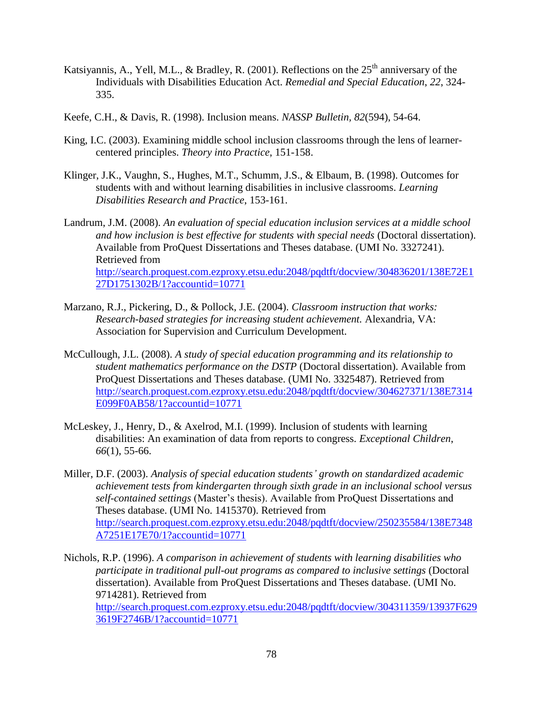- Katsiyannis, A., Yell, M.L., & Bradley, R. (2001). Reflections on the  $25<sup>th</sup>$  anniversary of the Individuals with Disabilities Education Act. *Remedial and Special Education*, *22*, 324- 335.
- Keefe, C.H., & Davis, R. (1998). Inclusion means. *NASSP Bulletin, 82*(594), 54-64.
- King, I.C. (2003). Examining middle school inclusion classrooms through the lens of learnercentered principles. *Theory into Practice*, 151-158.
- Klinger, J.K., Vaughn, S., Hughes, M.T., Schumm, J.S., & Elbaum, B. (1998). Outcomes for students with and without learning disabilities in inclusive classrooms. *Learning Disabilities Research and Practice*, 153-161.
- Landrum, J.M. (2008). *An evaluation of special education inclusion services at a middle school and how inclusion is best effective for students with special needs* (Doctoral dissertation). Available from ProQuest Dissertations and Theses database. (UMI No. 3327241). Retrieved from [http://search.proquest.com.ezproxy.etsu.edu:2048/pqdtft/docview/304836201/138E72E1](http://search.proquest.com.ezproxy.etsu.edu:2048/pqdtft/docview/304836201/138E72E127D1751302B/1?accountid=10771) [27D1751302B/1?accountid=10771](http://search.proquest.com.ezproxy.etsu.edu:2048/pqdtft/docview/304836201/138E72E127D1751302B/1?accountid=10771)
- Marzano, R.J., Pickering, D., & Pollock, J.E. (2004). *Classroom instruction that works: Research-based strategies for increasing student achievement.* Alexandria, VA: Association for Supervision and Curriculum Development.
- McCullough, J.L. (2008). *A study of special education programming and its relationship to student mathematics performance on the DSTP* (Doctoral dissertation). Available from ProQuest Dissertations and Theses database. (UMI No. 3325487). Retrieved from [http://search.proquest.com.ezproxy.etsu.edu:2048/pqdtft/docview/304627371/138E7314](http://search.proquest.com.ezproxy.etsu.edu:2048/pqdtft/docview/304627371/138E7314E099F0AB58/1?accountid=10771) [E099F0AB58/1?accountid=10771](http://search.proquest.com.ezproxy.etsu.edu:2048/pqdtft/docview/304627371/138E7314E099F0AB58/1?accountid=10771)
- McLeskey, J., Henry, D., & Axelrod, M.I. (1999). Inclusion of students with learning disabilities: An examination of data from reports to congress. *Exceptional Children*, *66*(1), 55-66.
- Miller, D.F. (2003). *Analysis of special education students' growth on standardized academic achievement tests from kindergarten through sixth grade in an inclusional school versus self-contained settings* (Master's thesis). Available from ProQuest Dissertations and Theses database. (UMI No. 1415370). Retrieved from [http://search.proquest.com.ezproxy.etsu.edu:2048/pqdtft/docview/250235584/138E7348](http://search.proquest.com.ezproxy.etsu.edu:2048/pqdtft/docview/250235584/138E7348A7251E17E70/1?accountid=10771) [A7251E17E70/1?accountid=10771](http://search.proquest.com.ezproxy.etsu.edu:2048/pqdtft/docview/250235584/138E7348A7251E17E70/1?accountid=10771)
- Nichols, R.P. (1996). *A comparison in achievement of students with learning disabilities who participate in traditional pull-out programs as compared to inclusive settings* (Doctoral dissertation). Available from ProQuest Dissertations and Theses database. (UMI No. 9714281). Retrieved from [http://search.proquest.com.ezproxy.etsu.edu:2048/pqdtft/docview/304311359/13937F629](http://search.proquest.com.ezproxy.etsu.edu:2048/pqdtft/docview/304311359/13937F6293619F2746B/1?accountid=10771)

[3619F2746B/1?accountid=10771](http://search.proquest.com.ezproxy.etsu.edu:2048/pqdtft/docview/304311359/13937F6293619F2746B/1?accountid=10771)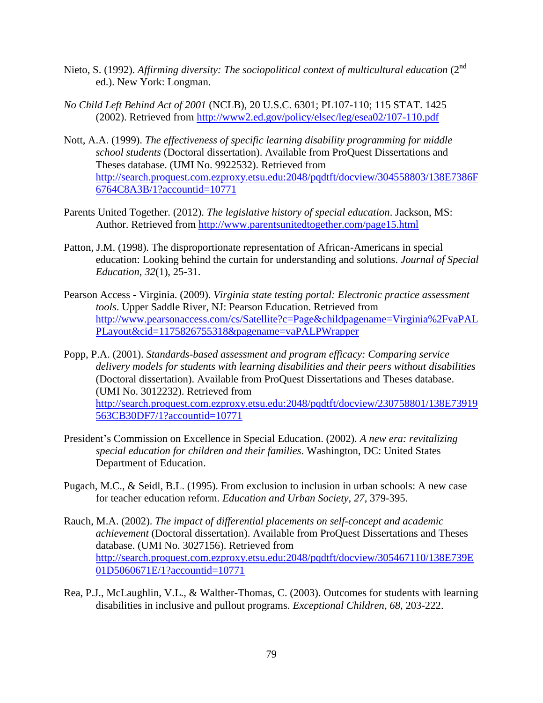- Nieto, S. (1992). *Affirming diversity: The sociopolitical context of multicultural education* (2<sup>nd</sup>) ed.). New York: Longman.
- *No Child Left Behind Act of 2001* (NCLB), 20 U.S.C. 6301; PL107-110; 115 STAT. 1425 (2002). Retrieved from<http://www2.ed.gov/policy/elsec/leg/esea02/107-110.pdf>
- Nott, A.A. (1999). *The effectiveness of specific learning disability programming for middle school students* (Doctoral dissertation). Available from ProQuest Dissertations and Theses database. (UMI No. 9922532). Retrieved from [http://search.proquest.com.ezproxy.etsu.edu:2048/pqdtft/docview/304558803/138E7386F](http://search.proquest.com.ezproxy.etsu.edu:2048/pqdtft/docview/304558803/138E7386F6764C8A3B/1?accountid=10771) [6764C8A3B/1?accountid=10771](http://search.proquest.com.ezproxy.etsu.edu:2048/pqdtft/docview/304558803/138E7386F6764C8A3B/1?accountid=10771)
- Parents United Together. (2012). *The legislative history of special education*. Jackson, MS: Author. Retrieved from<http://www.parentsunitedtogether.com/page15.html>
- Patton, J.M. (1998). The disproportionate representation of African-Americans in special education: Looking behind the curtain for understanding and solutions. *Journal of Special Education*, *32*(1), 25-31.
- Pearson Access Virginia. (2009). *Virginia state testing portal: Electronic practice assessment tools*. Upper Saddle River, NJ: Pearson Education. Retrieved from [http://www.pearsonaccess.com/cs/Satellite?c=Page&childpagename=Virginia%2FvaPAL](http://www.pearsonaccess.com/cs/Satellite?c=Page&childpagename=Virginia%2FvaPALPLayout&cid=1175826755318&pagename=vaPALPWrapper) [PLayout&cid=1175826755318&pagename=vaPALPWrapper](http://www.pearsonaccess.com/cs/Satellite?c=Page&childpagename=Virginia%2FvaPALPLayout&cid=1175826755318&pagename=vaPALPWrapper)
- Popp, P.A. (2001). *Standards-based assessment and program efficacy: Comparing service delivery models for students with learning disabilities and their peers without disabilities* (Doctoral dissertation). Available from ProQuest Dissertations and Theses database. (UMI No. 3012232). Retrieved from [http://search.proquest.com.ezproxy.etsu.edu:2048/pqdtft/docview/230758801/138E73919](http://search.proquest.com.ezproxy.etsu.edu:2048/pqdtft/docview/230758801/138E73919563CB30DF7/1?accountid=10771) [563CB30DF7/1?accountid=10771](http://search.proquest.com.ezproxy.etsu.edu:2048/pqdtft/docview/230758801/138E73919563CB30DF7/1?accountid=10771)
- President's Commission on Excellence in Special Education. (2002). *A new era: revitalizing special education for children and their families*. Washington, DC: United States Department of Education.
- Pugach, M.C., & Seidl, B.L. (1995). From exclusion to inclusion in urban schools: A new case for teacher education reform. *Education and Urban Society*, *27*, 379-395.
- Rauch, M.A. (2002). *The impact of differential placements on self-concept and academic achievement* (Doctoral dissertation). Available from ProQuest Dissertations and Theses database. (UMI No. 3027156). Retrieved from [http://search.proquest.com.ezproxy.etsu.edu:2048/pqdtft/docview/305467110/138E739E](http://search.proquest.com.ezproxy.etsu.edu:2048/pqdtft/docview/305467110/138E739E01D5060671E/1?accountid=10771) [01D5060671E/1?accountid=10771](http://search.proquest.com.ezproxy.etsu.edu:2048/pqdtft/docview/305467110/138E739E01D5060671E/1?accountid=10771)
- Rea, P.J., McLaughlin, V.L., & Walther-Thomas, C. (2003). Outcomes for students with learning disabilities in inclusive and pullout programs. *Exceptional Children*, *68*, 203-222.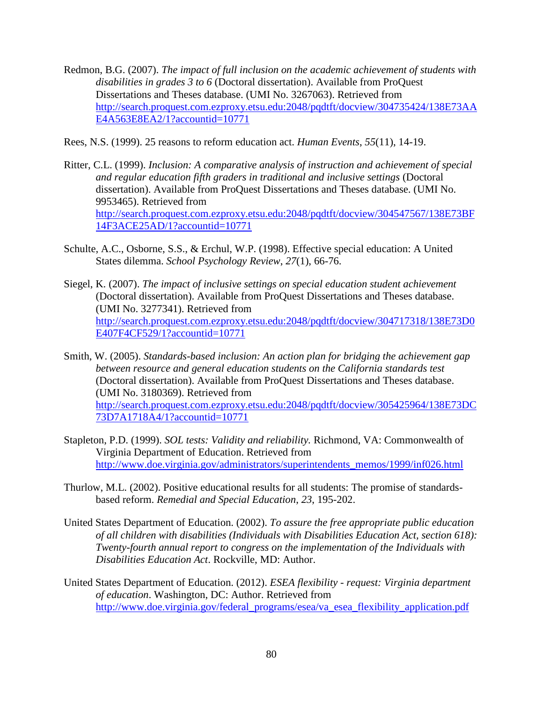- Redmon, B.G. (2007). *The impact of full inclusion on the academic achievement of students with disabilities in grades 3 to 6* (Doctoral dissertation). Available from ProQuest Dissertations and Theses database. (UMI No. 3267063). Retrieved from [http://search.proquest.com.ezproxy.etsu.edu:2048/pqdtft/docview/304735424/138E73AA](http://search.proquest.com.ezproxy.etsu.edu:2048/pqdtft/docview/304735424/138E73AAE4A563E8EA2/1?accountid=10771) [E4A563E8EA2/1?accountid=10771](http://search.proquest.com.ezproxy.etsu.edu:2048/pqdtft/docview/304735424/138E73AAE4A563E8EA2/1?accountid=10771)
- Rees, N.S. (1999). 25 reasons to reform education act. *Human Events*, *55*(11), 14-19.
- Ritter, C.L. (1999). *Inclusion: A comparative analysis of instruction and achievement of special and regular education fifth graders in traditional and inclusive settings* (Doctoral dissertation). Available from ProQuest Dissertations and Theses database. (UMI No. 9953465). Retrieved from [http://search.proquest.com.ezproxy.etsu.edu:2048/pqdtft/docview/304547567/138E73BF](http://search.proquest.com.ezproxy.etsu.edu:2048/pqdtft/docview/304547567/138E73BF14F3ACE25AD/1?accountid=10771) [14F3ACE25AD/1?accountid=10771](http://search.proquest.com.ezproxy.etsu.edu:2048/pqdtft/docview/304547567/138E73BF14F3ACE25AD/1?accountid=10771)
- Schulte, A.C., Osborne, S.S., & Erchul, W.P. (1998). Effective special education: A United States dilemma. *School Psychology Review*, *27*(1), 66-76.
- Siegel, K. (2007). *The impact of inclusive settings on special education student achievement* (Doctoral dissertation). Available from ProQuest Dissertations and Theses database. (UMI No. 3277341). Retrieved from [http://search.proquest.com.ezproxy.etsu.edu:2048/pqdtft/docview/304717318/138E73D0](http://search.proquest.com.ezproxy.etsu.edu:2048/pqdtft/docview/304717318/138E73D0E407F4CF529/1?accountid=10771) [E407F4CF529/1?accountid=10771](http://search.proquest.com.ezproxy.etsu.edu:2048/pqdtft/docview/304717318/138E73D0E407F4CF529/1?accountid=10771)
- Smith, W. (2005). *Standards-based inclusion: An action plan for bridging the achievement gap between resource and general education students on the California standards test* (Doctoral dissertation). Available from ProQuest Dissertations and Theses database. (UMI No. 3180369). Retrieved from [http://search.proquest.com.ezproxy.etsu.edu:2048/pqdtft/docview/305425964/138E73DC](http://search.proquest.com.ezproxy.etsu.edu:2048/pqdtft/docview/305425964/138E73DC73D7A1718A4/1?accountid=10771) [73D7A1718A4/1?accountid=10771](http://search.proquest.com.ezproxy.etsu.edu:2048/pqdtft/docview/305425964/138E73DC73D7A1718A4/1?accountid=10771)
- Stapleton, P.D. (1999). *SOL tests: Validity and reliability.* Richmond, VA: Commonwealth of Virginia Department of Education. Retrieved from [http://www.doe.virginia.gov/administrators/superintendents\\_memos/1999/inf026.html](http://www.doe.virginia.gov/administrators/superintendents_memos/1999/inf026.html)
- Thurlow, M.L. (2002). Positive educational results for all students: The promise of standardsbased reform. *Remedial and Special Education*, *23*, 195-202.
- United States Department of Education. (2002). *To assure the free appropriate public education of all children with disabilities (Individuals with Disabilities Education Act, section 618): Twenty-fourth annual report to congress on the implementation of the Individuals with Disabilities Education Act*. Rockville, MD: Author.
- United States Department of Education. (2012). *ESEA flexibility - request: Virginia department of education*. Washington, DC: Author. Retrieved from [http://www.doe.virginia.gov/federal\\_programs/esea/va\\_esea\\_flexibility\\_application.pdf](http://www.doe.virginia.gov/federal_programs/esea/va_esea_flexibility_application.pdf)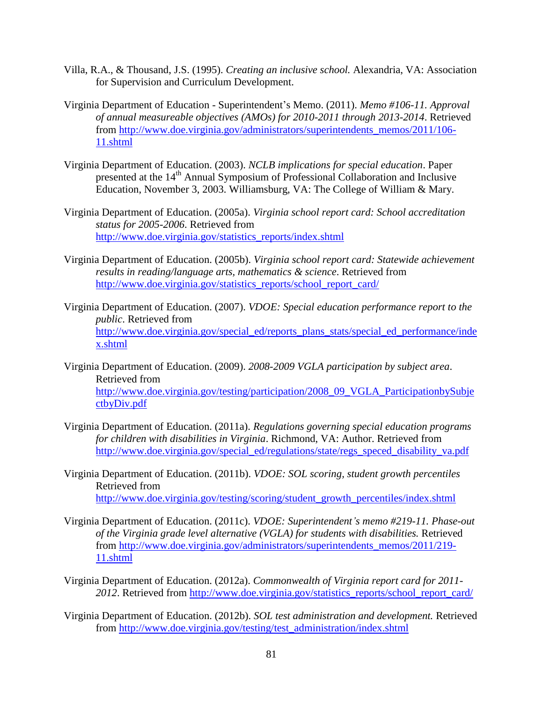- Villa, R.A., & Thousand, J.S. (1995). *Creating an inclusive school.* Alexandria, VA: Association for Supervision and Curriculum Development.
- Virginia Department of Education Superintendent's Memo. (2011). *Memo #106-11. Approval of annual measureable objectives (AMOs) for 2010-2011 through 2013-2014*. Retrieved from [http://www.doe.virginia.gov/administrators/superintendents\\_memos/2011/106-](http://www.doe.virginia.gov/administrators/superintendents_memos/2011/106-11.shtml) [11.shtml](http://www.doe.virginia.gov/administrators/superintendents_memos/2011/106-11.shtml)
- Virginia Department of Education. (2003). *NCLB implications for special education*. Paper presented at the 14<sup>th</sup> Annual Symposium of Professional Collaboration and Inclusive Education, November 3, 2003. Williamsburg, VA: The College of William & Mary.
- Virginia Department of Education. (2005a). *Virginia school report card: School accreditation status for 2005-2006*. Retrieved from [http://www.doe.virginia.gov/statistics\\_reports/index.shtml](http://www.doe.virginia.gov/statistics_reports/index.shtml)
- Virginia Department of Education. (2005b). *Virginia school report card: Statewide achievement results in reading/language arts, mathematics & science*. Retrieved from [http://www.doe.virginia.gov/statistics\\_reports/school\\_report\\_card/](http://www.doe.virginia.gov/statistics_reports/school_report_card/)
- Virginia Department of Education. (2007). *VDOE: Special education performance report to the public*. Retrieved from [http://www.doe.virginia.gov/special\\_ed/reports\\_plans\\_stats/special\\_ed\\_performance/inde](http://www.doe.virginia.gov/special_ed/reports_plans_stats/special_ed_performance/index.shtml) [x.shtml](http://www.doe.virginia.gov/special_ed/reports_plans_stats/special_ed_performance/index.shtml)
- Virginia Department of Education. (2009). *2008-2009 VGLA participation by subject area*. Retrieved from [http://www.doe.virginia.gov/testing/participation/2008\\_09\\_VGLA\\_ParticipationbySubje](http://www.doe.virginia.gov/testing/participation/2008_09_VGLA_ParticipationbySubjectbyDiv.pdf) [ctbyDiv.pdf](http://www.doe.virginia.gov/testing/participation/2008_09_VGLA_ParticipationbySubjectbyDiv.pdf)
- Virginia Department of Education. (2011a). *Regulations governing special education programs for children with disabilities in Virginia*. Richmond, VA: Author. Retrieved from [http://www.doe.virginia.gov/special\\_ed/regulations/state/regs\\_speced\\_disability\\_va.pdf](http://www.doe.virginia.gov/special_ed/regulations/state/regs_speced_disability_va.pdf)
- Virginia Department of Education. (2011b). *VDOE: SOL scoring, student growth percentiles*  Retrieved from [http://www.doe.virginia.gov/testing/scoring/student\\_growth\\_percentiles/index.shtml](http://www.doe.virginia.gov/testing/scoring/student_growth_percentiles/index.shtml)
- Virginia Department of Education. (2011c). *VDOE: Superintendent's memo #219-11. Phase-out of the Virginia grade level alternative (VGLA) for students with disabilities.* Retrieved from [http://www.doe.virginia.gov/administrators/superintendents\\_memos/2011/219-](http://www.doe.virginia.gov/administrators/superintendents_memos/2011/219-11.shtml) [11.shtml](http://www.doe.virginia.gov/administrators/superintendents_memos/2011/219-11.shtml)
- Virginia Department of Education. (2012a). *Commonwealth of Virginia report card for 2011- 2012*. Retrieved from [http://www.doe.virginia.gov/statistics\\_reports/school\\_report\\_card/](http://www.doe.virginia.gov/statistics_reports/school_report_card/)
- Virginia Department of Education. (2012b). *SOL test administration and development.* Retrieved from [http://www.doe.virginia.gov/testing/test\\_administration/index.shtml](http://www.doe.virginia.gov/testing/test_administration/index.shtml)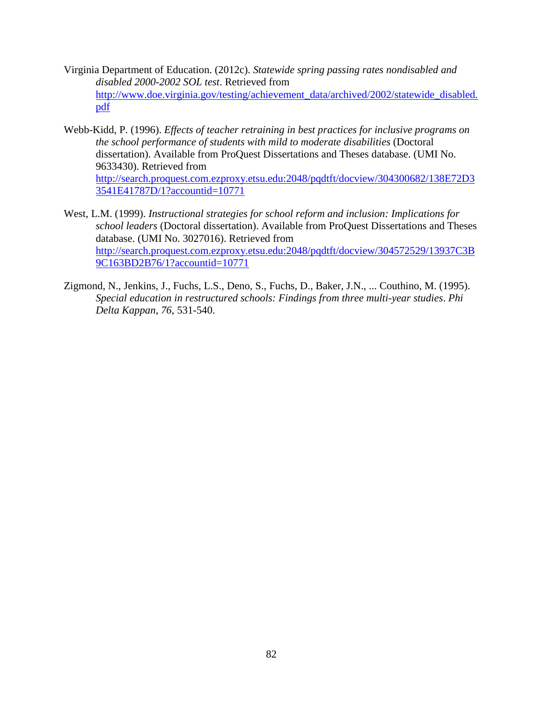- Virginia Department of Education. (2012c). *Statewide spring passing rates nondisabled and disabled 2000-2002 SOL test*. Retrieved from [http://www.doe.virginia.gov/testing/achievement\\_data/archived/2002/statewide\\_disabled.](http://www.doe.virginia.gov/testing/achievement_data/archived/2002/statewide_disabled.pdf) [pdf](http://www.doe.virginia.gov/testing/achievement_data/archived/2002/statewide_disabled.pdf)
- Webb-Kidd, P. (1996). *Effects of teacher retraining in best practices for inclusive programs on the school performance of students with mild to moderate disabilities* (Doctoral dissertation). Available from ProQuest Dissertations and Theses database. (UMI No. 9633430). Retrieved from [http://search.proquest.com.ezproxy.etsu.edu:2048/pqdtft/docview/304300682/138E72D3](http://search.proquest.com.ezproxy.etsu.edu:2048/pqdtft/docview/304300682/138E72D33541E41787D/1?accountid=10771) [3541E41787D/1?accountid=10771](http://search.proquest.com.ezproxy.etsu.edu:2048/pqdtft/docview/304300682/138E72D33541E41787D/1?accountid=10771)
- West, L.M. (1999). *Instructional strategies for school reform and inclusion: Implications for school leaders* (Doctoral dissertation). Available from ProQuest Dissertations and Theses database. (UMI No. 3027016). Retrieved from [http://search.proquest.com.ezproxy.etsu.edu:2048/pqdtft/docview/304572529/13937C3B](http://search.proquest.com.ezproxy.etsu.edu:2048/pqdtft/docview/304572529/13937C3B9C163BD2B76/1?accountid=10771) [9C163BD2B76/1?accountid=10771](http://search.proquest.com.ezproxy.etsu.edu:2048/pqdtft/docview/304572529/13937C3B9C163BD2B76/1?accountid=10771)
- Zigmond, N., Jenkins, J., Fuchs, L.S., Deno, S., Fuchs, D., Baker, J.N., ... Couthino, M. (1995). *Special education in restructured schools: Findings from three multi-year studies*. *Phi Delta Kappan*, *76*, 531-540.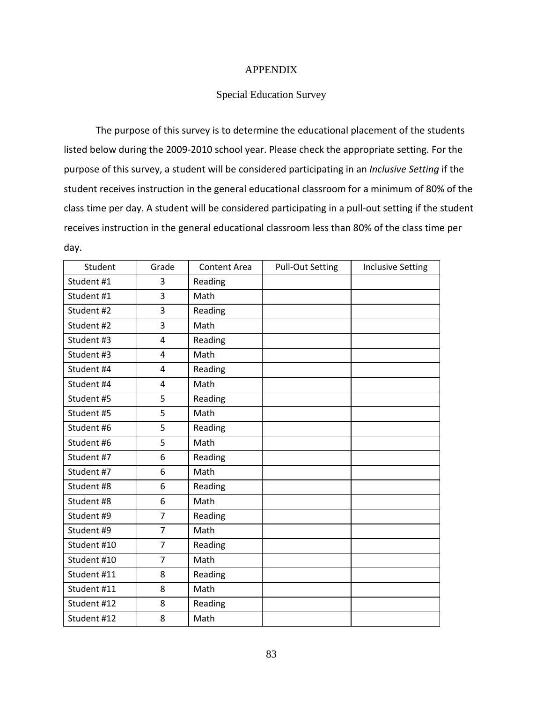### APPENDIX

### Special Education Survey

The purpose of this survey is to determine the educational placement of the students listed below during the 2009-2010 school year. Please check the appropriate setting. For the purpose of this survey, a student will be considered participating in an *Inclusive Setting* if the student receives instruction in the general educational classroom for a minimum of 80% of the class time per day. A student will be considered participating in a pull-out setting if the student receives instruction in the general educational classroom less than 80% of the class time per day.

| Student     | Grade          | <b>Content Area</b> | <b>Pull-Out Setting</b> | <b>Inclusive Setting</b> |
|-------------|----------------|---------------------|-------------------------|--------------------------|
| Student #1  | 3              | Reading             |                         |                          |
| Student #1  | 3              | Math                |                         |                          |
| Student #2  | 3              | Reading             |                         |                          |
| Student #2  | 3              | Math                |                         |                          |
| Student #3  | 4              | Reading             |                         |                          |
| Student #3  | 4              | Math                |                         |                          |
| Student #4  | 4              | Reading             |                         |                          |
| Student #4  | 4              | Math                |                         |                          |
| Student #5  | 5              | Reading             |                         |                          |
| Student #5  | 5              | Math                |                         |                          |
| Student #6  | 5              | Reading             |                         |                          |
| Student #6  | 5              | Math                |                         |                          |
| Student #7  | 6              | Reading             |                         |                          |
| Student #7  | 6              | Math                |                         |                          |
| Student #8  | 6              | Reading             |                         |                          |
| Student #8  | 6              | Math                |                         |                          |
| Student #9  | $\overline{7}$ | Reading             |                         |                          |
| Student #9  | $\overline{7}$ | Math                |                         |                          |
| Student #10 | $\overline{7}$ | Reading             |                         |                          |
| Student #10 | $\overline{7}$ | Math                |                         |                          |
| Student #11 | 8              | Reading             |                         |                          |
| Student #11 | 8              | Math                |                         |                          |
| Student #12 | 8              | Reading             |                         |                          |
| Student #12 | 8              | Math                |                         |                          |